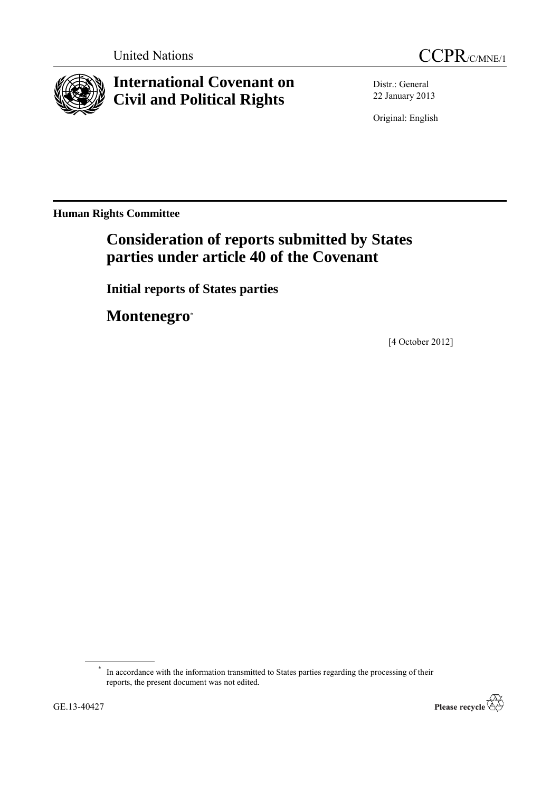



# **International Covenant on Civil and Political Rights**

Distr.: General 22 January 2013

Original: English

**Human Rights Committee**

# **Consideration of reports submitted by States parties under article 40 of the Covenant**

**Initial reports of States parties**

**Montenegro**\*

[4 October 2012]

<sup>\*</sup> In accordance with the information transmitted to States parties regarding the processing of their reports, the present document was not edited.

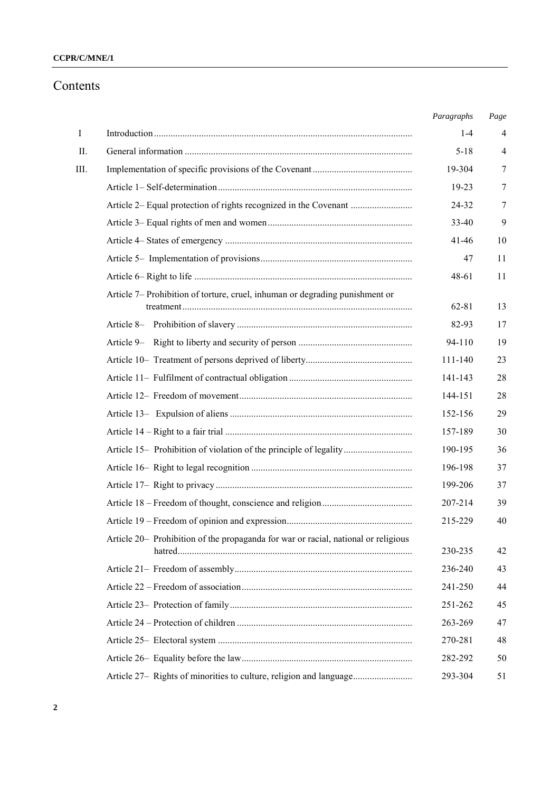# **CCPR/C/MNE/1**

# Contents

|      |                                                                                     | Paragraphs | Page           |
|------|-------------------------------------------------------------------------------------|------------|----------------|
| I    |                                                                                     | $1 - 4$    | $\overline{4}$ |
| II.  |                                                                                     | $5 - 18$   | $\overline{4}$ |
| III. |                                                                                     | 19-304     | 7              |
|      |                                                                                     | 19-23      | 7              |
|      |                                                                                     | 24-32      | 7              |
|      |                                                                                     | 33-40      | 9              |
|      |                                                                                     | $41 - 46$  | 10             |
|      |                                                                                     | 47         | 11             |
|      |                                                                                     | 48-61      | 11             |
|      | Article 7– Prohibition of torture, cruel, inhuman or degrading punishment or        | 62-81      | 13             |
|      |                                                                                     | 82-93      | 17             |
|      |                                                                                     | 94-110     | 19             |
|      |                                                                                     | 111-140    | 23             |
|      |                                                                                     | 141-143    | 28             |
|      |                                                                                     | 144-151    | 28             |
|      |                                                                                     | 152-156    | 29             |
|      |                                                                                     | 157-189    | 30             |
|      | Article 15- Prohibition of violation of the principle of legality                   | 190-195    | 36             |
|      |                                                                                     | 196-198    | 37             |
|      |                                                                                     | 199-206    | 37             |
|      |                                                                                     | 207-214    | 39             |
|      |                                                                                     | 215-229    | 40             |
|      | Article 20 – Prohibition of the propaganda for war or racial, national or religious | 230-235    | 42             |
|      |                                                                                     | 236-240    | 43             |
|      |                                                                                     | 241-250    | 44             |
|      |                                                                                     | 251-262    | 45             |
|      |                                                                                     | 263-269    | 47             |
|      |                                                                                     | 270-281    | 48             |
|      |                                                                                     | 282-292    | 50             |
|      | Article 27- Rights of minorities to culture, religion and language                  | 293-304    | 51             |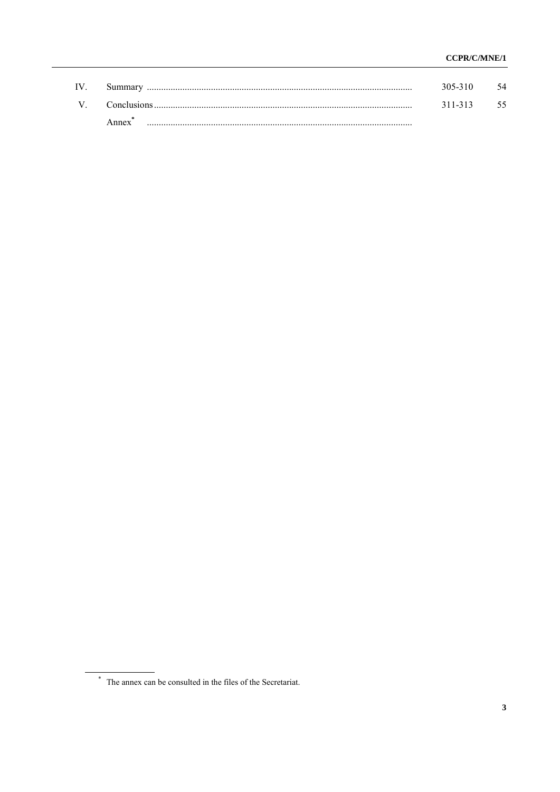| IV. | Summar             | 305-310 | 54  |
|-----|--------------------|---------|-----|
| V   | <b>Conclusions</b> | 311-313 | -55 |
|     | Anney              |         |     |

<sup>&</sup>lt;sup>\*</sup> The annex can be consulted in the files of the Secretariat.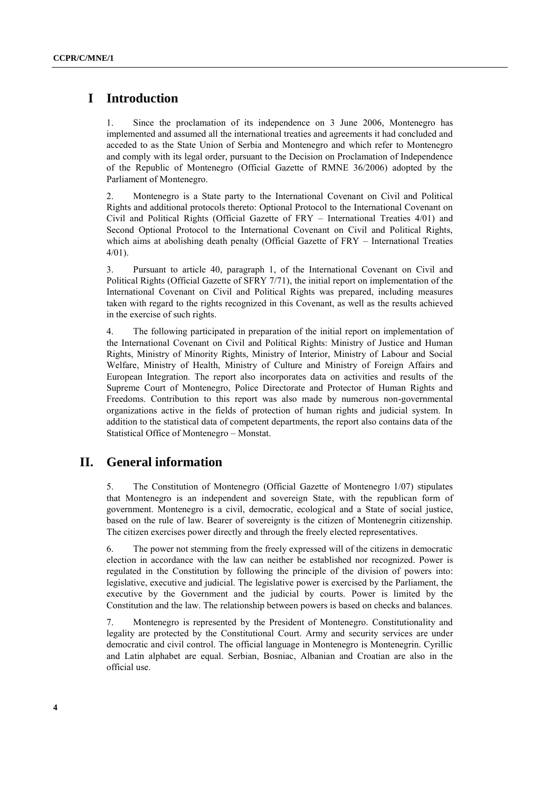# **I Introduction**

1. Since the proclamation of its independence on 3 June 2006, Montenegro has implemented and assumed all the international treaties and agreements it had concluded and acceded to as the State Union of Serbia and Montenegro and which refer to Montenegro and comply with its legal order, pursuant to the Decision on Proclamation of Independence of the Republic of Montenegro (Official Gazette of RMNE 36/2006) adopted by the Parliament of Montenegro.

2. Montenegro is a State party to the International Covenant on Civil and Political Rights and additional protocols thereto: Optional Protocol to the International Covenant on Civil and Political Rights (Official Gazette of FRY – International Treaties 4/01) and Second Optional Protocol to the International Covenant on Civil and Political Rights, which aims at abolishing death penalty (Official Gazette of FRY – International Treaties 4/01).

3. Pursuant to article 40, paragraph 1, of the International Covenant on Civil and Political Rights (Official Gazette of SFRY 7/71), the initial report on implementation of the International Covenant on Civil and Political Rights was prepared, including measures taken with regard to the rights recognized in this Covenant, as well as the results achieved in the exercise of such rights.

4. The following participated in preparation of the initial report on implementation of the International Covenant on Civil and Political Rights: Ministry of Justice and Human Rights, Ministry of Minority Rights, Ministry of Interior, Ministry of Labour and Social Welfare, Ministry of Health, Ministry of Culture and Ministry of Foreign Affairs and European Integration. The report also incorporates data on activities and results of the Supreme Court of Montenegro, Police Directorate and Protector of Human Rights and Freedoms. Contribution to this report was also made by numerous non-governmental organizations active in the fields of protection of human rights and judicial system. In addition to the statistical data of competent departments, the report also contains data of the Statistical Office of Montenegro – Monstat.

# **II. General information**

5. The Constitution of Montenegro (Official Gazette of Montenegro 1/07) stipulates that Montenegro is an independent and sovereign State, with the republican form of government. Montenegro is a civil, democratic, ecological and a State of social justice, based on the rule of law. Bearer of sovereignty is the citizen of Montenegrin citizenship. The citizen exercises power directly and through the freely elected representatives.

6. The power not stemming from the freely expressed will of the citizens in democratic election in accordance with the law can neither be established nor recognized. Power is regulated in the Constitution by following the principle of the division of powers into: legislative, executive and judicial. The legislative power is exercised by the Parliament, the executive by the Government and the judicial by courts. Power is limited by the Constitution and the law. The relationship between powers is based on checks and balances.

7. Montenegro is represented by the President of Montenegro. Constitutionality and legality are protected by the Constitutional Court. Army and security services are under democratic and civil control. The official language in Montenegro is Montenegrin. Cyrillic and Latin alphabet are equal. Serbian, Bosniac, Albanian and Croatian are also in the official use.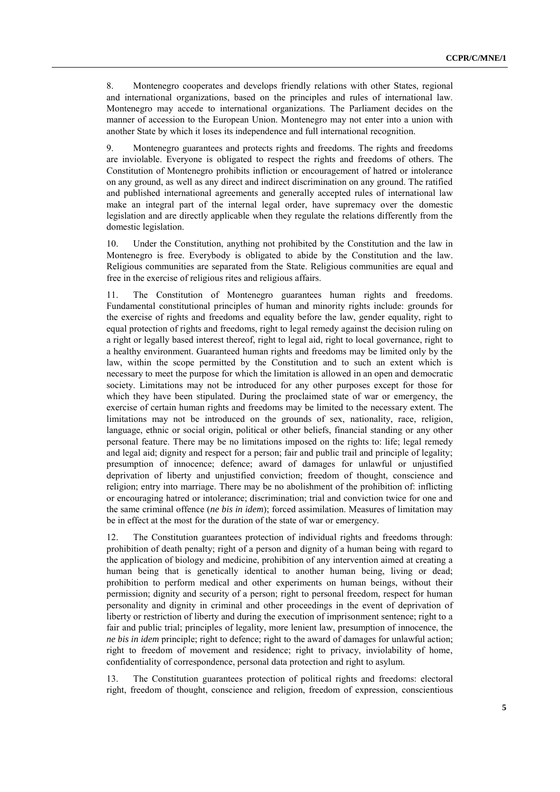8. Montenegro cooperates and develops friendly relations with other States, regional and international organizations, based on the principles and rules of international law. Montenegro may accede to international organizations. The Parliament decides on the manner of accession to the European Union. Montenegro may not enter into a union with another State by which it loses its independence and full international recognition.

9. Montenegro guarantees and protects rights and freedoms. The rights and freedoms are inviolable. Everyone is obligated to respect the rights and freedoms of others. The Constitution of Montenegro prohibits infliction or encouragement of hatred or intolerance on any ground, as well as any direct and indirect discrimination on any ground. The ratified and published international agreements and generally accepted rules of international law make an integral part of the internal legal order, have supremacy over the domestic legislation and are directly applicable when they regulate the relations differently from the domestic legislation.

10. Under the Constitution, anything not prohibited by the Constitution and the law in Montenegro is free. Everybody is obligated to abide by the Constitution and the law. Religious communities are separated from the State. Religious communities are equal and free in the exercise of religious rites and religious affairs.

11. The Constitution of Montenegro guarantees human rights and freedoms. Fundamental constitutional principles of human and minority rights include: grounds for the exercise of rights and freedoms and equality before the law, gender equality, right to equal protection of rights and freedoms, right to legal remedy against the decision ruling on a right or legally based interest thereof, right to legal aid, right to local governance, right to a healthy environment. Guaranteed human rights and freedoms may be limited only by the law, within the scope permitted by the Constitution and to such an extent which is necessary to meet the purpose for which the limitation is allowed in an open and democratic society. Limitations may not be introduced for any other purposes except for those for which they have been stipulated. During the proclaimed state of war or emergency, the exercise of certain human rights and freedoms may be limited to the necessary extent. The limitations may not be introduced on the grounds of sex, nationality, race, religion, language, ethnic or social origin, political or other beliefs, financial standing or any other personal feature. There may be no limitations imposed on the rights to: life; legal remedy and legal aid; dignity and respect for a person; fair and public trail and principle of legality; presumption of innocence; defence; award of damages for unlawful or unjustified deprivation of liberty and unjustified conviction; freedom of thought, conscience and religion; entry into marriage. There may be no abolishment of the prohibition of: inflicting or encouraging hatred or intolerance; discrimination; trial and conviction twice for one and the same criminal offence (*ne bis in idem*); forced assimilation. Measures of limitation may be in effect at the most for the duration of the state of war or emergency.

12. The Constitution guarantees protection of individual rights and freedoms through: prohibition of death penalty; right of a person and dignity of a human being with regard to the application of biology and medicine, prohibition of any intervention aimed at creating a human being that is genetically identical to another human being, living or dead; prohibition to perform medical and other experiments on human beings, without their permission; dignity and security of a person; right to personal freedom, respect for human personality and dignity in criminal and other proceedings in the event of deprivation of liberty or restriction of liberty and during the execution of imprisonment sentence; right to a fair and public trial; principles of legality, more lenient law, presumption of innocence, the *ne bis in idem* principle; right to defence; right to the award of damages for unlawful action; right to freedom of movement and residence; right to privacy, inviolability of home, confidentiality of correspondence, personal data protection and right to asylum.

13. The Constitution guarantees protection of political rights and freedoms: electoral right, freedom of thought, conscience and religion, freedom of expression, conscientious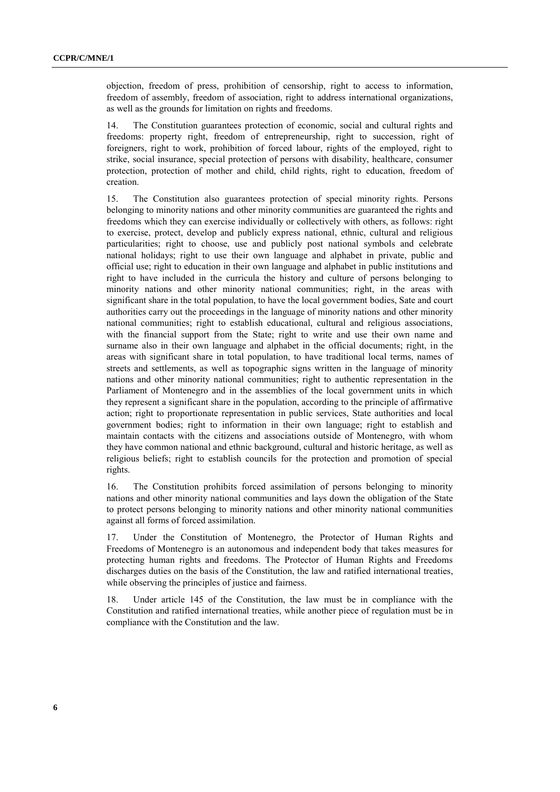objection, freedom of press, prohibition of censorship, right to access to information, freedom of assembly, freedom of association, right to address international organizations, as well as the grounds for limitation on rights and freedoms.

14. The Constitution guarantees protection of economic, social and cultural rights and freedoms: property right, freedom of entrepreneurship, right to succession, right of foreigners, right to work, prohibition of forced labour, rights of the employed, right to strike, social insurance, special protection of persons with disability, healthcare, consumer protection, protection of mother and child, child rights, right to education, freedom of creation.

15. The Constitution also guarantees protection of special minority rights. Persons belonging to minority nations and other minority communities are guaranteed the rights and freedoms which they can exercise individually or collectively with others, as follows: right to exercise, protect, develop and publicly express national, ethnic, cultural and religious particularities; right to choose, use and publicly post national symbols and celebrate national holidays; right to use their own language and alphabet in private, public and official use; right to education in their own language and alphabet in public institutions and right to have included in the curricula the history and culture of persons belonging to minority nations and other minority national communities; right, in the areas with significant share in the total population, to have the local government bodies, Sate and court authorities carry out the proceedings in the language of minority nations and other minority national communities; right to establish educational, cultural and religious associations, with the financial support from the State; right to write and use their own name and surname also in their own language and alphabet in the official documents; right, in the areas with significant share in total population, to have traditional local terms, names of streets and settlements, as well as topographic signs written in the language of minority nations and other minority national communities; right to authentic representation in the Parliament of Montenegro and in the assemblies of the local government units in which they represent a significant share in the population, according to the principle of affirmative action; right to proportionate representation in public services, State authorities and local government bodies; right to information in their own language; right to establish and maintain contacts with the citizens and associations outside of Montenegro, with whom they have common national and ethnic background, cultural and historic heritage, as well as religious beliefs; right to establish councils for the protection and promotion of special rights.

16. The Constitution prohibits forced assimilation of persons belonging to minority nations and other minority national communities and lays down the obligation of the State to protect persons belonging to minority nations and other minority national communities against all forms of forced assimilation.

17. Under the Constitution of Montenegro, the Protector of Human Rights and Freedoms of Montenegro is an autonomous and independent body that takes measures for protecting human rights and freedoms. The Protector of Human Rights and Freedoms discharges duties on the basis of the Constitution, the law and ratified international treaties, while observing the principles of justice and fairness.

18. Under article 145 of the Constitution, the law must be in compliance with the Constitution and ratified international treaties, while another piece of regulation must be in compliance with the Constitution and the law.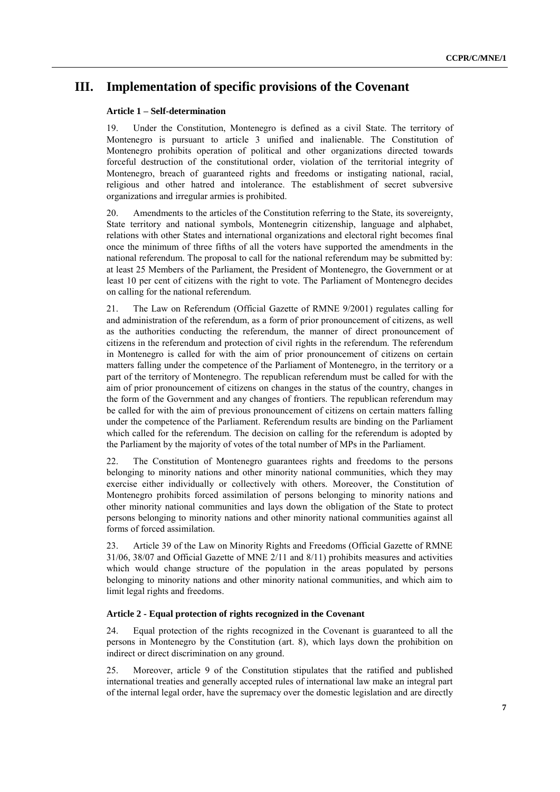# **III. Implementation of specific provisions of the Covenant**

# **Article 1 – Self-determination**

19. Under the Constitution, Montenegro is defined as a civil State. The territory of Montenegro is pursuant to article 3 unified and inalienable. The Constitution of Montenegro prohibits operation of political and other organizations directed towards forceful destruction of the constitutional order, violation of the territorial integrity of Montenegro, breach of guaranteed rights and freedoms or instigating national, racial, religious and other hatred and intolerance. The establishment of secret subversive organizations and irregular armies is prohibited.

20. Amendments to the articles of the Constitution referring to the State, its sovereignty, State territory and national symbols, Montenegrin citizenship, language and alphabet, relations with other States and international organizations and electoral right becomes final once the minimum of three fifths of all the voters have supported the amendments in the national referendum. The proposal to call for the national referendum may be submitted by: at least 25 Members of the Parliament, the President of Montenegro, the Government or at least 10 per cent of citizens with the right to vote. The Parliament of Montenegro decides on calling for the national referendum.

21. The Law on Referendum (Official Gazette of RMNE 9/2001) regulates calling for and administration of the referendum, as a form of prior pronouncement of citizens, as well as the authorities conducting the referendum, the manner of direct pronouncement of citizens in the referendum and protection of civil rights in the referendum. The referendum in Montenegro is called for with the aim of prior pronouncement of citizens on certain matters falling under the competence of the Parliament of Montenegro, in the territory or a part of the territory of Montenegro. The republican referendum must be called for with the aim of prior pronouncement of citizens on changes in the status of the country, changes in the form of the Government and any changes of frontiers. The republican referendum may be called for with the aim of previous pronouncement of citizens on certain matters falling under the competence of the Parliament. Referendum results are binding on the Parliament which called for the referendum. The decision on calling for the referendum is adopted by the Parliament by the majority of votes of the total number of MPs in the Parliament.

22. The Constitution of Montenegro guarantees rights and freedoms to the persons belonging to minority nations and other minority national communities, which they may exercise either individually or collectively with others. Moreover, the Constitution of Montenegro prohibits forced assimilation of persons belonging to minority nations and other minority national communities and lays down the obligation of the State to protect persons belonging to minority nations and other minority national communities against all forms of forced assimilation.

23. Article 39 of the Law on Minority Rights and Freedoms (Official Gazette of RMNE 31/06, 38/07 and Official Gazette of MNE 2/11 and 8/11) prohibits measures and activities which would change structure of the population in the areas populated by persons belonging to minority nations and other minority national communities, and which aim to limit legal rights and freedoms.

#### **Article 2 - Equal protection of rights recognized in the Covenant**

24. Equal protection of the rights recognized in the Covenant is guaranteed to all the persons in Montenegro by the Constitution (art. 8), which lays down the prohibition on indirect or direct discrimination on any ground.

25. Moreover, article 9 of the Constitution stipulates that the ratified and published international treaties and generally accepted rules of international law make an integral part of the internal legal order, have the supremacy over the domestic legislation and are directly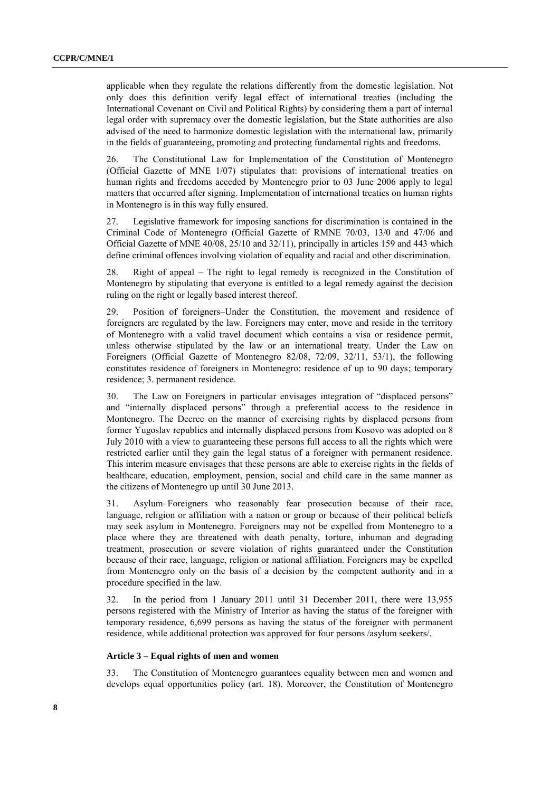applicable when they regulate the relations differently from the domestic legislation. Not only does this definition verify legal effect of international treaties (including the International Covenant on Civil and Political Rights) by considering them a part of internal legal order with supremacy over the domestic legislation, but the State authorities are also advised of the need to harmonize domestic legislation with the international law, primarily in the fields of guaranteeing, promoting and protecting fundamental rights and freedoms.

26. The Constitutional Law for Implementation of the Constitution of Montenegro (Official Gazette of MNE 1/07) stipulates that: provisions of international treaties on human rights and freedoms acceded by Montenegro prior to 03 June 2006 apply to legal matters that occurred after signing. Implementation of international treaties on human rights in Montenegro is in this way fully ensured.

27. Legislative framework for imposing sanctions for discrimination is contained in the Criminal Code of Montenegro (Official Gazette of RMNE 70/03, 13/0 and 47/06 and Official Gazette of MNE 40/08, 25/10 and 32/11), principally in articles 159 and 443 which define criminal offences involving violation of equality and racial and other discrimination.

28. Right of appeal – The right to legal remedy is recognized in the Constitution of Montenegro by stipulating that everyone is entitled to a legal remedy against the decision ruling on the right or legally based interest thereof.

29. Position of foreigners–Under the Constitution, the movement and residence of foreigners are regulated by the law. Foreigners may enter, move and reside in the territory of Montenegro with a valid travel document which contains a visa or residence permit, unless otherwise stipulated by the law or an international treaty. Under the Law on Foreigners (Official Gazette of Montenegro 82/08, 72/09, 32/11, 53/1), the following constitutes residence of foreigners in Montenegro: residence of up to 90 days; temporary residence; 3. permanent residence.

30. The Law on Foreigners in particular envisages integration of "displaced persons" and "internally displaced persons" through a preferential access to the residence in Montenegro. The Decree on the manner of exercising rights by displaced persons from former Yugoslav republics and internally displaced persons from Kosovo was adopted on 8 July 2010 with a view to guaranteeing these persons full access to all the rights which were restricted earlier until they gain the legal status of a foreigner with permanent residence. This interim measure envisages that these persons are able to exercise rights in the fields of healthcare, education, employment, pension, social and child care in the same manner as the citizens of Montenegro up until 30 June 2013.

31. Asylum–Foreigners who reasonably fear prosecution because of their race, language, religion or affiliation with a nation or group or because of their political beliefs may seek asylum in Montenegro. Foreigners may not be expelled from Montenegro to a place where they are threatened with death penalty, torture, inhuman and degrading treatment, prosecution or severe violation of rights guaranteed under the Constitution because of their race, language, religion or national affiliation. Foreigners may be expelled from Montenegro only on the basis of a decision by the competent authority and in a procedure specified in the law.

32. In the period from 1 January 2011 until 31 December 2011, there were 13,955 persons registered with the Ministry of Interior as having the status of the foreigner with temporary residence, 6,699 persons as having the status of the foreigner with permanent residence, while additional protection was approved for four persons /asylum seekers/.

# **Article 3 – Equal rights of men and women**

33. The Constitution of Montenegro guarantees equality between men and women and develops equal opportunities policy (art. 18). Moreover, the Constitution of Montenegro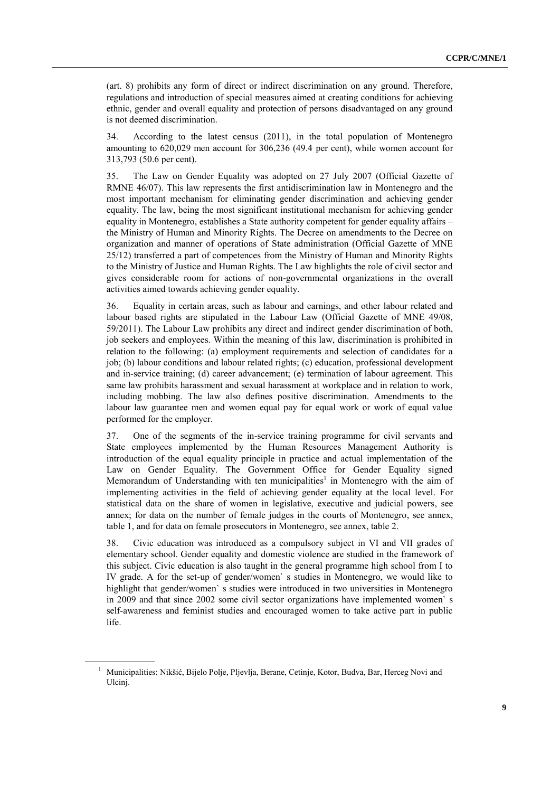(art. 8) prohibits any form of direct or indirect discrimination on any ground. Therefore, regulations and introduction of special measures aimed at creating conditions for achieving ethnic, gender and overall equality and protection of persons disadvantaged on any ground is not deemed discrimination.

34. According to the latest census (2011), in the total population of Montenegro amounting to 620,029 men account for 306,236 (49.4 per cent), while women account for 313,793 (50.6 per cent).

35. The Law on Gender Equality was adopted on 27 July 2007 (Official Gazette of RMNE 46/07). This law represents the first antidiscrimination law in Montenegro and the most important mechanism for eliminating gender discrimination and achieving gender equality. The law, being the most significant institutional mechanism for achieving gender equality in Montenegro, establishes a State authority competent for gender equality affairs – the Ministry of Human and Minority Rights. The Decree on amendments to the Decree on organization and manner of operations of State administration (Official Gazette of MNE 25/12) transferred a part of competences from the Ministry of Human and Minority Rights to the Ministry of Justice and Human Rights. The Law highlights the role of civil sector and gives considerable room for actions of non-governmental organizations in the overall activities aimed towards achieving gender equality.

36. Equality in certain areas, such as labour and earnings, and other labour related and labour based rights are stipulated in the Labour Law (Official Gazette of MNE 49/08, 59/2011). The Labour Law prohibits any direct and indirect gender discrimination of both, job seekers and employees. Within the meaning of this law, discrimination is prohibited in relation to the following: (a) employment requirements and selection of candidates for a job; (b) labour conditions and labour related rights; (c) education, professional development and in-service training; (d) career advancement; (e) termination of labour agreement. This same law prohibits harassment and sexual harassment at workplace and in relation to work, including mobbing. The law also defines positive discrimination. Amendments to the labour law guarantee men and women equal pay for equal work or work of equal value performed for the employer.

37. One of the segments of the in-service training programme for civil servants and State employees implemented by the Human Resources Management Authority is introduction of the equal equality principle in practice and actual implementation of the Law on Gender Equality. The Government Office for Gender Equality signed Memorandum of Understanding with ten municipalities<sup>1</sup> in Montenegro with the aim of implementing activities in the field of achieving gender equality at the local level. For statistical data on the share of women in legislative, executive and judicial powers, see annex; for data on the number of female judges in the courts of Montenegro, see annex, table 1, and for data on female prosecutors in Montenegro, see annex, table 2.

38. Civic education was introduced as a compulsory subject in VI and VII grades of elementary school. Gender equality and domestic violence are studied in the framework of this subject. Civic education is also taught in the general programme high school from I to IV grade. A for the set-up of gender/women` s studies in Montenegro, we would like to highlight that gender/women` s studies were introduced in two universities in Montenegro in 2009 and that since 2002 some civil sector organizations have implemented women` s self-awareness and feminist studies and encouraged women to take active part in public life.

<sup>1</sup> Municipalities: Nikšić, Bijelo Polje, Pljevlja, Berane, Cetinje, Kotor, Budva, Bar, Herceg Novi and Ulcinj.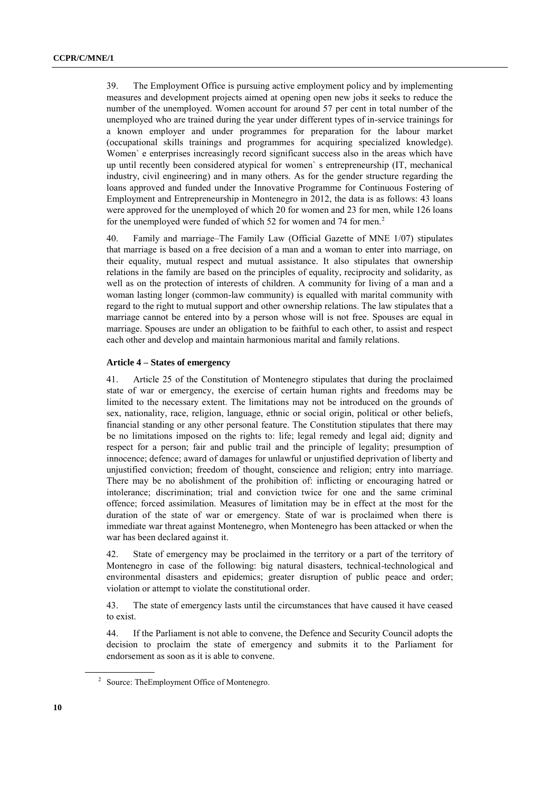39. The Employment Office is pursuing active employment policy and by implementing measures and development projects aimed at opening open new jobs it seeks to reduce the number of the unemployed. Women account for around 57 per cent in total number of the unemployed who are trained during the year under different types of in-service trainings for a known employer and under programmes for preparation for the labour market (occupational skills trainings and programmes for acquiring specialized knowledge). Women` e enterprises increasingly record significant success also in the areas which have up until recently been considered atypical for women` s entrepreneurship (IT, mechanical industry, civil engineering) and in many others. As for the gender structure regarding the loans approved and funded under the Innovative Programme for Continuous Fostering of Employment and Entrepreneurship in Montenegro in 2012, the data is as follows: 43 loans were approved for the unemployed of which 20 for women and 23 for men, while 126 loans for the unemployed were funded of which 52 for women and 74 for men.<sup>2</sup>

40. Family and marriage–The Family Law (Official Gazette of MNE 1/07) stipulates that marriage is based on a free decision of a man and a woman to enter into marriage, on their equality, mutual respect and mutual assistance. It also stipulates that ownership relations in the family are based on the principles of equality, reciprocity and solidarity, as well as on the protection of interests of children. A community for living of a man and a woman lasting longer (common-law community) is equalled with marital community with regard to the right to mutual support and other ownership relations. The law stipulates that a marriage cannot be entered into by a person whose will is not free. Spouses are equal in marriage. Spouses are under an obligation to be faithful to each other, to assist and respect each other and develop and maintain harmonious marital and family relations.

# **Article 4 – States of emergency**

41. Article 25 of the Constitution of Montenegro stipulates that during the proclaimed state of war or emergency, the exercise of certain human rights and freedoms may be limited to the necessary extent. The limitations may not be introduced on the grounds of sex, nationality, race, religion, language, ethnic or social origin, political or other beliefs, financial standing or any other personal feature. The Constitution stipulates that there may be no limitations imposed on the rights to: life; legal remedy and legal aid; dignity and respect for a person; fair and public trail and the principle of legality; presumption of innocence; defence; award of damages for unlawful or unjustified deprivation of liberty and unjustified conviction; freedom of thought, conscience and religion; entry into marriage. There may be no abolishment of the prohibition of: inflicting or encouraging hatred or intolerance; discrimination; trial and conviction twice for one and the same criminal offence; forced assimilation. Measures of limitation may be in effect at the most for the duration of the state of war or emergency. State of war is proclaimed when there is immediate war threat against Montenegro, when Montenegro has been attacked or when the war has been declared against it.

42. State of emergency may be proclaimed in the territory or a part of the territory of Montenegro in case of the following: big natural disasters, technical-technological and environmental disasters and epidemics; greater disruption of public peace and order; violation or attempt to violate the constitutional order.

43. The state of emergency lasts until the circumstances that have caused it have ceased to exist.

44. If the Parliament is not able to convene, the Defence and Security Council adopts the decision to proclaim the state of emergency and submits it to the Parliament for endorsement as soon as it is able to convene.

<sup>&</sup>lt;sup>2</sup> Source: TheEmployment Office of Montenegro.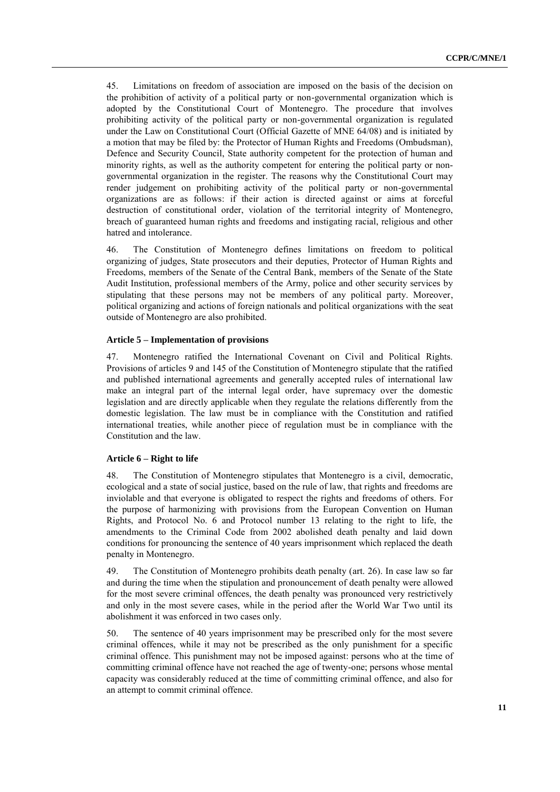45. Limitations on freedom of association are imposed on the basis of the decision on the prohibition of activity of a political party or non-governmental organization which is adopted by the Constitutional Court of Montenegro. The procedure that involves prohibiting activity of the political party or non-governmental organization is regulated under the Law on Constitutional Court (Official Gazette of MNE 64/08) and is initiated by a motion that may be filed by: the Protector of Human Rights and Freedoms (Ombudsman), Defence and Security Council, State authority competent for the protection of human and minority rights, as well as the authority competent for entering the political party or nongovernmental organization in the register. The reasons why the Constitutional Court may render judgement on prohibiting activity of the political party or non-governmental organizations are as follows: if their action is directed against or aims at forceful destruction of constitutional order, violation of the territorial integrity of Montenegro, breach of guaranteed human rights and freedoms and instigating racial, religious and other hatred and intolerance.

46. The Constitution of Montenegro defines limitations on freedom to political organizing of judges, State prosecutors and their deputies, Protector of Human Rights and Freedoms, members of the Senate of the Central Bank, members of the Senate of the State Audit Institution, professional members of the Army, police and other security services by stipulating that these persons may not be members of any political party. Moreover, political organizing and actions of foreign nationals and political organizations with the seat outside of Montenegro are also prohibited.

#### **Article 5 – Implementation of provisions**

47. Montenegro ratified the International Covenant on Civil and Political Rights. Provisions of articles 9 and 145 of the Constitution of Montenegro stipulate that the ratified and published international agreements and generally accepted rules of international law make an integral part of the internal legal order, have supremacy over the domestic legislation and are directly applicable when they regulate the relations differently from the domestic legislation. The law must be in compliance with the Constitution and ratified international treaties, while another piece of regulation must be in compliance with the Constitution and the law.

# **Article 6 – Right to life**

48. The Constitution of Montenegro stipulates that Montenegro is a civil, democratic, ecological and a state of social justice, based on the rule of law, that rights and freedoms are inviolable and that everyone is obligated to respect the rights and freedoms of others. For the purpose of harmonizing with provisions from the European Convention on Human Rights, and Protocol No. 6 and Protocol number 13 relating to the right to life, the amendments to the Criminal Code from 2002 abolished death penalty and laid down conditions for pronouncing the sentence of 40 years imprisonment which replaced the death penalty in Montenegro.

49. The Constitution of Montenegro prohibits death penalty (art. 26). In case law so far and during the time when the stipulation and pronouncement of death penalty were allowed for the most severe criminal offences, the death penalty was pronounced very restrictively and only in the most severe cases, while in the period after the World War Two until its abolishment it was enforced in two cases only.

50. The sentence of 40 years imprisonment may be prescribed only for the most severe criminal offences, while it may not be prescribed as the only punishment for a specific criminal offence. This punishment may not be imposed against: persons who at the time of committing criminal offence have not reached the age of twenty-one; persons whose mental capacity was considerably reduced at the time of committing criminal offence, and also for an attempt to commit criminal offence.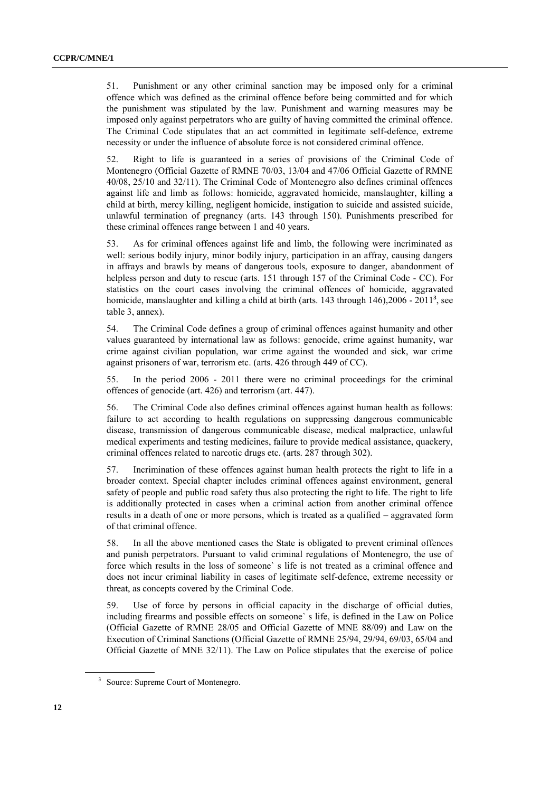51. Punishment or any other criminal sanction may be imposed only for a criminal offence which was defined as the criminal offence before being committed and for which the punishment was stipulated by the law. Punishment and warning measures may be imposed only against perpetrators who are guilty of having committed the criminal offence. The Criminal Code stipulates that an act committed in legitimate self-defence, extreme necessity or under the influence of absolute force is not considered criminal offence.

52. Right to life is guaranteed in a series of provisions of the Criminal Code of Montenegro (Official Gazette of RMNE 70/03, 13/04 and 47/06 Official Gazette of RMNE 40/08, 25/10 and 32/11). The Criminal Code of Montenegro also defines criminal offences against life and limb as follows: homicide, aggravated homicide, manslaughter, killing a child at birth, mercy killing, negligent homicide, instigation to suicide and assisted suicide, unlawful termination of pregnancy (arts. 143 through 150). Punishments prescribed for these criminal offences range between 1 and 40 years.

53. As for criminal offences against life and limb, the following were incriminated as well: serious bodily injury, minor bodily injury, participation in an affray, causing dangers in affrays and brawls by means of dangerous tools, exposure to danger, abandonment of helpless person and duty to rescue (arts. 151 through 157 of the Criminal Code - CC). For statistics on the court cases involving the criminal offences of homicide, aggravated homicide, manslaughter and killing a child at birth (arts. 143 through 146),2006 - 2011**<sup>3</sup>** , see table 3, annex).

54. The Criminal Code defines a group of criminal offences against humanity and other values guaranteed by international law as follows: genocide, crime against humanity, war crime against civilian population, war crime against the wounded and sick, war crime against prisoners of war, terrorism etc. (arts. 426 through 449 of CC).

55. In the period 2006 - 2011 there were no criminal proceedings for the criminal offences of genocide (art. 426) and terrorism (art. 447).

56. The Criminal Code also defines criminal offences against human health as follows: failure to act according to health regulations on suppressing dangerous communicable disease, transmission of dangerous communicable disease, medical malpractice, unlawful medical experiments and testing medicines, failure to provide medical assistance, quackery, criminal offences related to narcotic drugs etc. (arts. 287 through 302).

57. Incrimination of these offences against human health protects the right to life in a broader context. Special chapter includes criminal offences against environment, general safety of people and public road safety thus also protecting the right to life. The right to life is additionally protected in cases when a criminal action from another criminal offence results in a death of one or more persons, which is treated as a qualified – aggravated form of that criminal offence.

58. In all the above mentioned cases the State is obligated to prevent criminal offences and punish perpetrators. Pursuant to valid criminal regulations of Montenegro, the use of force which results in the loss of someone` s life is not treated as a criminal offence and does not incur criminal liability in cases of legitimate self-defence, extreme necessity or threat, as concepts covered by the Criminal Code.

59. Use of force by persons in official capacity in the discharge of official duties, including firearms and possible effects on someone` s life, is defined in the Law on Police (Official Gazette of RMNE 28/05 and Official Gazette of MNE 88/09) and Law on the Execution of Criminal Sanctions (Official Gazette of RMNE 25/94, 29/94, 69/03, 65/04 and Official Gazette of MNE 32/11). The Law on Police stipulates that the exercise of police

<sup>3</sup> Source: Supreme Court of Montenegro.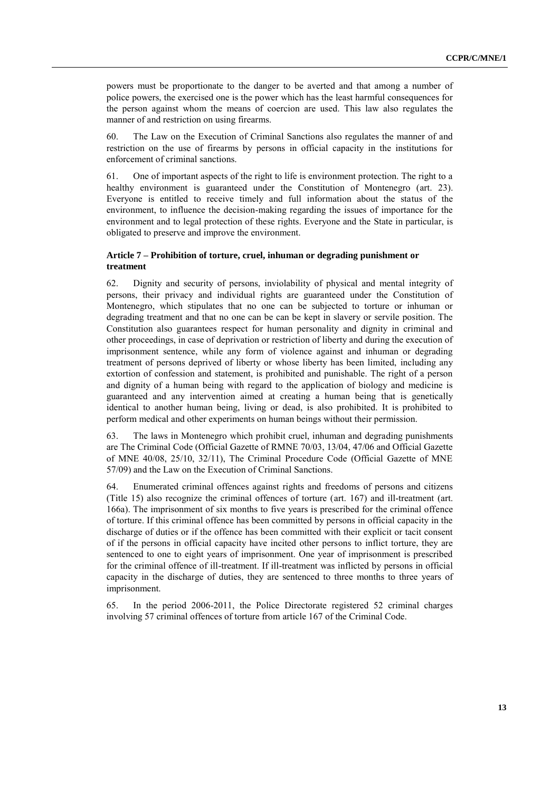powers must be proportionate to the danger to be averted and that among a number of police powers, the exercised one is the power which has the least harmful consequences for the person against whom the means of coercion are used. This law also regulates the manner of and restriction on using firearms.

60. The Law on the Execution of Criminal Sanctions also regulates the manner of and restriction on the use of firearms by persons in official capacity in the institutions for enforcement of criminal sanctions.

61. One of important aspects of the right to life is environment protection. The right to a healthy environment is guaranteed under the Constitution of Montenegro (art. 23). Everyone is entitled to receive timely and full information about the status of the environment, to influence the decision-making regarding the issues of importance for the environment and to legal protection of these rights. Everyone and the State in particular, is obligated to preserve and improve the environment.

# **Article 7 – Prohibition of torture, cruel, inhuman or degrading punishment or treatment**

62. Dignity and security of persons, inviolability of physical and mental integrity of persons, their privacy and individual rights are guaranteed under the Constitution of Montenegro, which stipulates that no one can be subjected to torture or inhuman or degrading treatment and that no one can be can be kept in slavery or servile position. The Constitution also guarantees respect for human personality and dignity in criminal and other proceedings, in case of deprivation or restriction of liberty and during the execution of imprisonment sentence, while any form of violence against and inhuman or degrading treatment of persons deprived of liberty or whose liberty has been limited, including any extortion of confession and statement, is prohibited and punishable. The right of a person and dignity of a human being with regard to the application of biology and medicine is guaranteed and any intervention aimed at creating a human being that is genetically identical to another human being, living or dead, is also prohibited. It is prohibited to perform medical and other experiments on human beings without their permission.

63. The laws in Montenegro which prohibit cruel, inhuman and degrading punishments are The Criminal Code (Official Gazette of RMNE 70/03, 13/04, 47/06 and Official Gazette of MNE 40/08, 25/10, 32/11), The Criminal Procedure Code (Official Gazette of MNE 57/09) and the Law on the Execution of Criminal Sanctions.

64. Enumerated criminal offences against rights and freedoms of persons and citizens (Title 15) also recognize the criminal offences of torture (art. 167) and ill-treatment (art. 166a). The imprisonment of six months to five years is prescribed for the criminal offence of torture. If this criminal offence has been committed by persons in official capacity in the discharge of duties or if the offence has been committed with their explicit or tacit consent of if the persons in official capacity have incited other persons to inflict torture, they are sentenced to one to eight years of imprisonment. One year of imprisonment is prescribed for the criminal offence of ill-treatment. If ill-treatment was inflicted by persons in official capacity in the discharge of duties, they are sentenced to three months to three years of imprisonment.

65. In the period 2006-2011, the Police Directorate registered 52 criminal charges involving 57 criminal offences of torture from article 167 of the Criminal Code.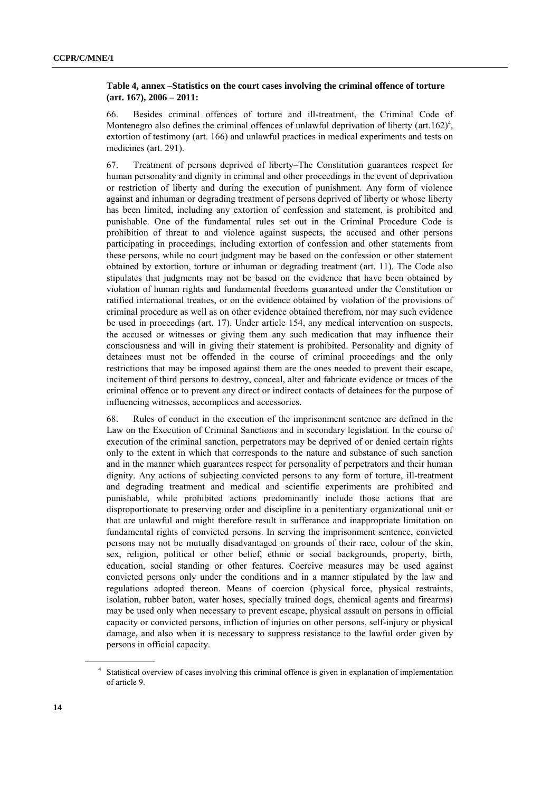# **Table 4, annex –Statistics on the court cases involving the criminal offence of torture (art. 167), 2006 – 2011:**

66. Besides criminal offences of torture and ill-treatment, the Criminal Code of Montenegro also defines the criminal offences of unlawful deprivation of liberty (art.162)<sup>4</sup>, extortion of testimony (art. 166) and unlawful practices in medical experiments and tests on medicines (art. 291).

67. Treatment of persons deprived of liberty–The Constitution guarantees respect for human personality and dignity in criminal and other proceedings in the event of deprivation or restriction of liberty and during the execution of punishment. Any form of violence against and inhuman or degrading treatment of persons deprived of liberty or whose liberty has been limited, including any extortion of confession and statement, is prohibited and punishable. One of the fundamental rules set out in the Criminal Procedure Code is prohibition of threat to and violence against suspects, the accused and other persons participating in proceedings, including extortion of confession and other statements from these persons, while no court judgment may be based on the confession or other statement obtained by extortion, torture or inhuman or degrading treatment (art. 11). The Code also stipulates that judgments may not be based on the evidence that have been obtained by violation of human rights and fundamental freedoms guaranteed under the Constitution or ratified international treaties, or on the evidence obtained by violation of the provisions of criminal procedure as well as on other evidence obtained therefrom, nor may such evidence be used in proceedings (art. 17). Under article 154, any medical intervention on suspects, the accused or witnesses or giving them any such medication that may influence their consciousness and will in giving their statement is prohibited. Personality and dignity of detainees must not be offended in the course of criminal proceedings and the only restrictions that may be imposed against them are the ones needed to prevent their escape, incitement of third persons to destroy, conceal, alter and fabricate evidence or traces of the criminal offence or to prevent any direct or indirect contacts of detainees for the purpose of influencing witnesses, accomplices and accessories.

68. Rules of conduct in the execution of the imprisonment sentence are defined in the Law on the Execution of Criminal Sanctions and in secondary legislation. In the course of execution of the criminal sanction, perpetrators may be deprived of or denied certain rights only to the extent in which that corresponds to the nature and substance of such sanction and in the manner which guarantees respect for personality of perpetrators and their human dignity. Any actions of subjecting convicted persons to any form of torture, ill-treatment and degrading treatment and medical and scientific experiments are prohibited and punishable, while prohibited actions predominantly include those actions that are disproportionate to preserving order and discipline in a penitentiary organizational unit or that are unlawful and might therefore result in sufferance and inappropriate limitation on fundamental rights of convicted persons. In serving the imprisonment sentence, convicted persons may not be mutually disadvantaged on grounds of their race, colour of the skin, sex, religion, political or other belief, ethnic or social backgrounds, property, birth, education, social standing or other features. Coercive measures may be used against convicted persons only under the conditions and in a manner stipulated by the law and regulations adopted thereon. Means of coercion (physical force, physical restraints, isolation, rubber baton, water hoses, specially trained dogs, chemical agents and firearms) may be used only when necessary to prevent escape, physical assault on persons in official capacity or convicted persons, infliction of injuries on other persons, self-injury or physical damage, and also when it is necessary to suppress resistance to the lawful order given by persons in official capacity.

<sup>4</sup> Statistical overview of cases involving this criminal offence is given in explanation of implementation of article 9.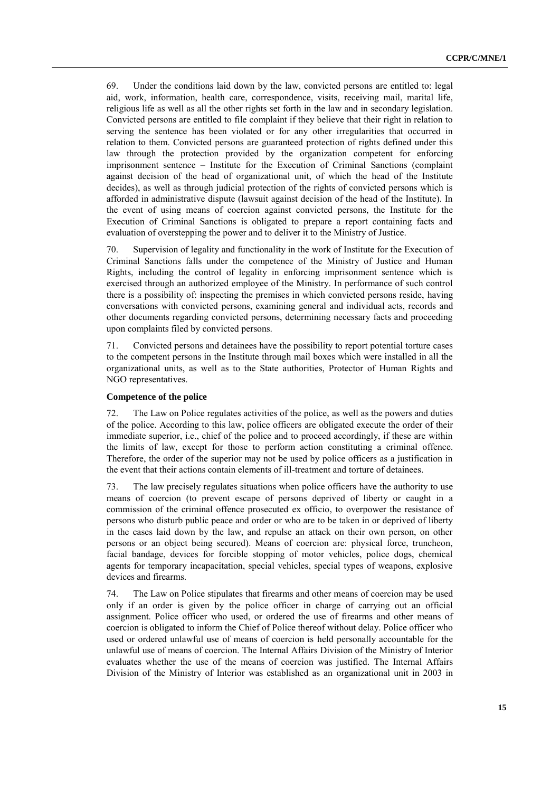69. Under the conditions laid down by the law, convicted persons are entitled to: legal aid, work, information, health care, correspondence, visits, receiving mail, marital life, religious life as well as all the other rights set forth in the law and in secondary legislation. Convicted persons are entitled to file complaint if they believe that their right in relation to serving the sentence has been violated or for any other irregularities that occurred in relation to them. Convicted persons are guaranteed protection of rights defined under this law through the protection provided by the organization competent for enforcing imprisonment sentence – Institute for the Execution of Criminal Sanctions (complaint against decision of the head of organizational unit, of which the head of the Institute decides), as well as through judicial protection of the rights of convicted persons which is afforded in administrative dispute (lawsuit against decision of the head of the Institute). In the event of using means of coercion against convicted persons, the Institute for the Execution of Criminal Sanctions is obligated to prepare a report containing facts and evaluation of overstepping the power and to deliver it to the Ministry of Justice.

70. Supervision of legality and functionality in the work of Institute for the Execution of Criminal Sanctions falls under the competence of the Ministry of Justice and Human Rights, including the control of legality in enforcing imprisonment sentence which is exercised through an authorized employee of the Ministry. In performance of such control there is a possibility of: inspecting the premises in which convicted persons reside, having conversations with convicted persons, examining general and individual acts, records and other documents regarding convicted persons, determining necessary facts and proceeding upon complaints filed by convicted persons.

71. Convicted persons and detainees have the possibility to report potential torture cases to the competent persons in the Institute through mail boxes which were installed in all the organizational units, as well as to the State authorities, Protector of Human Rights and NGO representatives.

# **Competence of the police**

72. The Law on Police regulates activities of the police, as well as the powers and duties of the police. According to this law, police officers are obligated execute the order of their immediate superior, i.e., chief of the police and to proceed accordingly, if these are within the limits of law, except for those to perform action constituting a criminal offence. Therefore, the order of the superior may not be used by police officers as a justification in the event that their actions contain elements of ill-treatment and torture of detainees.

73. The law precisely regulates situations when police officers have the authority to use means of coercion (to prevent escape of persons deprived of liberty or caught in a commission of the criminal offence prosecuted ex officio, to overpower the resistance of persons who disturb public peace and order or who are to be taken in or deprived of liberty in the cases laid down by the law, and repulse an attack on their own person, on other persons or an object being secured). Means of coercion are: physical force, truncheon, facial bandage, devices for forcible stopping of motor vehicles, police dogs, chemical agents for temporary incapacitation, special vehicles, special types of weapons, explosive devices and firearms.

74. The Law on Police stipulates that firearms and other means of coercion may be used only if an order is given by the police officer in charge of carrying out an official assignment. Police officer who used, or ordered the use of firearms and other means of coercion is obligated to inform the Chief of Police thereof without delay. Police officer who used or ordered unlawful use of means of coercion is held personally accountable for the unlawful use of means of coercion. The Internal Affairs Division of the Ministry of Interior evaluates whether the use of the means of coercion was justified. The Internal Affairs Division of the Ministry of Interior was established as an organizational unit in 2003 in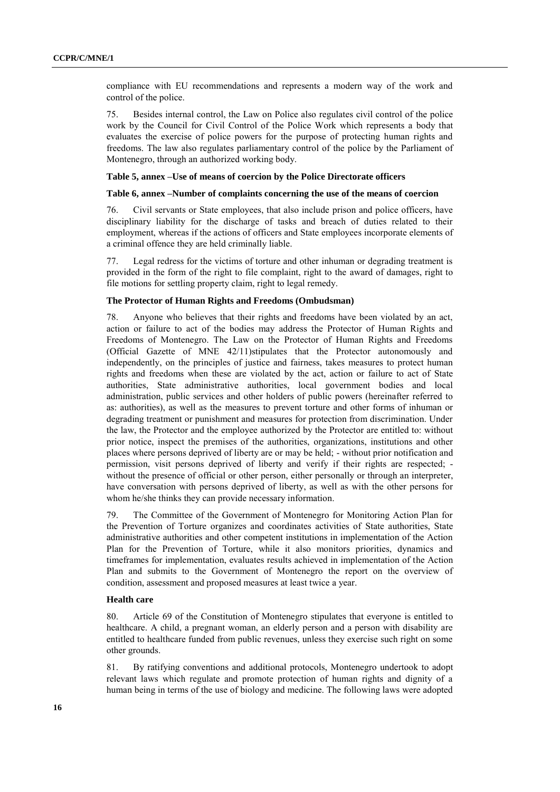compliance with EU recommendations and represents a modern way of the work and control of the police.

75. Besides internal control, the Law on Police also regulates civil control of the police work by the Council for Civil Control of the Police Work which represents a body that evaluates the exercise of police powers for the purpose of protecting human rights and freedoms. The law also regulates parliamentary control of the police by the Parliament of Montenegro, through an authorized working body.

#### **Table 5, annex –Use of means of coercion by the Police Directorate officers**

# **Table 6, annex –Number of complaints concerning the use of the means of coercion**

76. Civil servants or State employees, that also include prison and police officers, have disciplinary liability for the discharge of tasks and breach of duties related to their employment, whereas if the actions of officers and State employees incorporate elements of a criminal offence they are held criminally liable.

77. Legal redress for the victims of torture and other inhuman or degrading treatment is provided in the form of the right to file complaint, right to the award of damages, right to file motions for settling property claim, right to legal remedy.

#### **The Protector of Human Rights and Freedoms (Ombudsman)**

78. Anyone who believes that their rights and freedoms have been violated by an act, action or failure to act of the bodies may address the Protector of Human Rights and Freedoms of Montenegro. The Law on the Protector of Human Rights and Freedoms (Official Gazette of MNE 42/11)stipulates that the Protector autonomously and independently, on the principles of justice and fairness, takes measures to protect human rights and freedoms when these are violated by the act, action or failure to act of State authorities, State administrative authorities, local government bodies and local administration, public services and other holders of public powers (hereinafter referred to as: authorities), as well as the measures to prevent torture and other forms of inhuman or degrading treatment or punishment and measures for protection from discrimination. Under the law, the Protector and the employee authorized by the Protector are entitled to: without prior notice, inspect the premises of the authorities, organizations, institutions and other places where persons deprived of liberty are or may be held; - without prior notification and permission, visit persons deprived of liberty and verify if their rights are respected; without the presence of official or other person, either personally or through an interpreter, have conversation with persons deprived of liberty, as well as with the other persons for whom he/she thinks they can provide necessary information.

79. The Committee of the Government of Montenegro for Monitoring Action Plan for the Prevention of Torture organizes and coordinates activities of State authorities, State administrative authorities and other competent institutions in implementation of the Action Plan for the Prevention of Torture, while it also monitors priorities, dynamics and timeframes for implementation, evaluates results achieved in implementation of the Action Plan and submits to the Government of Montenegro the report on the overview of condition, assessment and proposed measures at least twice a year.

#### **Health care**

80. Article 69 of the Constitution of Montenegro stipulates that everyone is entitled to healthcare. A child, a pregnant woman, an elderly person and a person with disability are entitled to healthcare funded from public revenues, unless they exercise such right on some other grounds.

81. By ratifying conventions and additional protocols, Montenegro undertook to adopt relevant laws which regulate and promote protection of human rights and dignity of a human being in terms of the use of biology and medicine. The following laws were adopted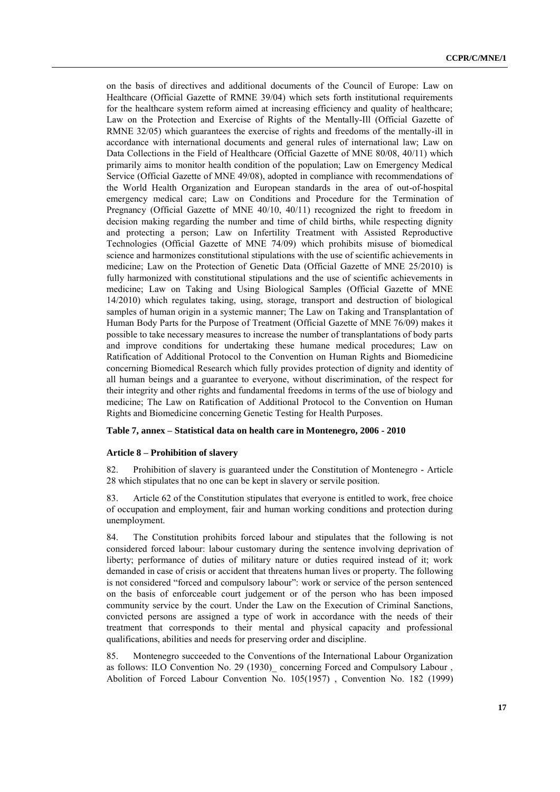on the basis of directives and additional documents of the Council of Europe: Law on Healthcare (Official Gazette of RMNE 39/04) which sets forth institutional requirements for the healthcare system reform aimed at increasing efficiency and quality of healthcare; Law on the Protection and Exercise of Rights of the Mentally-Ill (Official Gazette of RMNE 32/05) which guarantees the exercise of rights and freedoms of the mentally-ill in accordance with international documents and general rules of international law; Law on Data Collections in the Field of Healthcare (Official Gazette of MNE 80/08, 40/11) which primarily aims to monitor health condition of the population; Law on Emergency Medical Service (Official Gazette of MNE 49/08), adopted in compliance with recommendations of the World Health Organization and European standards in the area of out-of-hospital emergency medical care; Law on Conditions and Procedure for the Termination of Pregnancy (Official Gazette of MNE 40/10, 40/11) recognized the right to freedom in decision making regarding the number and time of child births, while respecting dignity and protecting a person; Law on Infertility Treatment with Assisted Reproductive Technologies (Official Gazette of MNE 74/09) which prohibits misuse of biomedical science and harmonizes constitutional stipulations with the use of scientific achievements in medicine; Law on the Protection of Genetic Data (Official Gazette of MNE 25/2010) is fully harmonized with constitutional stipulations and the use of scientific achievements in medicine; Law on Taking and Using Biological Samples (Official Gazette of MNE 14/2010) which regulates taking, using, storage, transport and destruction of biological samples of human origin in a systemic manner; The Law on Taking and Transplantation of Human Body Parts for the Purpose of Treatment (Official Gazette of MNE 76/09) makes it possible to take necessary measures to increase the number of transplantations of body parts and improve conditions for undertaking these humane medical procedures; Law on Ratification of Additional Protocol to the Convention on Human Rights and Biomedicine concerning Biomedical Research which fully provides protection of dignity and identity of all human beings and a guarantee to everyone, without discrimination, of the respect for their integrity and other rights and fundamental freedoms in terms of the use of biology and medicine; The Law on Ratification of Additional Protocol to the Convention on Human Rights and Biomedicine concerning Genetic Testing for Health Purposes.

# **Table 7, annex – Statistical data on health care in Montenegro, 2006 - 2010**

#### **Article 8 – Prohibition of slavery**

82. Prohibition of slavery is guaranteed under the Constitution of Montenegro - Article 28 which stipulates that no one can be kept in slavery or servile position.

83. Article 62 of the Constitution stipulates that everyone is entitled to work, free choice of occupation and employment, fair and human working conditions and protection during unemployment.

84. The Constitution prohibits forced labour and stipulates that the following is not considered forced labour: labour customary during the sentence involving deprivation of liberty; performance of duties of military nature or duties required instead of it; work demanded in case of crisis or accident that threatens human lives or property. The following is not considered "forced and compulsory labour": work or service of the person sentenced on the basis of enforceable court judgement or of the person who has been imposed community service by the court. Under the Law on the Execution of Criminal Sanctions, convicted persons are assigned a type of work in accordance with the needs of their treatment that corresponds to their mental and physical capacity and professional qualifications, abilities and needs for preserving order and discipline.

85. Montenegro succeeded to the Conventions of the International Labour Organization as follows: ILO Convention No. 29 (1930)\_ concerning Forced and Compulsory Labour , Abolition of Forced Labour Convention No. 105(1957) , Convention No. 182 (1999)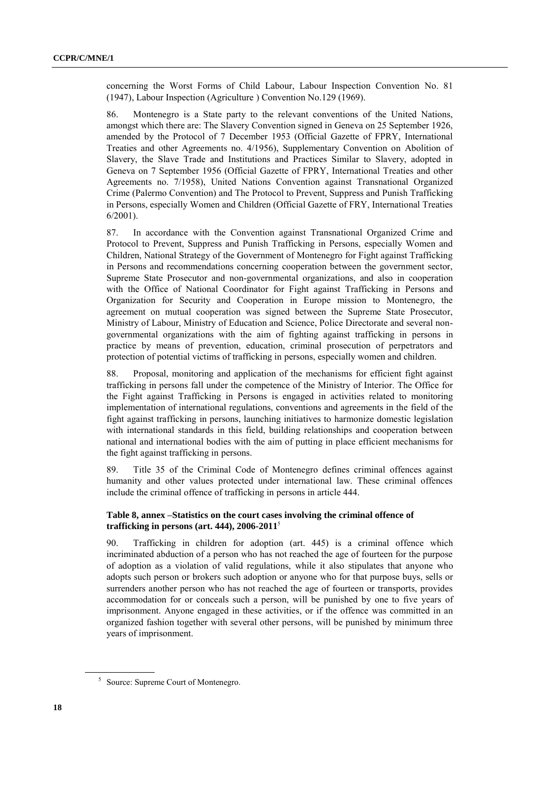concerning the Worst Forms of Child Labour, Labour Inspection Convention No. 81 (1947), Labour Inspection (Agriculture ) Convention No.129 (1969).

86. Montenegro is a State party to the relevant conventions of the United Nations, amongst which there are: The Slavery Convention signed in Geneva on 25 September 1926, amended by the Protocol of 7 December 1953 (Official Gazette of FPRY, International Treaties and other Agreements no. 4/1956), Supplementary Convention on Abolition of Slavery, the Slave Trade and Institutions and Practices Similar to Slavery, adopted in Geneva on 7 September 1956 (Official Gazette of FPRY, International Treaties and other Agreements no. 7/1958), United Nations Convention against Transnational Organized Crime (Palermo Convention) and The Protocol to Prevent, Suppress and Punish Trafficking in Persons, especially Women and Children (Official Gazette of FRY, International Treaties 6/2001).

87. In accordance with the Convention against Transnational Organized Crime and Protocol to Prevent, Suppress and Punish Trafficking in Persons, especially Women and Children, National Strategy of the Government of Montenegro for Fight against Trafficking in Persons and recommendations concerning cooperation between the government sector, Supreme State Prosecutor and non-governmental organizations, and also in cooperation with the Office of National Coordinator for Fight against Trafficking in Persons and Organization for Security and Cooperation in Europe mission to Montenegro, the agreement on mutual cooperation was signed between the Supreme State Prosecutor, Ministry of Labour, Ministry of Education and Science, Police Directorate and several nongovernmental organizations with the aim of fighting against trafficking in persons in practice by means of prevention, education, criminal prosecution of perpetrators and protection of potential victims of trafficking in persons, especially women and children.

88. Proposal, monitoring and application of the mechanisms for efficient fight against trafficking in persons fall under the competence of the Ministry of Interior. The Office for the Fight against Trafficking in Persons is engaged in activities related to monitoring implementation of international regulations, conventions and agreements in the field of the fight against trafficking in persons, launching initiatives to harmonize domestic legislation with international standards in this field, building relationships and cooperation between national and international bodies with the aim of putting in place efficient mechanisms for the fight against trafficking in persons.

89. Title 35 of the Criminal Code of Montenegro defines criminal offences against humanity and other values protected under international law. These criminal offences include the criminal offence of trafficking in persons in article 444.

# **Table 8, annex –Statistics on the court cases involving the criminal offence of trafficking in persons (art. 444), 2006-2011**<sup>5</sup>

90. Trafficking in children for adoption (art. 445) is a criminal offence which incriminated abduction of a person who has not reached the age of fourteen for the purpose of adoption as a violation of valid regulations, while it also stipulates that anyone who adopts such person or brokers such adoption or anyone who for that purpose buys, sells or surrenders another person who has not reached the age of fourteen or transports, provides accommodation for or conceals such a person, will be punished by one to five years of imprisonment. Anyone engaged in these activities, or if the offence was committed in an organized fashion together with several other persons, will be punished by minimum three years of imprisonment.

<sup>5</sup> Source: Supreme Court of Montenegro.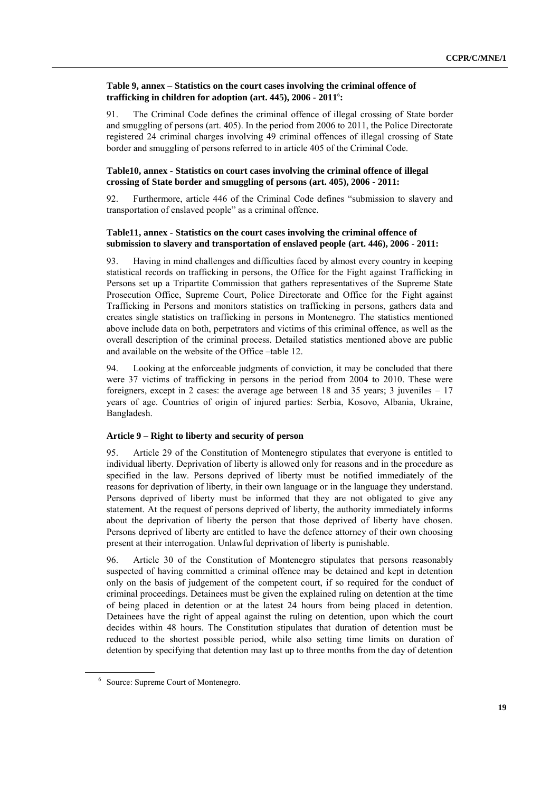# **Table 9, annex – Statistics on the court cases involving the criminal offence of trafficking in children for adoption (art. 445), 2006 - 2011**<sup>6</sup> **:**

91. The Criminal Code defines the criminal offence of illegal crossing of State border and smuggling of persons (art. 405). In the period from 2006 to 2011, the Police Directorate registered 24 criminal charges involving 49 criminal offences of illegal crossing of State border and smuggling of persons referred to in article 405 of the Criminal Code.

# **Table10, annex - Statistics on court cases involving the criminal offence of illegal crossing of State border and smuggling of persons (art. 405), 2006 - 2011:**

92. Furthermore, article 446 of the Criminal Code defines "submission to slavery and transportation of enslaved people" as a criminal offence.

# **Table11, annex - Statistics on the court cases involving the criminal offence of submission to slavery and transportation of enslaved people (art. 446), 2006 - 2011:**

93. Having in mind challenges and difficulties faced by almost every country in keeping statistical records on trafficking in persons, the Office for the Fight against Trafficking in Persons set up a Tripartite Commission that gathers representatives of the Supreme State Prosecution Office, Supreme Court, Police Directorate and Office for the Fight against Trafficking in Persons and monitors statistics on trafficking in persons, gathers data and creates single statistics on trafficking in persons in Montenegro. The statistics mentioned above include data on both, perpetrators and victims of this criminal offence, as well as the overall description of the criminal process. Detailed statistics mentioned above are public and available on the website of the Office –table 12.

94. Looking at the enforceable judgments of conviction, it may be concluded that there were 37 victims of trafficking in persons in the period from 2004 to 2010. These were foreigners, except in 2 cases: the average age between 18 and 35 years; 3 juveniles  $-17$ years of age. Countries of origin of injured parties: Serbia, Kosovo, Albania, Ukraine, Bangladesh.

# **Article 9 – Right to liberty and security of person**

95. Article 29 of the Constitution of Montenegro stipulates that everyone is entitled to individual liberty. Deprivation of liberty is allowed only for reasons and in the procedure as specified in the law. Persons deprived of liberty must be notified immediately of the reasons for deprivation of liberty, in their own language or in the language they understand. Persons deprived of liberty must be informed that they are not obligated to give any statement. At the request of persons deprived of liberty, the authority immediately informs about the deprivation of liberty the person that those deprived of liberty have chosen. Persons deprived of liberty are entitled to have the defence attorney of their own choosing present at their interrogation. Unlawful deprivation of liberty is punishable.

96. Article 30 of the Constitution of Montenegro stipulates that persons reasonably suspected of having committed a criminal offence may be detained and kept in detention only on the basis of judgement of the competent court, if so required for the conduct of criminal proceedings. Detainees must be given the explained ruling on detention at the time of being placed in detention or at the latest 24 hours from being placed in detention. Detainees have the right of appeal against the ruling on detention, upon which the court decides within 48 hours. The Constitution stipulates that duration of detention must be reduced to the shortest possible period, while also setting time limits on duration of detention by specifying that detention may last up to three months from the day of detention

<sup>6</sup> Source: Supreme Court of Montenegro.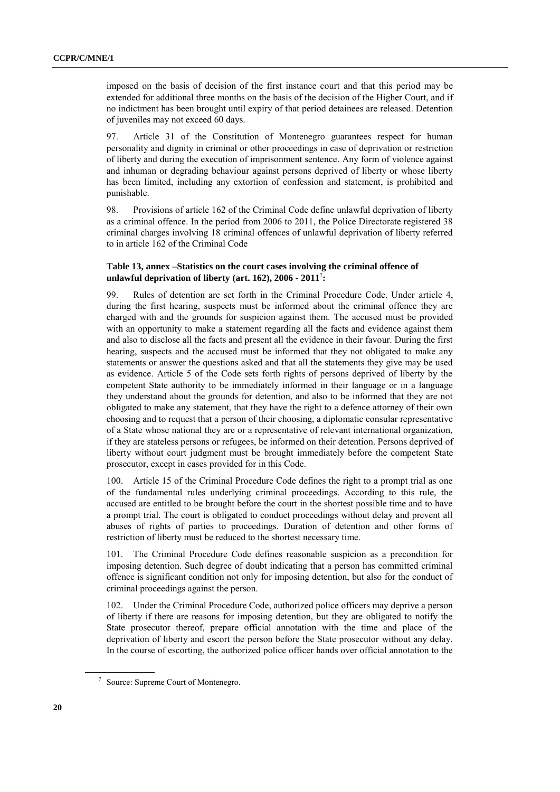imposed on the basis of decision of the first instance court and that this period may be extended for additional three months on the basis of the decision of the Higher Court, and if no indictment has been brought until expiry of that period detainees are released. Detention of juveniles may not exceed 60 days.

97. Article 31 of the Constitution of Montenegro guarantees respect for human personality and dignity in criminal or other proceedings in case of deprivation or restriction of liberty and during the execution of imprisonment sentence. Any form of violence against and inhuman or degrading behaviour against persons deprived of liberty or whose liberty has been limited, including any extortion of confession and statement, is prohibited and punishable.

98. Provisions of article 162 of the Criminal Code define unlawful deprivation of liberty as a criminal offence. In the period from 2006 to 2011, the Police Directorate registered 38 criminal charges involving 18 criminal offences of unlawful deprivation of liberty referred to in article 162 of the Criminal Code

# **Table 13, annex –Statistics on the court cases involving the criminal offence of unlawful deprivation of liberty (art. 162), 2006 - 2011**<sup>7</sup> **:**

99. Rules of detention are set forth in the Criminal Procedure Code. Under article 4, during the first hearing, suspects must be informed about the criminal offence they are charged with and the grounds for suspicion against them. The accused must be provided with an opportunity to make a statement regarding all the facts and evidence against them and also to disclose all the facts and present all the evidence in their favour. During the first hearing, suspects and the accused must be informed that they not obligated to make any statements or answer the questions asked and that all the statements they give may be used as evidence. Article 5 of the Code sets forth rights of persons deprived of liberty by the competent State authority to be immediately informed in their language or in a language they understand about the grounds for detention, and also to be informed that they are not obligated to make any statement, that they have the right to a defence attorney of their own choosing and to request that a person of their choosing, a diplomatic consular representative of a State whose national they are or a representative of relevant international organization, if they are stateless persons or refugees, be informed on their detention. Persons deprived of liberty without court judgment must be brought immediately before the competent State prosecutor, except in cases provided for in this Code.

100. Article 15 of the Criminal Procedure Code defines the right to a prompt trial as one of the fundamental rules underlying criminal proceedings. According to this rule, the accused are entitled to be brought before the court in the shortest possible time and to have a prompt trial. The court is obligated to conduct proceedings without delay and prevent all abuses of rights of parties to proceedings. Duration of detention and other forms of restriction of liberty must be reduced to the shortest necessary time.

101. The Criminal Procedure Code defines reasonable suspicion as a precondition for imposing detention. Such degree of doubt indicating that a person has committed criminal offence is significant condition not only for imposing detention, but also for the conduct of criminal proceedings against the person.

102. Under the Criminal Procedure Code, authorized police officers may deprive a person of liberty if there are reasons for imposing detention, but they are obligated to notify the State prosecutor thereof, prepare official annotation with the time and place of the deprivation of liberty and escort the person before the State prosecutor without any delay. In the course of escorting, the authorized police officer hands over official annotation to the

<sup>7</sup> Source: Supreme Court of Montenegro.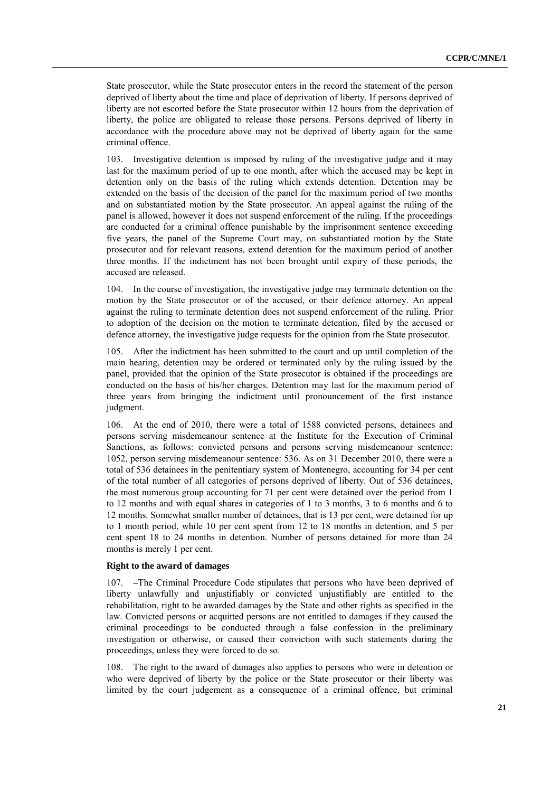State prosecutor, while the State prosecutor enters in the record the statement of the person deprived of liberty about the time and place of deprivation of liberty. If persons deprived of liberty are not escorted before the State prosecutor within 12 hours from the deprivation of liberty, the police are obligated to release those persons. Persons deprived of liberty in accordance with the procedure above may not be deprived of liberty again for the same criminal offence.

103. Investigative detention is imposed by ruling of the investigative judge and it may last for the maximum period of up to one month, after which the accused may be kept in detention only on the basis of the ruling which extends detention. Detention may be extended on the basis of the decision of the panel for the maximum period of two months and on substantiated motion by the State prosecutor. An appeal against the ruling of the panel is allowed, however it does not suspend enforcement of the ruling. If the proceedings are conducted for a criminal offence punishable by the imprisonment sentence exceeding five years, the panel of the Supreme Court may, on substantiated motion by the State prosecutor and for relevant reasons, extend detention for the maximum period of another three months. If the indictment has not been brought until expiry of these periods, the accused are released.

104. In the course of investigation, the investigative judge may terminate detention on the motion by the State prosecutor or of the accused, or their defence attorney. An appeal against the ruling to terminate detention does not suspend enforcement of the ruling. Prior to adoption of the decision on the motion to terminate detention, filed by the accused or defence attorney, the investigative judge requests for the opinion from the State prosecutor.

105. After the indictment has been submitted to the court and up until completion of the main hearing, detention may be ordered or terminated only by the ruling issued by the panel, provided that the opinion of the State prosecutor is obtained if the proceedings are conducted on the basis of his/her charges. Detention may last for the maximum period of three years from bringing the indictment until pronouncement of the first instance judgment.

106. At the end of 2010, there were a total of 1588 convicted persons, detainees and persons serving misdemeanour sentence at the Institute for the Execution of Criminal Sanctions, as follows: convicted persons and persons serving misdemeanour sentence: 1052, person serving misdemeanour sentence: 536. As on 31 December 2010, there were a total of 536 detainees in the penitentiary system of Montenegro, accounting for 34 per cent of the total number of all categories of persons deprived of liberty. Out of 536 detainees, the most numerous group accounting for 71 per cent were detained over the period from 1 to 12 months and with equal shares in categories of 1 to 3 months, 3 to 6 months and 6 to 12 months. Somewhat smaller number of detainees, that is 13 per cent, were detained for up to 1 month period, while 10 per cent spent from 12 to 18 months in detention, and 5 per cent spent 18 to 24 months in detention. Number of persons detained for more than 24 months is merely 1 per cent.

#### **Right to the award of damages**

107. **–**The Criminal Procedure Code stipulates that persons who have been deprived of liberty unlawfully and unjustifiably or convicted unjustifiably are entitled to the rehabilitation, right to be awarded damages by the State and other rights as specified in the law. Convicted persons or acquitted persons are not entitled to damages if they caused the criminal proceedings to be conducted through a false confession in the preliminary investigation or otherwise, or caused their conviction with such statements during the proceedings, unless they were forced to do so.

108. The right to the award of damages also applies to persons who were in detention or who were deprived of liberty by the police or the State prosecutor or their liberty was limited by the court judgement as a consequence of a criminal offence, but criminal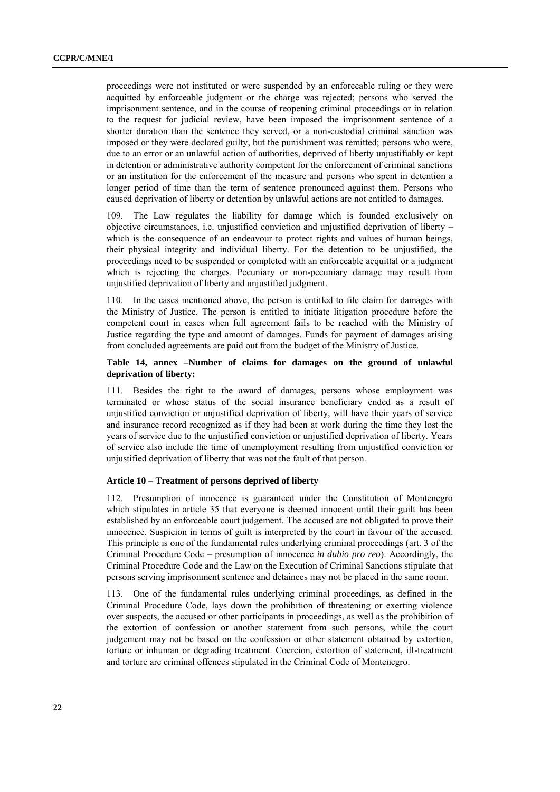proceedings were not instituted or were suspended by an enforceable ruling or they were acquitted by enforceable judgment or the charge was rejected; persons who served the imprisonment sentence, and in the course of reopening criminal proceedings or in relation to the request for judicial review, have been imposed the imprisonment sentence of a shorter duration than the sentence they served, or a non-custodial criminal sanction was imposed or they were declared guilty, but the punishment was remitted; persons who were, due to an error or an unlawful action of authorities, deprived of liberty unjustifiably or kept in detention or administrative authority competent for the enforcement of criminal sanctions or an institution for the enforcement of the measure and persons who spent in detention a longer period of time than the term of sentence pronounced against them. Persons who caused deprivation of liberty or detention by unlawful actions are not entitled to damages.

109. The Law regulates the liability for damage which is founded exclusively on objective circumstances, i.e. unjustified conviction and unjustified deprivation of liberty – which is the consequence of an endeavour to protect rights and values of human beings, their physical integrity and individual liberty. For the detention to be unjustified, the proceedings need to be suspended or completed with an enforceable acquittal or a judgment which is rejecting the charges. Pecuniary or non-pecuniary damage may result from unjustified deprivation of liberty and unjustified judgment.

110. In the cases mentioned above, the person is entitled to file claim for damages with the Ministry of Justice. The person is entitled to initiate litigation procedure before the competent court in cases when full agreement fails to be reached with the Ministry of Justice regarding the type and amount of damages. Funds for payment of damages arising from concluded agreements are paid out from the budget of the Ministry of Justice.

# **Table 14, annex –Number of claims for damages on the ground of unlawful deprivation of liberty:**

111. Besides the right to the award of damages, persons whose employment was terminated or whose status of the social insurance beneficiary ended as a result of unjustified conviction or unjustified deprivation of liberty, will have their years of service and insurance record recognized as if they had been at work during the time they lost the years of service due to the unjustified conviction or unjustified deprivation of liberty. Years of service also include the time of unemployment resulting from unjustified conviction or unjustified deprivation of liberty that was not the fault of that person.

# **Article 10 – Treatment of persons deprived of liberty**

112. Presumption of innocence is guaranteed under the Constitution of Montenegro which stipulates in article 35 that everyone is deemed innocent until their guilt has been established by an enforceable court judgement. The accused are not obligated to prove their innocence. Suspicion in terms of guilt is interpreted by the court in favour of the accused. This principle is one of the fundamental rules underlying criminal proceedings (art. 3 of the Criminal Procedure Code – presumption of innocence *in dubio pro reo*). Accordingly, the Criminal Procedure Code and the Law on the Execution of Criminal Sanctions stipulate that persons serving imprisonment sentence and detainees may not be placed in the same room.

113. One of the fundamental rules underlying criminal proceedings, as defined in the Criminal Procedure Code, lays down the prohibition of threatening or exerting violence over suspects, the accused or other participants in proceedings, as well as the prohibition of the extortion of confession or another statement from such persons, while the court judgement may not be based on the confession or other statement obtained by extortion, torture or inhuman or degrading treatment. Coercion, extortion of statement, ill-treatment and torture are criminal offences stipulated in the Criminal Code of Montenegro.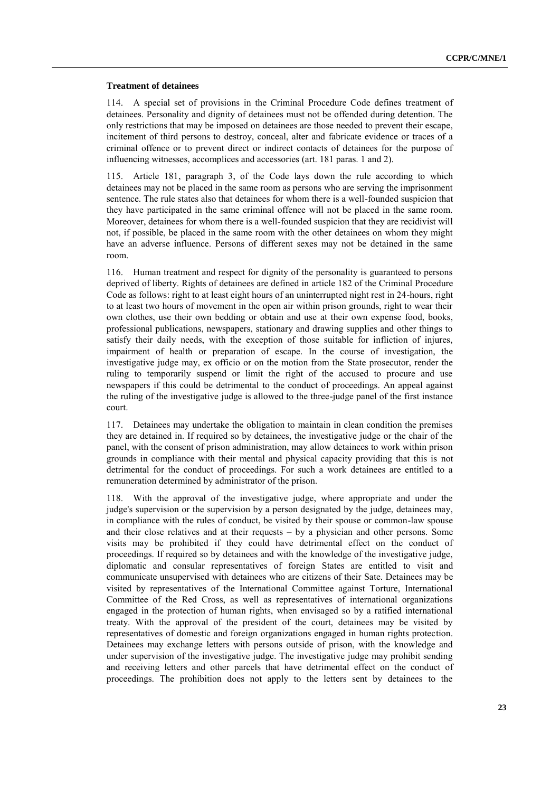#### **Treatment of detainees**

114. A special set of provisions in the Criminal Procedure Code defines treatment of detainees. Personality and dignity of detainees must not be offended during detention. The only restrictions that may be imposed on detainees are those needed to prevent their escape, incitement of third persons to destroy, conceal, alter and fabricate evidence or traces of a criminal offence or to prevent direct or indirect contacts of detainees for the purpose of influencing witnesses, accomplices and accessories (art. 181 paras. 1 and 2).

115. Article 181, paragraph 3, of the Code lays down the rule according to which detainees may not be placed in the same room as persons who are serving the imprisonment sentence. The rule states also that detainees for whom there is a well-founded suspicion that they have participated in the same criminal offence will not be placed in the same room. Moreover, detainees for whom there is a well-founded suspicion that they are recidivist will not, if possible, be placed in the same room with the other detainees on whom they might have an adverse influence. Persons of different sexes may not be detained in the same room.

116. Human treatment and respect for dignity of the personality is guaranteed to persons deprived of liberty. Rights of detainees are defined in article 182 of the Criminal Procedure Code as follows: right to at least eight hours of an uninterrupted night rest in 24-hours, right to at least two hours of movement in the open air within prison grounds, right to wear their own clothes, use their own bedding or obtain and use at their own expense food, books, professional publications, newspapers, stationary and drawing supplies and other things to satisfy their daily needs, with the exception of those suitable for infliction of injures, impairment of health or preparation of escape. In the course of investigation, the investigative judge may, ex officio or on the motion from the State prosecutor, render the ruling to temporarily suspend or limit the right of the accused to procure and use newspapers if this could be detrimental to the conduct of proceedings. An appeal against the ruling of the investigative judge is allowed to the three-judge panel of the first instance court.

117. Detainees may undertake the obligation to maintain in clean condition the premises they are detained in. If required so by detainees, the investigative judge or the chair of the panel, with the consent of prison administration, may allow detainees to work within prison grounds in compliance with their mental and physical capacity providing that this is not detrimental for the conduct of proceedings. For such a work detainees are entitled to a remuneration determined by administrator of the prison.

118. With the approval of the investigative judge, where appropriate and under the judge's supervision or the supervision by a person designated by the judge, detainees may, in compliance with the rules of conduct, be visited by their spouse or common-law spouse and their close relatives and at their requests – by a physician and other persons. Some visits may be prohibited if they could have detrimental effect on the conduct of proceedings. If required so by detainees and with the knowledge of the investigative judge, diplomatic and consular representatives of foreign States are entitled to visit and communicate unsupervised with detainees who are citizens of their Sate. Detainees may be visited by representatives of the International Committee against Torture, International Committee of the Red Cross, as well as representatives of international organizations engaged in the protection of human rights, when envisaged so by a ratified international treaty. With the approval of the president of the court, detainees may be visited by representatives of domestic and foreign organizations engaged in human rights protection. Detainees may exchange letters with persons outside of prison, with the knowledge and under supervision of the investigative judge. The investigative judge may prohibit sending and receiving letters and other parcels that have detrimental effect on the conduct of proceedings. The prohibition does not apply to the letters sent by detainees to the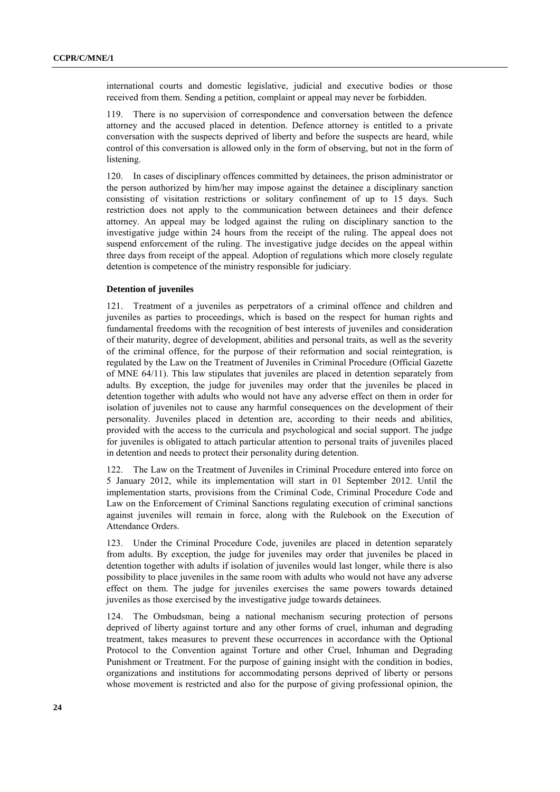international courts and domestic legislative, judicial and executive bodies or those received from them. Sending a petition, complaint or appeal may never be forbidden.

119. There is no supervision of correspondence and conversation between the defence attorney and the accused placed in detention. Defence attorney is entitled to a private conversation with the suspects deprived of liberty and before the suspects are heard, while control of this conversation is allowed only in the form of observing, but not in the form of listening.

120. In cases of disciplinary offences committed by detainees, the prison administrator or the person authorized by him/her may impose against the detainee a disciplinary sanction consisting of visitation restrictions or solitary confinement of up to 15 days. Such restriction does not apply to the communication between detainees and their defence attorney. An appeal may be lodged against the ruling on disciplinary sanction to the investigative judge within 24 hours from the receipt of the ruling. The appeal does not suspend enforcement of the ruling. The investigative judge decides on the appeal within three days from receipt of the appeal. Adoption of regulations which more closely regulate detention is competence of the ministry responsible for judiciary.

# **Detention of juveniles**

121. Treatment of a juveniles as perpetrators of a criminal offence and children and juveniles as parties to proceedings, which is based on the respect for human rights and fundamental freedoms with the recognition of best interests of juveniles and consideration of their maturity, degree of development, abilities and personal traits, as well as the severity of the criminal offence, for the purpose of their reformation and social reintegration, is regulated by the Law on the Treatment of Juveniles in Criminal Procedure (Official Gazette of MNE 64/11). This law stipulates that juveniles are placed in detention separately from adults. By exception, the judge for juveniles may order that the juveniles be placed in detention together with adults who would not have any adverse effect on them in order for isolation of juveniles not to cause any harmful consequences on the development of their personality. Juveniles placed in detention are, according to their needs and abilities, provided with the access to the curricula and psychological and social support. The judge for juveniles is obligated to attach particular attention to personal traits of juveniles placed in detention and needs to protect their personality during detention.

122. The Law on the Treatment of Juveniles in Criminal Procedure entered into force on 5 January 2012, while its implementation will start in 01 September 2012. Until the implementation starts, provisions from the Criminal Code, Criminal Procedure Code and Law on the Enforcement of Criminal Sanctions regulating execution of criminal sanctions against juveniles will remain in force, along with the Rulebook on the Execution of Attendance Orders.

123. Under the Criminal Procedure Code, juveniles are placed in detention separately from adults. By exception, the judge for juveniles may order that juveniles be placed in detention together with adults if isolation of juveniles would last longer, while there is also possibility to place juveniles in the same room with adults who would not have any adverse effect on them. The judge for juveniles exercises the same powers towards detained juveniles as those exercised by the investigative judge towards detainees.

124. The Ombudsman, being a national mechanism securing protection of persons deprived of liberty against torture and any other forms of cruel, inhuman and degrading treatment, takes measures to prevent these occurrences in accordance with the Optional Protocol to the Convention against Torture and other Cruel, Inhuman and Degrading Punishment or Treatment. For the purpose of gaining insight with the condition in bodies, organizations and institutions for accommodating persons deprived of liberty or persons whose movement is restricted and also for the purpose of giving professional opinion, the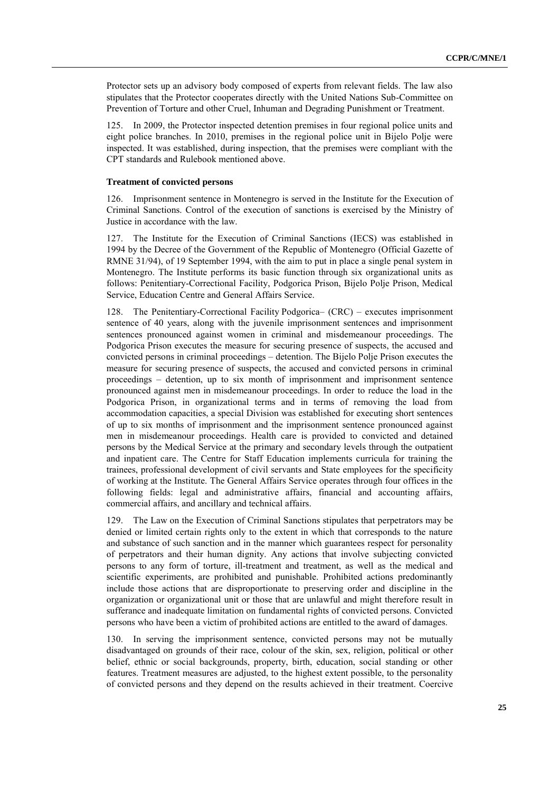Protector sets up an advisory body composed of experts from relevant fields. The law also stipulates that the Protector cooperates directly with the United Nations Sub-Committee on Prevention of Torture and other Cruel, Inhuman and Degrading Punishment or Treatment.

125. In 2009, the Protector inspected detention premises in four regional police units and eight police branches. In 2010, premises in the regional police unit in Bijelo Polje were inspected. It was established, during inspection, that the premises were compliant with the CPT standards and Rulebook mentioned above.

#### **Treatment of convicted persons**

126. Imprisonment sentence in Montenegro is served in the Institute for the Execution of Criminal Sanctions. Control of the execution of sanctions is exercised by the Ministry of Justice in accordance with the law.

127. The Institute for the Execution of Criminal Sanctions (IECS) was established in 1994 by the Decree of the Government of the Republic of Montenegro (Official Gazette of RMNE 31/94), of 19 September 1994, with the aim to put in place a single penal system in Montenegro. The Institute performs its basic function through six organizational units as follows: Penitentiary-Correctional Facility, Podgorica Prison, Bijelo Polje Prison, Medical Service, Education Centre and General Affairs Service.

128. The Penitentiary-Correctional Facility Podgorica– (CRC) – executes imprisonment sentence of 40 years, along with the juvenile imprisonment sentences and imprisonment sentences pronounced against women in criminal and misdemeanour proceedings. The Podgorica Prison executes the measure for securing presence of suspects, the accused and convicted persons in criminal proceedings – detention. The Bijelo Polje Prison executes the measure for securing presence of suspects, the accused and convicted persons in criminal proceedings – detention, up to six month of imprisonment and imprisonment sentence pronounced against men in misdemeanour proceedings. In order to reduce the load in the Podgorica Prison, in organizational terms and in terms of removing the load from accommodation capacities, a special Division was established for executing short sentences of up to six months of imprisonment and the imprisonment sentence pronounced against men in misdemeanour proceedings. Health care is provided to convicted and detained persons by the Medical Service at the primary and secondary levels through the outpatient and inpatient care. The Centre for Staff Education implements curricula for training the trainees, professional development of civil servants and State employees for the specificity of working at the Institute. The General Affairs Service operates through four offices in the following fields: legal and administrative affairs, financial and accounting affairs, commercial affairs, and ancillary and technical affairs.

129. The Law on the Execution of Criminal Sanctions stipulates that perpetrators may be denied or limited certain rights only to the extent in which that corresponds to the nature and substance of such sanction and in the manner which guarantees respect for personality of perpetrators and their human dignity. Any actions that involve subjecting convicted persons to any form of torture, ill-treatment and treatment, as well as the medical and scientific experiments, are prohibited and punishable. Prohibited actions predominantly include those actions that are disproportionate to preserving order and discipline in the organization or organizational unit or those that are unlawful and might therefore result in sufferance and inadequate limitation on fundamental rights of convicted persons. Convicted persons who have been a victim of prohibited actions are entitled to the award of damages.

130. In serving the imprisonment sentence, convicted persons may not be mutually disadvantaged on grounds of their race, colour of the skin, sex, religion, political or other belief, ethnic or social backgrounds, property, birth, education, social standing or other features. Treatment measures are adjusted, to the highest extent possible, to the personality of convicted persons and they depend on the results achieved in their treatment. Coercive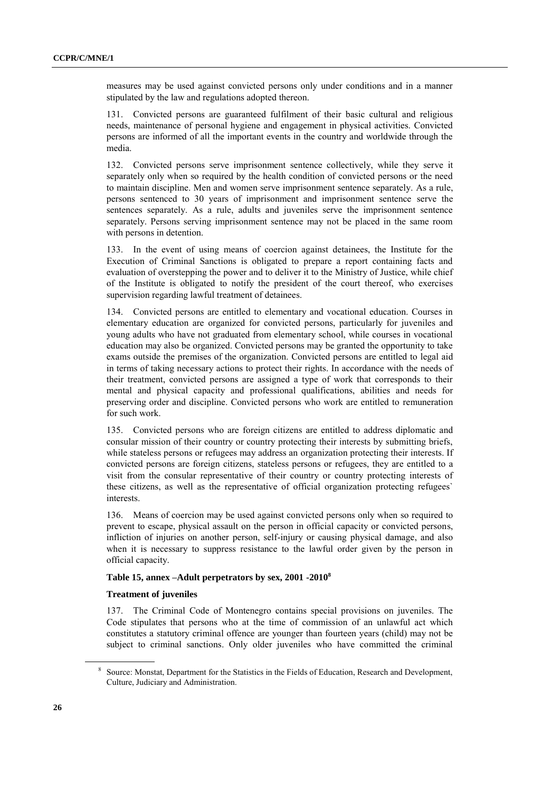measures may be used against convicted persons only under conditions and in a manner stipulated by the law and regulations adopted thereon.

131. Convicted persons are guaranteed fulfilment of their basic cultural and religious needs, maintenance of personal hygiene and engagement in physical activities. Convicted persons are informed of all the important events in the country and worldwide through the media.

132. Convicted persons serve imprisonment sentence collectively, while they serve it separately only when so required by the health condition of convicted persons or the need to maintain discipline. Men and women serve imprisonment sentence separately. As a rule, persons sentenced to 30 years of imprisonment and imprisonment sentence serve the sentences separately. As a rule, adults and juveniles serve the imprisonment sentence separately. Persons serving imprisonment sentence may not be placed in the same room with persons in detention.

133. In the event of using means of coercion against detainees, the Institute for the Execution of Criminal Sanctions is obligated to prepare a report containing facts and evaluation of overstepping the power and to deliver it to the Ministry of Justice, while chief of the Institute is obligated to notify the president of the court thereof, who exercises supervision regarding lawful treatment of detainees.

134. Convicted persons are entitled to elementary and vocational education. Courses in elementary education are organized for convicted persons, particularly for juveniles and young adults who have not graduated from elementary school, while courses in vocational education may also be organized. Convicted persons may be granted the opportunity to take exams outside the premises of the organization. Convicted persons are entitled to legal aid in terms of taking necessary actions to protect their rights. In accordance with the needs of their treatment, convicted persons are assigned a type of work that corresponds to their mental and physical capacity and professional qualifications, abilities and needs for preserving order and discipline. Convicted persons who work are entitled to remuneration for such work.

135. Convicted persons who are foreign citizens are entitled to address diplomatic and consular mission of their country or country protecting their interests by submitting briefs, while stateless persons or refugees may address an organization protecting their interests. If convicted persons are foreign citizens, stateless persons or refugees, they are entitled to a visit from the consular representative of their country or country protecting interests of these citizens, as well as the representative of official organization protecting refugees` interests.

136. Means of coercion may be used against convicted persons only when so required to prevent to escape, physical assault on the person in official capacity or convicted persons, infliction of injuries on another person, self-injury or causing physical damage, and also when it is necessary to suppress resistance to the lawful order given by the person in official capacity.

# **Table 15, annex –Adult perpetrators by sex, 2001 -2010<sup>8</sup>**

# **Treatment of juveniles**

137. The Criminal Code of Montenegro contains special provisions on juveniles. The Code stipulates that persons who at the time of commission of an unlawful act which constitutes a statutory criminal offence are younger than fourteen years (child) may not be subject to criminal sanctions. Only older juveniles who have committed the criminal

<sup>8</sup> Source: Monstat, Department for the Statistics in the Fields of Education, Research and Development, Culture, Judiciary and Administration.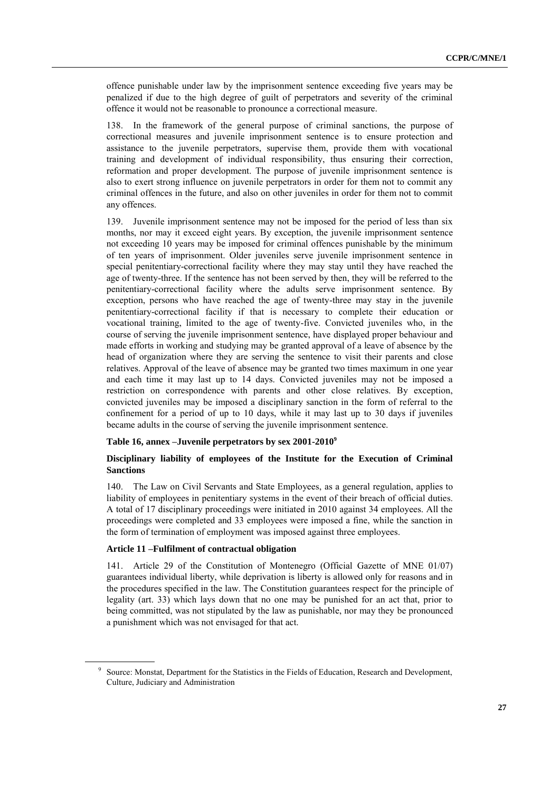offence punishable under law by the imprisonment sentence exceeding five years may be penalized if due to the high degree of guilt of perpetrators and severity of the criminal offence it would not be reasonable to pronounce a correctional measure.

138. In the framework of the general purpose of criminal sanctions, the purpose of correctional measures and juvenile imprisonment sentence is to ensure protection and assistance to the juvenile perpetrators, supervise them, provide them with vocational training and development of individual responsibility, thus ensuring their correction, reformation and proper development. The purpose of juvenile imprisonment sentence is also to exert strong influence on juvenile perpetrators in order for them not to commit any criminal offences in the future, and also on other juveniles in order for them not to commit any offences.

139. Juvenile imprisonment sentence may not be imposed for the period of less than six months, nor may it exceed eight years. By exception, the juvenile imprisonment sentence not exceeding 10 years may be imposed for criminal offences punishable by the minimum of ten years of imprisonment. Older juveniles serve juvenile imprisonment sentence in special penitentiary-correctional facility where they may stay until they have reached the age of twenty-three. If the sentence has not been served by then, they will be referred to the penitentiary-correctional facility where the adults serve imprisonment sentence. By exception, persons who have reached the age of twenty-three may stay in the juvenile penitentiary-correctional facility if that is necessary to complete their education or vocational training, limited to the age of twenty-five. Convicted juveniles who, in the course of serving the juvenile imprisonment sentence, have displayed proper behaviour and made efforts in working and studying may be granted approval of a leave of absence by the head of organization where they are serving the sentence to visit their parents and close relatives. Approval of the leave of absence may be granted two times maximum in one year and each time it may last up to 14 days. Convicted juveniles may not be imposed a restriction on correspondence with parents and other close relatives. By exception, convicted juveniles may be imposed a disciplinary sanction in the form of referral to the confinement for a period of up to 10 days, while it may last up to 30 days if juveniles became adults in the course of serving the juvenile imprisonment sentence.

#### **Table 16, annex –Juvenile perpetrators by sex 2001-2010<sup>9</sup>**

# **Disciplinary liability of employees of the Institute for the Execution of Criminal Sanctions**

140. The Law on Civil Servants and State Employees, as a general regulation, applies to liability of employees in penitentiary systems in the event of their breach of official duties. A total of 17 disciplinary proceedings were initiated in 2010 against 34 employees. All the proceedings were completed and 33 employees were imposed a fine, while the sanction in the form of termination of employment was imposed against three employees.

# **Article 11 –Fulfilment of contractual obligation**

141. Article 29 of the Constitution of Montenegro (Official Gazette of MNE 01/07) guarantees individual liberty, while deprivation is liberty is allowed only for reasons and in the procedures specified in the law. The Constitution guarantees respect for the principle of legality (art. 33) which lays down that no one may be punished for an act that, prior to being committed, was not stipulated by the law as punishable, nor may they be pronounced a punishment which was not envisaged for that act.

<sup>9</sup> Source: Monstat, Department for the Statistics in the Fields of Education, Research and Development, Culture, Judiciary and Administration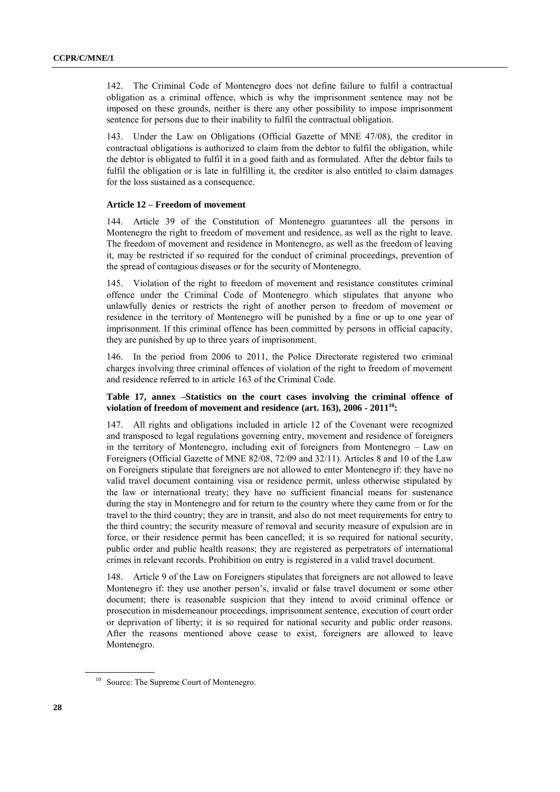142. The Criminal Code of Montenegro does not define failure to fulfil a contractual obligation as a criminal offence, which is why the imprisonment sentence may not be imposed on these grounds, neither is there any other possibility to impose imprisonment sentence for persons due to their inability to fulfil the contractual obligation.

143. Under the Law on Obligations (Official Gazette of MNE 47/08), the creditor in contractual obligations is authorized to claim from the debtor to fulfil the obligation, while the debtor is obligated to fulfil it in a good faith and as formulated. After the debtor fails to fulfil the obligation or is late in fulfilling it, the creditor is also entitled to claim damages for the loss sustained as a consequence.

# **Article 12 – Freedom of movement**

144. Article 39 of the Constitution of Montenegro guarantees all the persons in Montenegro the right to freedom of movement and residence, as well as the right to leave. The freedom of movement and residence in Montenegro, as well as the freedom of leaving it, may be restricted if so required for the conduct of criminal proceedings, prevention of the spread of contagious diseases or for the security of Montenegro.

145. Violation of the right to freedom of movement and resistance constitutes criminal offence under the Criminal Code of Montenegro which stipulates that anyone who unlawfully denies or restricts the right of another person to freedom of movement or residence in the territory of Montenegro will be punished by a fine or up to one year of imprisonment. If this criminal offence has been committed by persons in official capacity, they are punished by up to three years of imprisonment.

146. In the period from 2006 to 2011, the Police Directorate registered two criminal charges involving three criminal offences of violation of the right to freedom of movement and residence referred to in article 163 of the Criminal Code.

# **Table 17, annex –Statistics on the court cases involving the criminal offence of violation of freedom of movement and residence (art. 163), 2006 - 2011<sup>10</sup>:**

147. All rights and obligations included in article 12 of the Covenant were recognized and transposed to legal regulations governing entry, movement and residence of foreigners in the territory of Montenegro, including exit of foreigners from Montenegro – Law on Foreigners (Official Gazette of MNE 82/08, 72/09 and 32/11). Articles 8 and 10 of the Law on Foreigners stipulate that foreigners are not allowed to enter Montenegro if: they have no valid travel document containing visa or residence permit, unless otherwise stipulated by the law or international treaty; they have no sufficient financial means for sustenance during the stay in Montenegro and for return to the country where they came from or for the travel to the third country; they are in transit, and also do not meet requirements for entry to the third country; the security measure of removal and security measure of expulsion are in force, or their residence permit has been cancelled; it is so required for national security, public order and public health reasons; they are registered as perpetrators of international crimes in relevant records. Prohibition on entry is registered in a valid travel document.

148. Article 9 of the Law on Foreigners stipulates that foreigners are not allowed to leave Montenegro if: they use another person's, invalid or false travel document or some other document; there is reasonable suspicion that they intend to avoid criminal offence or prosecution in misdemeanour proceedings, imprisonment sentence, execution of court order or deprivation of liberty; it is so required for national security and public order reasons. After the reasons mentioned above cease to exist, foreigners are allowed to leave Montenegro.

<sup>&</sup>lt;sup>10</sup> Source: The Supreme Court of Montenegro.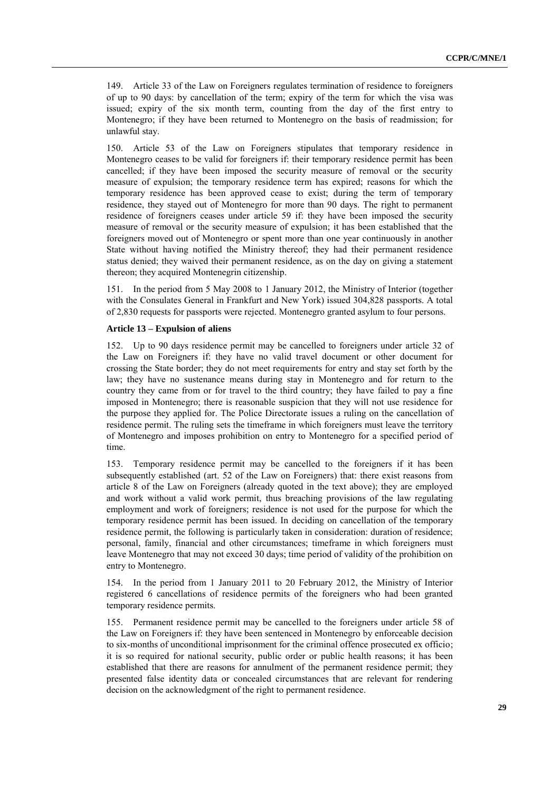149. Article 33 of the Law on Foreigners regulates termination of residence to foreigners of up to 90 days: by cancellation of the term; expiry of the term for which the visa was issued; expiry of the six month term, counting from the day of the first entry to Montenegro; if they have been returned to Montenegro on the basis of readmission; for unlawful stay.

150. Article 53 of the Law on Foreigners stipulates that temporary residence in Montenegro ceases to be valid for foreigners if: their temporary residence permit has been cancelled; if they have been imposed the security measure of removal or the security measure of expulsion; the temporary residence term has expired; reasons for which the temporary residence has been approved cease to exist; during the term of temporary residence, they stayed out of Montenegro for more than 90 days. The right to permanent residence of foreigners ceases under article 59 if: they have been imposed the security measure of removal or the security measure of expulsion; it has been established that the foreigners moved out of Montenegro or spent more than one year continuously in another State without having notified the Ministry thereof; they had their permanent residence status denied; they waived their permanent residence, as on the day on giving a statement thereon; they acquired Montenegrin citizenship.

151. In the period from 5 May 2008 to 1 January 2012, the Ministry of Interior (together with the Consulates General in Frankfurt and New York) issued 304,828 passports. A total of 2,830 requests for passports were rejected. Montenegro granted asylum to four persons.

#### **Article 13 – Expulsion of aliens**

152. Up to 90 days residence permit may be cancelled to foreigners under article 32 of the Law on Foreigners if: they have no valid travel document or other document for crossing the State border; they do not meet requirements for entry and stay set forth by the law; they have no sustenance means during stay in Montenegro and for return to the country they came from or for travel to the third country; they have failed to pay a fine imposed in Montenegro; there is reasonable suspicion that they will not use residence for the purpose they applied for. The Police Directorate issues a ruling on the cancellation of residence permit. The ruling sets the timeframe in which foreigners must leave the territory of Montenegro and imposes prohibition on entry to Montenegro for a specified period of time.

153. Temporary residence permit may be cancelled to the foreigners if it has been subsequently established (art. 52 of the Law on Foreigners) that: there exist reasons from article 8 of the Law on Foreigners (already quoted in the text above); they are employed and work without a valid work permit, thus breaching provisions of the law regulating employment and work of foreigners; residence is not used for the purpose for which the temporary residence permit has been issued. In deciding on cancellation of the temporary residence permit, the following is particularly taken in consideration: duration of residence; personal, family, financial and other circumstances; timeframe in which foreigners must leave Montenegro that may not exceed 30 days; time period of validity of the prohibition on entry to Montenegro.

154. In the period from 1 January 2011 to 20 February 2012, the Ministry of Interior registered 6 cancellations of residence permits of the foreigners who had been granted temporary residence permits.

155. Permanent residence permit may be cancelled to the foreigners under article 58 of the Law on Foreigners if: they have been sentenced in Montenegro by enforceable decision to six-months of unconditional imprisonment for the criminal offence prosecuted ex officio; it is so required for national security, public order or public health reasons; it has been established that there are reasons for annulment of the permanent residence permit; they presented false identity data or concealed circumstances that are relevant for rendering decision on the acknowledgment of the right to permanent residence.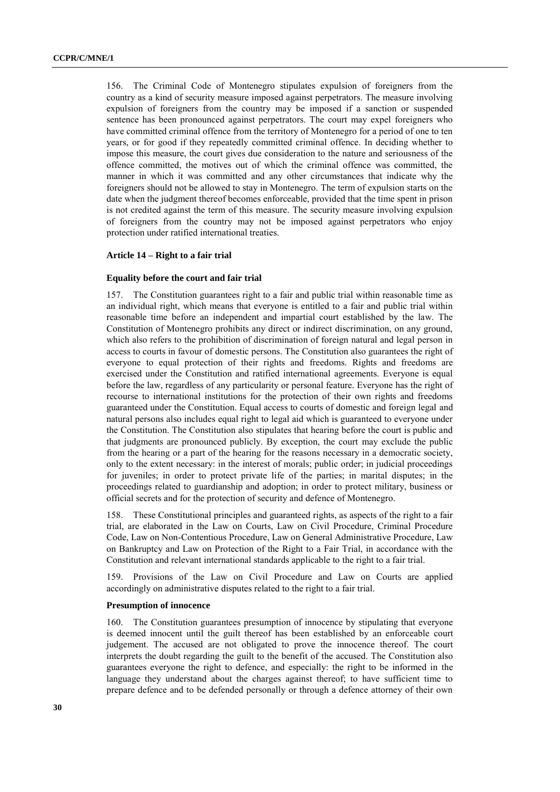156. The Criminal Code of Montenegro stipulates expulsion of foreigners from the country as a kind of security measure imposed against perpetrators. The measure involving expulsion of foreigners from the country may be imposed if a sanction or suspended sentence has been pronounced against perpetrators. The court may expel foreigners who have committed criminal offence from the territory of Montenegro for a period of one to ten years, or for good if they repeatedly committed criminal offence. In deciding whether to impose this measure, the court gives due consideration to the nature and seriousness of the offence committed, the motives out of which the criminal offence was committed, the manner in which it was committed and any other circumstances that indicate why the foreigners should not be allowed to stay in Montenegro. The term of expulsion starts on the date when the judgment thereof becomes enforceable, provided that the time spent in prison is not credited against the term of this measure. The security measure involving expulsion of foreigners from the country may not be imposed against perpetrators who enjoy protection under ratified international treaties.

#### **Article 14 – Right to a fair trial**

#### **Equality before the court and fair trial**

157. The Constitution guarantees right to a fair and public trial within reasonable time as an individual right, which means that everyone is entitled to a fair and public trial within reasonable time before an independent and impartial court established by the law. The Constitution of Montenegro prohibits any direct or indirect discrimination, on any ground, which also refers to the prohibition of discrimination of foreign natural and legal person in access to courts in favour of domestic persons. The Constitution also guarantees the right of everyone to equal protection of their rights and freedoms. Rights and freedoms are exercised under the Constitution and ratified international agreements. Everyone is equal before the law, regardless of any particularity or personal feature. Everyone has the right of recourse to international institutions for the protection of their own rights and freedoms guaranteed under the Constitution. Equal access to courts of domestic and foreign legal and natural persons also includes equal right to legal aid which is guaranteed to everyone under the Constitution. The Constitution also stipulates that hearing before the court is public and that judgments are pronounced publicly. By exception, the court may exclude the public from the hearing or a part of the hearing for the reasons necessary in a democratic society, only to the extent necessary: in the interest of morals; public order; in judicial proceedings for juveniles; in order to protect private life of the parties; in marital disputes; in the proceedings related to guardianship and adoption; in order to protect military, business or official secrets and for the protection of security and defence of Montenegro.

158. These Constitutional principles and guaranteed rights, as aspects of the right to a fair trial, are elaborated in the Law on Courts, Law on Civil Procedure, Criminal Procedure Code, Law on Non-Contentious Procedure, Law on General Administrative Procedure, Law on Bankruptcy and Law on Protection of the Right to a Fair Trial, in accordance with the Constitution and relevant international standards applicable to the right to a fair trial.

159. Provisions of the Law on Civil Procedure and Law on Courts are applied accordingly on administrative disputes related to the right to a fair trial.

#### **Presumption of innocence**

160. The Constitution guarantees presumption of innocence by stipulating that everyone is deemed innocent until the guilt thereof has been established by an enforceable court judgement. The accused are not obligated to prove the innocence thereof. The court interprets the doubt regarding the guilt to the benefit of the accused. The Constitution also guarantees everyone the right to defence, and especially: the right to be informed in the language they understand about the charges against thereof; to have sufficient time to prepare defence and to be defended personally or through a defence attorney of their own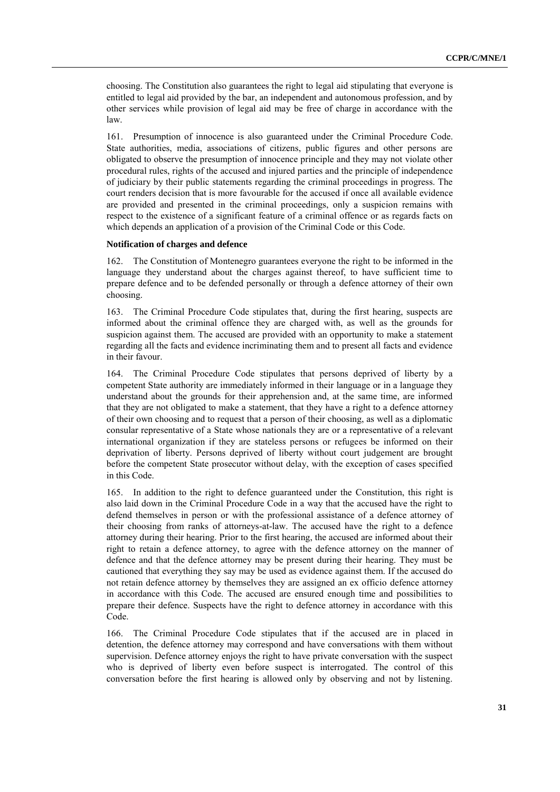choosing. The Constitution also guarantees the right to legal aid stipulating that everyone is entitled to legal aid provided by the bar, an independent and autonomous profession, and by other services while provision of legal aid may be free of charge in accordance with the law.

161. Presumption of innocence is also guaranteed under the Criminal Procedure Code. State authorities, media, associations of citizens, public figures and other persons are obligated to observe the presumption of innocence principle and they may not violate other procedural rules, rights of the accused and injured parties and the principle of independence of judiciary by their public statements regarding the criminal proceedings in progress. The court renders decision that is more favourable for the accused if once all available evidence are provided and presented in the criminal proceedings, only a suspicion remains with respect to the existence of a significant feature of a criminal offence or as regards facts on which depends an application of a provision of the Criminal Code or this Code.

#### **Notification of charges and defence**

162. The Constitution of Montenegro guarantees everyone the right to be informed in the language they understand about the charges against thereof, to have sufficient time to prepare defence and to be defended personally or through a defence attorney of their own choosing.

163. The Criminal Procedure Code stipulates that, during the first hearing, suspects are informed about the criminal offence they are charged with, as well as the grounds for suspicion against them. The accused are provided with an opportunity to make a statement regarding all the facts and evidence incriminating them and to present all facts and evidence in their favour.

164. The Criminal Procedure Code stipulates that persons deprived of liberty by a competent State authority are immediately informed in their language or in a language they understand about the grounds for their apprehension and, at the same time, are informed that they are not obligated to make a statement, that they have a right to a defence attorney of their own choosing and to request that a person of their choosing, as well as a diplomatic consular representative of a State whose nationals they are or a representative of a relevant international organization if they are stateless persons or refugees be informed on their deprivation of liberty. Persons deprived of liberty without court judgement are brought before the competent State prosecutor without delay, with the exception of cases specified in this Code.

165. In addition to the right to defence guaranteed under the Constitution, this right is also laid down in the Criminal Procedure Code in a way that the accused have the right to defend themselves in person or with the professional assistance of a defence attorney of their choosing from ranks of attorneys-at-law. The accused have the right to a defence attorney during their hearing. Prior to the first hearing, the accused are informed about their right to retain a defence attorney, to agree with the defence attorney on the manner of defence and that the defence attorney may be present during their hearing. They must be cautioned that everything they say may be used as evidence against them. If the accused do not retain defence attorney by themselves they are assigned an ex officio defence attorney in accordance with this Code. The accused are ensured enough time and possibilities to prepare their defence. Suspects have the right to defence attorney in accordance with this Code.

166. The Criminal Procedure Code stipulates that if the accused are in placed in detention, the defence attorney may correspond and have conversations with them without supervision. Defence attorney enjoys the right to have private conversation with the suspect who is deprived of liberty even before suspect is interrogated. The control of this conversation before the first hearing is allowed only by observing and not by listening.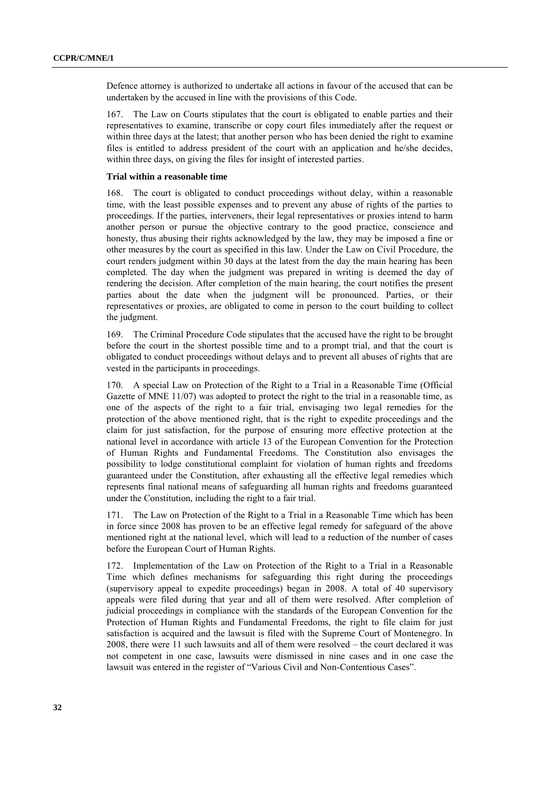Defence attorney is authorized to undertake all actions in favour of the accused that can be undertaken by the accused in line with the provisions of this Code.

167. The Law on Courts stipulates that the court is obligated to enable parties and their representatives to examine, transcribe or copy court files immediately after the request or within three days at the latest; that another person who has been denied the right to examine files is entitled to address president of the court with an application and he/she decides, within three days, on giving the files for insight of interested parties.

#### **Trial within a reasonable time**

168. The court is obligated to conduct proceedings without delay, within a reasonable time, with the least possible expenses and to prevent any abuse of rights of the parties to proceedings. If the parties, interveners, their legal representatives or proxies intend to harm another person or pursue the objective contrary to the good practice, conscience and honesty, thus abusing their rights acknowledged by the law, they may be imposed a fine or other measures by the court as specified in this law. Under the Law on Civil Procedure, the court renders judgment within 30 days at the latest from the day the main hearing has been completed. The day when the judgment was prepared in writing is deemed the day of rendering the decision. After completion of the main hearing, the court notifies the present parties about the date when the judgment will be pronounced. Parties, or their representatives or proxies, are obligated to come in person to the court building to collect the judgment.

169. The Criminal Procedure Code stipulates that the accused have the right to be brought before the court in the shortest possible time and to a prompt trial, and that the court is obligated to conduct proceedings without delays and to prevent all abuses of rights that are vested in the participants in proceedings.

170. A special Law on Protection of the Right to a Trial in a Reasonable Time (Official Gazette of MNE 11/07) was adopted to protect the right to the trial in a reasonable time, as one of the aspects of the right to a fair trial, envisaging two legal remedies for the protection of the above mentioned right, that is the right to expedite proceedings and the claim for just satisfaction, for the purpose of ensuring more effective protection at the national level in accordance with article 13 of the European Convention for the Protection of Human Rights and Fundamental Freedoms. The Constitution also envisages the possibility to lodge constitutional complaint for violation of human rights and freedoms guaranteed under the Constitution, after exhausting all the effective legal remedies which represents final national means of safeguarding all human rights and freedoms guaranteed under the Constitution, including the right to a fair trial.

171. The Law on Protection of the Right to a Trial in a Reasonable Time which has been in force since 2008 has proven to be an effective legal remedy for safeguard of the above mentioned right at the national level, which will lead to a reduction of the number of cases before the European Court of Human Rights.

172. Implementation of the Law on Protection of the Right to a Trial in a Reasonable Time which defines mechanisms for safeguarding this right during the proceedings (supervisory appeal to expedite proceedings) began in 2008. A total of 40 supervisory appeals were filed during that year and all of them were resolved. After completion of judicial proceedings in compliance with the standards of the European Convention for the Protection of Human Rights and Fundamental Freedoms, the right to file claim for just satisfaction is acquired and the lawsuit is filed with the Supreme Court of Montenegro. In 2008, there were 11 such lawsuits and all of them were resolved – the court declared it was not competent in one case, lawsuits were dismissed in nine cases and in one case the lawsuit was entered in the register of "Various Civil and Non-Contentious Cases".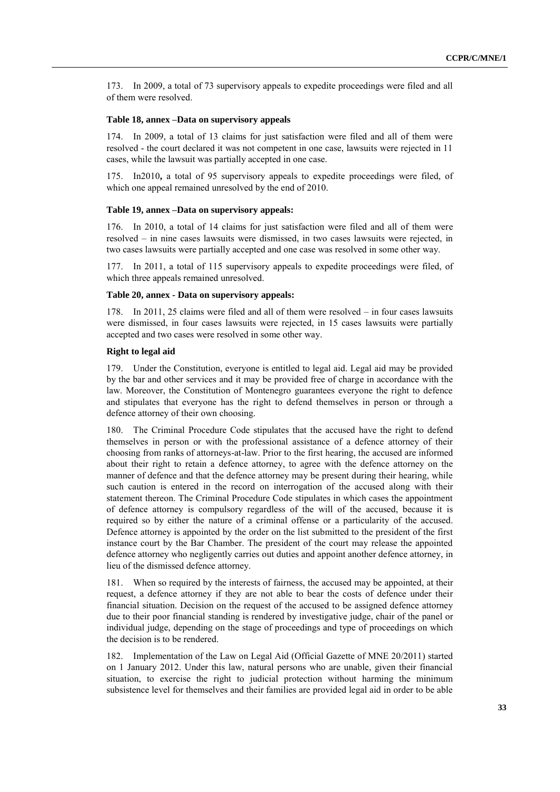173. In 2009, a total of 73 supervisory appeals to expedite proceedings were filed and all of them were resolved.

# **Table 18, annex –Data on supervisory appeals**

174. In 2009, a total of 13 claims for just satisfaction were filed and all of them were resolved - the court declared it was not competent in one case, lawsuits were rejected in 11 cases, while the lawsuit was partially accepted in one case.

175. In2010**,** a total of 95 supervisory appeals to expedite proceedings were filed, of which one appeal remained unresolved by the end of 2010.

#### **Table 19, annex –Data on supervisory appeals:**

176. In 2010, a total of 14 claims for just satisfaction were filed and all of them were resolved – in nine cases lawsuits were dismissed, in two cases lawsuits were rejected, in two cases lawsuits were partially accepted and one case was resolved in some other way.

In 2011, a total of 115 supervisory appeals to expedite proceedings were filed, of which three appeals remained unresolved.

#### **Table 20, annex - Data on supervisory appeals:**

178. In 2011, 25 claims were filed and all of them were resolved – in four cases lawsuits were dismissed, in four cases lawsuits were rejected, in 15 cases lawsuits were partially accepted and two cases were resolved in some other way.

#### **Right to legal aid**

179. Under the Constitution, everyone is entitled to legal aid. Legal aid may be provided by the bar and other services and it may be provided free of charge in accordance with the law. Moreover, the Constitution of Montenegro guarantees everyone the right to defence and stipulates that everyone has the right to defend themselves in person or through a defence attorney of their own choosing.

180. The Criminal Procedure Code stipulates that the accused have the right to defend themselves in person or with the professional assistance of a defence attorney of their choosing from ranks of attorneys-at-law. Prior to the first hearing, the accused are informed about their right to retain a defence attorney, to agree with the defence attorney on the manner of defence and that the defence attorney may be present during their hearing, while such caution is entered in the record on interrogation of the accused along with their statement thereon. The Criminal Procedure Code stipulates in which cases the appointment of defence attorney is compulsory regardless of the will of the accused, because it is required so by either the nature of a criminal offense or a particularity of the accused. Defence attorney is appointed by the order on the list submitted to the president of the first instance court by the Bar Chamber. The president of the court may release the appointed defence attorney who negligently carries out duties and appoint another defence attorney, in lieu of the dismissed defence attorney.

181. When so required by the interests of fairness, the accused may be appointed, at their request, a defence attorney if they are not able to bear the costs of defence under their financial situation. Decision on the request of the accused to be assigned defence attorney due to their poor financial standing is rendered by investigative judge, chair of the panel or individual judge, depending on the stage of proceedings and type of proceedings on which the decision is to be rendered.

182. Implementation of the Law on Legal Aid (Official Gazette of MNE 20/2011) started on 1 January 2012. Under this law, natural persons who are unable, given their financial situation, to exercise the right to judicial protection without harming the minimum subsistence level for themselves and their families are provided legal aid in order to be able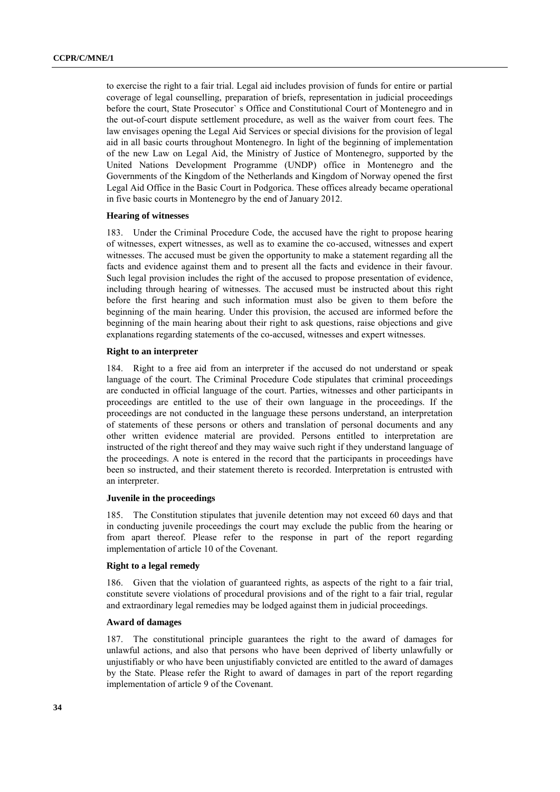to exercise the right to a fair trial. Legal aid includes provision of funds for entire or partial coverage of legal counselling, preparation of briefs, representation in judicial proceedings before the court, State Prosecutor` s Office and Constitutional Court of Montenegro and in the out-of-court dispute settlement procedure, as well as the waiver from court fees. The law envisages opening the Legal Aid Services or special divisions for the provision of legal aid in all basic courts throughout Montenegro. In light of the beginning of implementation of the new Law on Legal Aid, the Ministry of Justice of Montenegro, supported by the United Nations Development Programme (UNDP) office in Montenegro and the Governments of the Kingdom of the Netherlands and Kingdom of Norway opened the first Legal Aid Office in the Basic Court in Podgorica. These offices already became operational in five basic courts in Montenegro by the end of January 2012.

# **Hearing of witnesses**

183. Under the Criminal Procedure Code, the accused have the right to propose hearing of witnesses, expert witnesses, as well as to examine the co-accused, witnesses and expert witnesses. The accused must be given the opportunity to make a statement regarding all the facts and evidence against them and to present all the facts and evidence in their favour. Such legal provision includes the right of the accused to propose presentation of evidence, including through hearing of witnesses. The accused must be instructed about this right before the first hearing and such information must also be given to them before the beginning of the main hearing. Under this provision, the accused are informed before the beginning of the main hearing about their right to ask questions, raise objections and give explanations regarding statements of the co-accused, witnesses and expert witnesses.

#### **Right to an interpreter**

184. Right to a free aid from an interpreter if the accused do not understand or speak language of the court. The Criminal Procedure Code stipulates that criminal proceedings are conducted in official language of the court. Parties, witnesses and other participants in proceedings are entitled to the use of their own language in the proceedings. If the proceedings are not conducted in the language these persons understand, an interpretation of statements of these persons or others and translation of personal documents and any other written evidence material are provided. Persons entitled to interpretation are instructed of the right thereof and they may waive such right if they understand language of the proceedings. A note is entered in the record that the participants in proceedings have been so instructed, and their statement thereto is recorded. Interpretation is entrusted with an interpreter.

# **Juvenile in the proceedings**

185. The Constitution stipulates that juvenile detention may not exceed 60 days and that in conducting juvenile proceedings the court may exclude the public from the hearing or from apart thereof. Please refer to the response in part of the report regarding implementation of article 10 of the Covenant.

#### **Right to a legal remedy**

186. Given that the violation of guaranteed rights, as aspects of the right to a fair trial, constitute severe violations of procedural provisions and of the right to a fair trial, regular and extraordinary legal remedies may be lodged against them in judicial proceedings.

#### **Award of damages**

187. The constitutional principle guarantees the right to the award of damages for unlawful actions, and also that persons who have been deprived of liberty unlawfully or unjustifiably or who have been unjustifiably convicted are entitled to the award of damages by the State. Please refer the Right to award of damages in part of the report regarding implementation of article 9 of the Covenant.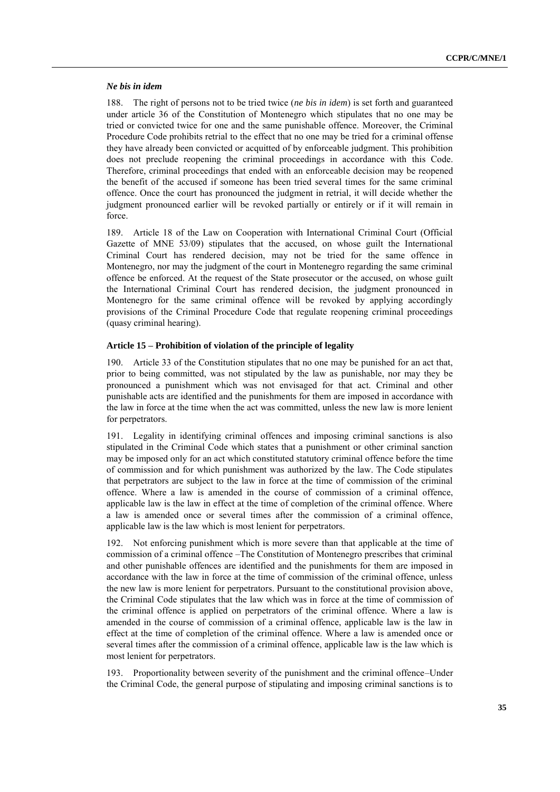## *Ne bis in idem*

188. The right of persons not to be tried twice (*ne bis in idem*) is set forth and guaranteed under article 36 of the Constitution of Montenegro which stipulates that no one may be tried or convicted twice for one and the same punishable offence. Moreover, the Criminal Procedure Code prohibits retrial to the effect that no one may be tried for a criminal offense they have already been convicted or acquitted of by enforceable judgment. This prohibition does not preclude reopening the criminal proceedings in accordance with this Code. Therefore, criminal proceedings that ended with an enforceable decision may be reopened the benefit of the accused if someone has been tried several times for the same criminal offence. Once the court has pronounced the judgment in retrial, it will decide whether the judgment pronounced earlier will be revoked partially or entirely or if it will remain in force.

189. Article 18 of the Law on Cooperation with International Criminal Court (Official Gazette of MNE 53/09) stipulates that the accused, on whose guilt the International Criminal Court has rendered decision, may not be tried for the same offence in Montenegro, nor may the judgment of the court in Montenegro regarding the same criminal offence be enforced. At the request of the State prosecutor or the accused, on whose guilt the International Criminal Court has rendered decision, the judgment pronounced in Montenegro for the same criminal offence will be revoked by applying accordingly provisions of the Criminal Procedure Code that regulate reopening criminal proceedings (quasy criminal hearing).

#### **Article 15 – Prohibition of violation of the principle of legality**

190. Article 33 of the Constitution stipulates that no one may be punished for an act that, prior to being committed, was not stipulated by the law as punishable, nor may they be pronounced a punishment which was not envisaged for that act. Criminal and other punishable acts are identified and the punishments for them are imposed in accordance with the law in force at the time when the act was committed, unless the new law is more lenient for perpetrators.

191. Legality in identifying criminal offences and imposing criminal sanctions is also stipulated in the Criminal Code which states that a punishment or other criminal sanction may be imposed only for an act which constituted statutory criminal offence before the time of commission and for which punishment was authorized by the law. The Code stipulates that perpetrators are subject to the law in force at the time of commission of the criminal offence. Where a law is amended in the course of commission of a criminal offence, applicable law is the law in effect at the time of completion of the criminal offence. Where a law is amended once or several times after the commission of a criminal offence, applicable law is the law which is most lenient for perpetrators.

192. Not enforcing punishment which is more severe than that applicable at the time of commission of a criminal offence –The Constitution of Montenegro prescribes that criminal and other punishable offences are identified and the punishments for them are imposed in accordance with the law in force at the time of commission of the criminal offence, unless the new law is more lenient for perpetrators. Pursuant to the constitutional provision above, the Criminal Code stipulates that the law which was in force at the time of commission of the criminal offence is applied on perpetrators of the criminal offence. Where a law is amended in the course of commission of a criminal offence, applicable law is the law in effect at the time of completion of the criminal offence. Where a law is amended once or several times after the commission of a criminal offence, applicable law is the law which is most lenient for perpetrators.

193. Proportionality between severity of the punishment and the criminal offence–Under the Criminal Code, the general purpose of stipulating and imposing criminal sanctions is to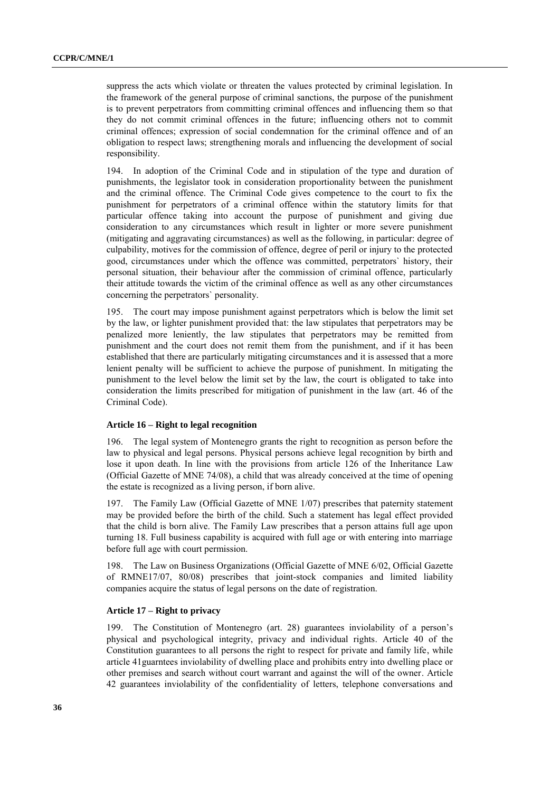suppress the acts which violate or threaten the values protected by criminal legislation. In the framework of the general purpose of criminal sanctions, the purpose of the punishment is to prevent perpetrators from committing criminal offences and influencing them so that they do not commit criminal offences in the future; influencing others not to commit criminal offences; expression of social condemnation for the criminal offence and of an obligation to respect laws; strengthening morals and influencing the development of social responsibility.

194. In adoption of the Criminal Code and in stipulation of the type and duration of punishments, the legislator took in consideration proportionality between the punishment and the criminal offence. The Criminal Code gives competence to the court to fix the punishment for perpetrators of a criminal offence within the statutory limits for that particular offence taking into account the purpose of punishment and giving due consideration to any circumstances which result in lighter or more severe punishment (mitigating and aggravating circumstances) as well as the following, in particular: degree of culpability, motives for the commission of offence, degree of peril or injury to the protected good, circumstances under which the offence was committed, perpetrators` history, their personal situation, their behaviour after the commission of criminal offence, particularly their attitude towards the victim of the criminal offence as well as any other circumstances concerning the perpetrators` personality.

195. The court may impose punishment against perpetrators which is below the limit set by the law, or lighter punishment provided that: the law stipulates that perpetrators may be penalized more leniently, the law stipulates that perpetrators may be remitted from punishment and the court does not remit them from the punishment, and if it has been established that there are particularly mitigating circumstances and it is assessed that a more lenient penalty will be sufficient to achieve the purpose of punishment. In mitigating the punishment to the level below the limit set by the law, the court is obligated to take into consideration the limits prescribed for mitigation of punishment in the law (art. 46 of the Criminal Code).

# **Article 16 – Right to legal recognition**

196. The legal system of Montenegro grants the right to recognition as person before the law to physical and legal persons. Physical persons achieve legal recognition by birth and lose it upon death. In line with the provisions from article 126 of the Inheritance Law (Official Gazette of MNE 74/08), a child that was already conceived at the time of opening the estate is recognized as a living person, if born alive.

197. The Family Law (Official Gazette of MNE 1/07) prescribes that paternity statement may be provided before the birth of the child. Such a statement has legal effect provided that the child is born alive. The Family Law prescribes that a person attains full age upon turning 18. Full business capability is acquired with full age or with entering into marriage before full age with court permission.

198. The Law on Business Organizations (Official Gazette of MNE 6/02, Official Gazette of RMNE17/07, 80/08) prescribes that joint-stock companies and limited liability companies acquire the status of legal persons on the date of registration.

# **Article 17 – Right to privacy**

199. The Constitution of Montenegro (art. 28) guarantees inviolability of a person's physical and psychological integrity, privacy and individual rights. Article 40 of the Constitution guarantees to all persons the right to respect for private and family life, while article 41guarntees inviolability of dwelling place and prohibits entry into dwelling place or other premises and search without court warrant and against the will of the owner. Article 42 guarantees inviolability of the confidentiality of letters, telephone conversations and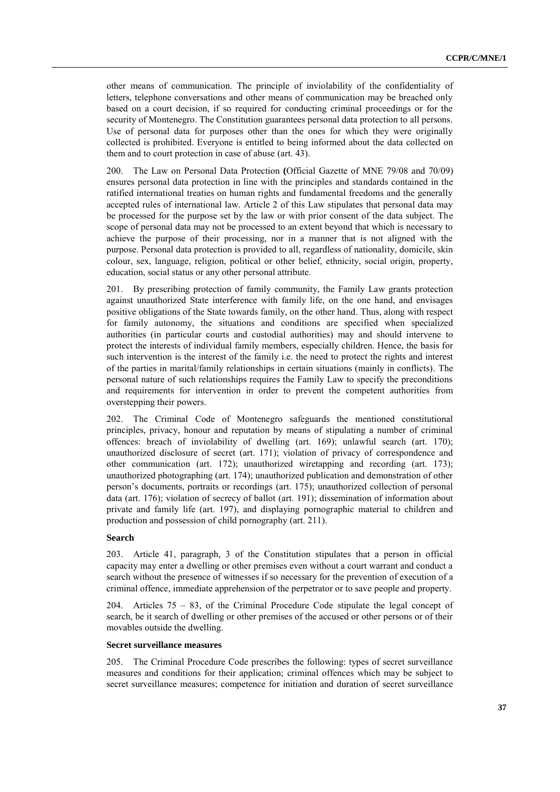other means of communication. The principle of inviolability of the confidentiality of letters, telephone conversations and other means of communication may be breached only based on a court decision, if so required for conducting criminal proceedings or for the security of Montenegro. The Constitution guarantees personal data protection to all persons. Use of personal data for purposes other than the ones for which they were originally collected is prohibited. Everyone is entitled to being informed about the data collected on them and to court protection in case of abuse (art. 43).

200. The Law on Personal Data Protection **(**Official Gazette of MNE 79/08 and 70/09) ensures personal data protection in line with the principles and standards contained in the ratified international treaties on human rights and fundamental freedoms and the generally accepted rules of international law. Article 2 of this Law stipulates that personal data may be processed for the purpose set by the law or with prior consent of the data subject. The scope of personal data may not be processed to an extent beyond that which is necessary to achieve the purpose of their processing, nor in a manner that is not aligned with the purpose. Personal data protection is provided to all, regardless of nationality, domicile, skin colour, sex, language, religion, political or other belief, ethnicity, social origin, property, education, social status or any other personal attribute.

201. By prescribing protection of family community, the Family Law grants protection against unauthorized State interference with family life, on the one hand, and envisages positive obligations of the State towards family, on the other hand. Thus, along with respect for family autonomy, the situations and conditions are specified when specialized authorities (in particular courts and custodial authorities) may and should intervene to protect the interests of individual family members, especially children. Hence, the basis for such intervention is the interest of the family i.e. the need to protect the rights and interest of the parties in marital/family relationships in certain situations (mainly in conflicts). The personal nature of such relationships requires the Family Law to specify the preconditions and requirements for intervention in order to prevent the competent authorities from overstepping their powers.

202. The Criminal Code of Montenegro safeguards the mentioned constitutional principles, privacy, honour and reputation by means of stipulating a number of criminal offences: breach of inviolability of dwelling (art. 169); unlawful search (art. 170); unauthorized disclosure of secret (art. 171); violation of privacy of correspondence and other communication (art. 172); unauthorized wiretapping and recording (art. 173); unauthorized photographing (art. 174); unauthorized publication and demonstration of other person's documents, portraits or recordings (art. 175); unauthorized collection of personal data (art. 176); violation of secrecy of ballot (art. 191); dissemination of information about private and family life (art. 197), and displaying pornographic material to children and production and possession of child pornography (art. 211).

# **Search**

203. Article 41, paragraph, 3 of the Constitution stipulates that a person in official capacity may enter a dwelling or other premises even without a court warrant and conduct a search without the presence of witnesses if so necessary for the prevention of execution of a criminal offence, immediate apprehension of the perpetrator or to save people and property.

204. Articles 75 – 83, of the Criminal Procedure Code stipulate the legal concept of search, be it search of dwelling or other premises of the accused or other persons or of their movables outside the dwelling.

# **Secret surveillance measures**

205. The Criminal Procedure Code prescribes the following: types of secret surveillance measures and conditions for their application; criminal offences which may be subject to secret surveillance measures; competence for initiation and duration of secret surveillance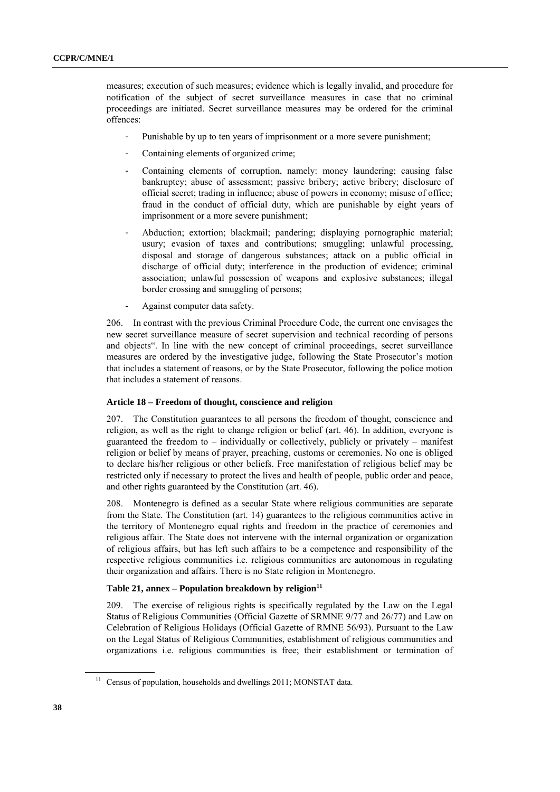measures; execution of such measures; evidence which is legally invalid, and procedure for notification of the subject of secret surveillance measures in case that no criminal proceedings are initiated. Secret surveillance measures may be ordered for the criminal offences:

- Punishable by up to ten years of imprisonment or a more severe punishment;
- Containing elements of organized crime;
- Containing elements of corruption, namely: money laundering; causing false bankruptcy; abuse of assessment; passive bribery; active bribery; disclosure of official secret; trading in influence; abuse of powers in economy; misuse of office; fraud in the conduct of official duty, which are punishable by eight years of imprisonment or a more severe punishment;
- Abduction; extortion; blackmail; pandering; displaying pornographic material; usury; evasion of taxes and contributions; smuggling; unlawful processing, disposal and storage of dangerous substances; attack on a public official in discharge of official duty; interference in the production of evidence; criminal association; unlawful possession of weapons and explosive substances; illegal border crossing and smuggling of persons;
- Against computer data safety.

206. In contrast with the previous Criminal Procedure Code, the current one envisages the new secret surveillance measure of secret supervision and technical recording of persons and objects". In line with the new concept of criminal proceedings, secret surveillance measures are ordered by the investigative judge, following the State Prosecutor's motion that includes a statement of reasons, or by the State Prosecutor, following the police motion that includes a statement of reasons.

# **Article 18 – Freedom of thought, conscience and religion**

207. The Constitution guarantees to all persons the freedom of thought, conscience and religion, as well as the right to change religion or belief (art. 46). In addition, everyone is guaranteed the freedom to – individually or collectively, publicly or privately – manifest religion or belief by means of prayer, preaching, customs or ceremonies. No one is obliged to declare his/her religious or other beliefs. Free manifestation of religious belief may be restricted only if necessary to protect the lives and health of people, public order and peace, and other rights guaranteed by the Constitution (art. 46).

208. Montenegro is defined as a secular State where religious communities are separate from the State. The Constitution (art. 14) guarantees to the religious communities active in the territory of Montenegro equal rights and freedom in the practice of ceremonies and religious affair. The State does not intervene with the internal organization or organization of religious affairs, but has left such affairs to be a competence and responsibility of the respective religious communities i.e. religious communities are autonomous in regulating their organization and affairs. There is no State religion in Montenegro.

# **Table 21, annex – Population breakdown by religion<sup>11</sup>**

209. The exercise of religious rights is specifically regulated by the Law on the Legal Status of Religious Communities (Official Gazette of SRMNE 9/77 and 26/77) and Law on Celebration of Religious Holidays (Official Gazette of RMNE 56/93). Pursuant to the Law on the Legal Status of Religious Communities, establishment of religious communities and organizations i.e. religious communities is free; their establishment or termination of

 $^{11}$  Census of population, households and dwellings 2011; MONSTAT data.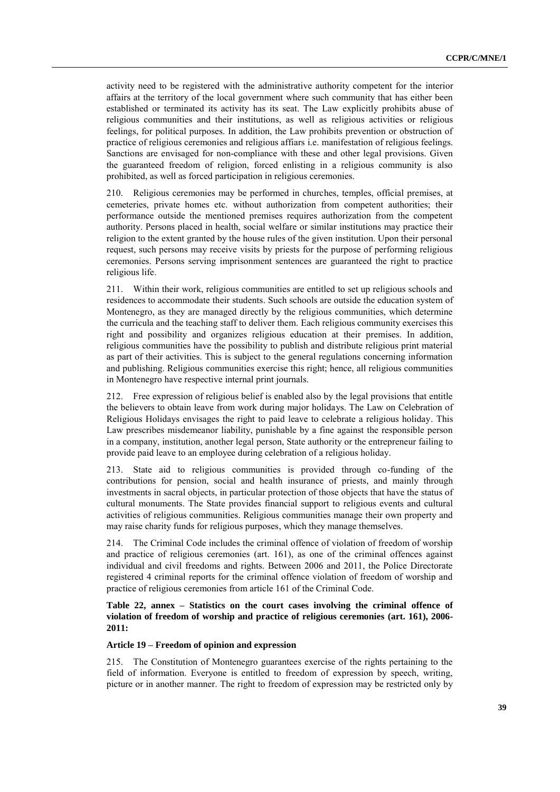activity need to be registered with the administrative authority competent for the interior affairs at the territory of the local government where such community that has either been established or terminated its activity has its seat. The Law explicitly prohibits abuse of religious communities and their institutions, as well as religious activities or religious feelings, for political purposes. In addition, the Law prohibits prevention or obstruction of practice of religious ceremonies and religious affiars i.e. manifestation of religious feelings. Sanctions are envisaged for non-compliance with these and other legal provisions. Given the guaranteed freedom of religion, forced enlisting in a religious community is also prohibited, as well as forced participation in religious ceremonies.

210. Religious ceremonies may be performed in churches, temples, official premises, at cemeteries, private homes etc. without authorization from competent authorities; their performance outside the mentioned premises requires authorization from the competent authority. Persons placed in health, social welfare or similar institutions may practice their religion to the extent granted by the house rules of the given institution. Upon their personal request, such persons may receive visits by priests for the purpose of performing religious ceremonies. Persons serving imprisonment sentences are guaranteed the right to practice religious life.

211. Within their work, religious communities are entitled to set up religious schools and residences to accommodate their students. Such schools are outside the education system of Montenegro, as they are managed directly by the religious communities, which determine the curricula and the teaching staff to deliver them. Each religious community exercises this right and possibility and organizes religious education at their premises. In addition, religious communities have the possibility to publish and distribute religious print material as part of their activities. This is subject to the general regulations concerning information and publishing. Religious communities exercise this right; hence, all religious communities in Montenegro have respective internal print journals.

212. Free expression of religious belief is enabled also by the legal provisions that entitle the believers to obtain leave from work during major holidays. The Law on Celebration of Religious Holidays envisages the right to paid leave to celebrate a religious holiday. This Law prescribes misdemeanor liability, punishable by a fine against the responsible person in a company, institution, another legal person, State authority or the entrepreneur failing to provide paid leave to an employee during celebration of a religious holiday.

213. State aid to religious communities is provided through co-funding of the contributions for pension, social and health insurance of priests, and mainly through investments in sacral objects, in particular protection of those objects that have the status of cultural monuments. The State provides financial support to religious events and cultural activities of religious communities. Religious communities manage their own property and may raise charity funds for religious purposes, which they manage themselves.

214. The Criminal Code includes the criminal offence of violation of freedom of worship and practice of religious ceremonies (art. 161), as one of the criminal offences against individual and civil freedoms and rights. Between 2006 and 2011, the Police Directorate registered 4 criminal reports for the criminal offence violation of freedom of worship and practice of religious ceremonies from article 161 of the Criminal Code.

**Table 22, annex – Statistics on the court cases involving the criminal offence of violation of freedom of worship and practice of religious ceremonies (art. 161), 2006- 2011:**

# **Article 19 – Freedom of opinion and expression**

215. The Constitution of Montenegro guarantees exercise of the rights pertaining to the field of information. Everyone is entitled to freedom of expression by speech, writing, picture or in another manner. The right to freedom of expression may be restricted only by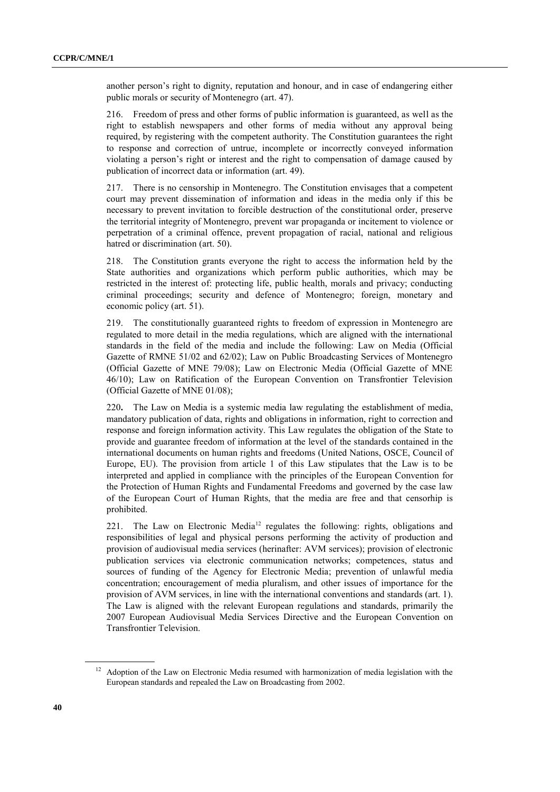another person's right to dignity, reputation and honour, and in case of endangering either public morals or security of Montenegro (art. 47).

216. Freedom of press and other forms of public information is guaranteed, as well as the right to establish newspapers and other forms of media without any approval being required, by registering with the competent authority. The Constitution guarantees the right to response and correction of untrue, incomplete or incorrectly conveyed information violating a person's right or interest and the right to compensation of damage caused by publication of incorrect data or information (art. 49).

217. There is no censorship in Montenegro. The Constitution envisages that a competent court may prevent dissemination of information and ideas in the media only if this be necessary to prevent invitation to forcible destruction of the constitutional order, preserve the territorial integrity of Montenegro, prevent war propaganda or incitement to violence or perpetration of a criminal offence, prevent propagation of racial, national and religious hatred or discrimination (art. 50).

218. The Constitution grants everyone the right to access the information held by the State authorities and organizations which perform public authorities, which may be restricted in the interest of: protecting life, public health, morals and privacy; conducting criminal proceedings; security and defence of Montenegro; foreign, monetary and economic policy (art. 51).

219. The constitutionally guaranteed rights to freedom of expression in Montenegro are regulated to more detail in the media regulations, which are aligned with the international standards in the field of the media and include the following: Law on Media (Official Gazette of RMNE 51/02 and 62/02); Law on Public Broadcasting Services of Montenegro (Official Gazette of MNE 79/08); Law on Electronic Media (Official Gazette of MNE 46/10); Law on Ratification of the European Convention on Transfrontier Television (Official Gazette of MNE 01/08);

220**.** The Law on Media is a systemic media law regulating the establishment of media, mandatory publication of data, rights and obligations in information, right to correction and response and foreign information activity. This Law regulates the obligation of the State to provide and guarantee freedom of information at the level of the standards contained in the international documents on human rights and freedoms (United Nations, OSCE, Council of Europe, EU). The provision from article 1 of this Law stipulates that the Law is to be interpreted and applied in compliance with the principles of the European Convention for the Protection of Human Rights and Fundamental Freedoms and governed by the case law of the European Court of Human Rights, that the media are free and that censorhip is prohibited.

221. The Law on Electronic Media<sup>12</sup> regulates the following: rights, obligations and responsibilities of legal and physical persons performing the activity of production and provision of audiovisual media services (herinafter: AVM services); provision of electronic publication services via electronic communication networks; competences, status and sources of funding of the Agency for Electronic Media; prevention of unlawful media concentration; encouragement of media pluralism, and other issues of importance for the provision of AVM services, in line with the international conventions and standards (art. 1). The Law is aligned with the relevant European regulations and standards, primarily the 2007 European Audiovisual Media Services Directive and the European Convention on Transfrontier Television.

<sup>&</sup>lt;sup>12</sup> Adoption of the Law on Electronic Media resumed with harmonization of media legislation with the European standards and repealed the Law on Broadcasting from 2002.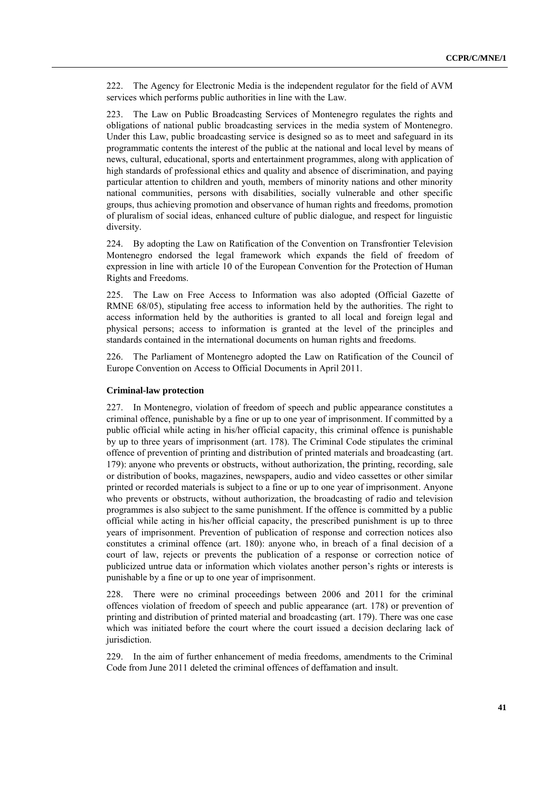222. The Agency for Electronic Media is the independent regulator for the field of AVM services which performs public authorities in line with the Law.

223. The Law on Public Broadcasting Services of Montenegro regulates the rights and obligations of national public broadcasting services in the media system of Montenegro. Under this Law, public broadcasting service is designed so as to meet and safeguard in its programmatic contents the interest of the public at the national and local level by means of news, cultural, educational, sports and entertainment programmes, along with application of high standards of professional ethics and quality and absence of discrimination, and paying particular attention to children and youth, members of minority nations and other minority national communities, persons with disabilities, socially vulnerable and other specific groups, thus achieving promotion and observance of human rights and freedoms, promotion of pluralism of social ideas, enhanced culture of public dialogue, and respect for linguistic diversity.

224. By adopting the Law on Ratification of the Convention on Transfrontier Television Montenegro endorsed the legal framework which expands the field of freedom of expression in line with article 10 of the European Convention for the Protection of Human Rights and Freedoms.

225. The Law on Free Access to Information was also adopted (Official Gazette of RMNE 68/05), stipulating free access to information held by the authorities. The right to access information held by the authorities is granted to all local and foreign legal and physical persons; access to information is granted at the level of the principles and standards contained in the international documents on human rights and freedoms.

226. The Parliament of Montenegro adopted the Law on Ratification of the Council of Europe Convention on Access to Official Documents in April 2011.

#### **Criminal-law protection**

227. In Montenegro, violation of freedom of speech and public appearance constitutes a criminal offence, punishable by a fine or up to one year of imprisonment. If committed by a public official while acting in his/her official capacity, this criminal offence is punishable by up to three years of imprisonment (art. 178). The Criminal Code stipulates the criminal offence of prevention of printing and distribution of printed materials and broadcasting (art. 179): anyone who prevents or obstructs, without authorization, the printing, recording, sale or distribution of books, magazines, newspapers, audio and video cassettes or other similar printed or recorded materials is subject to a fine or up to one year of imprisonment. Anyone who prevents or obstructs, without authorization, the broadcasting of radio and television programmes is also subject to the same punishment. If the offence is committed by a public official while acting in his/her official capacity, the prescribed punishment is up to three years of imprisonment. Prevention of publication of response and correction notices also constitutes a criminal offence (art. 180): anyone who, in breach of a final decision of a court of law, rejects or prevents the publication of a response or correction notice of publicized untrue data or information which violates another person's rights or interests is punishable by a fine or up to one year of imprisonment.

228. There were no criminal proceedings between 2006 and 2011 for the criminal offences violation of freedom of speech and public appearance (art. 178) or prevention of printing and distribution of printed material and broadcasting (art. 179). There was one case which was initiated before the court where the court issued a decision declaring lack of jurisdiction.

229. In the aim of further enhancement of media freedoms, amendments to the Criminal Code from June 2011 deleted the criminal offences of deffamation and insult.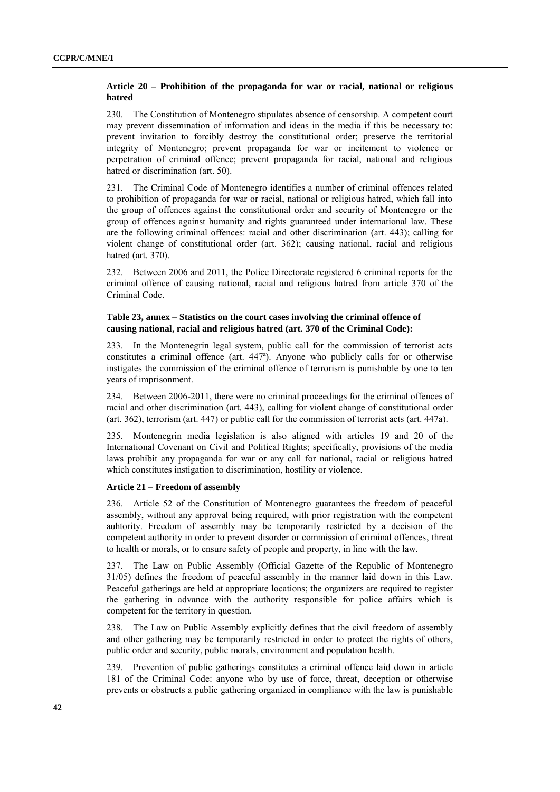# **Article 20 – Prohibition of the propaganda for war or racial, national or religious hatred**

230. The Constitution of Montenegro stipulates absence of censorship. A competent court may prevent dissemination of information and ideas in the media if this be necessary to: prevent invitation to forcibly destroy the constitutional order; preserve the territorial integrity of Montenegro; prevent propaganda for war or incitement to violence or perpetration of criminal offence; prevent propaganda for racial, national and religious hatred or discrimination (art. 50).

231. The Criminal Code of Montenegro identifies a number of criminal offences related to prohibition of propaganda for war or racial, national or religious hatred, which fall into the group of offences against the constitutional order and security of Montenegro or the group of offences against humanity and rights guaranteed under international law. These are the following criminal offences: racial and other discrimination (art. 443); calling for violent change of constitutional order (art. 362); causing national, racial and religious hatred (art. 370).

232. Between 2006 and 2011, the Police Directorate registered 6 criminal reports for the criminal offence of causing national, racial and religious hatred from article 370 of the Criminal Code.

# **Table 23, annex – Statistics on the court cases involving the criminal offence of causing national, racial and religious hatred (art. 370 of the Criminal Code):**

233. In the Montenegrin legal system, public call for the commission of terrorist acts constitutes a criminal offence (art. 447ª). Anyone who publicly calls for or otherwise instigates the commission of the criminal offence of terrorism is punishable by one to ten years of imprisonment.

234. Between 2006-2011, there were no criminal proceedings for the criminal offences of racial and other discrimination (art. 443), calling for violent change of constitutional order (art. 362), terrorism (art. 447) or public call for the commission of terrorist acts (art. 447a).

235. Montenegrin media legislation is also aligned with articles 19 and 20 of the International Covenant on Civil and Political Rights; specifically, provisions of the media laws prohibit any propaganda for war or any call for national, racial or religious hatred which constitutes instigation to discrimination, hostility or violence.

# **Article 21 – Freedom of assembly**

236. Article 52 of the Constitution of Montenegro guarantees the freedom of peaceful assembly, without any approval being required, with prior registration with the competent auhtority. Freedom of assembly may be temporarily restricted by a decision of the competent authority in order to prevent disorder or commission of criminal offences, threat to health or morals, or to ensure safety of people and property, in line with the law.

237. The Law on Public Assembly (Official Gazette of the Republic of Montenegro 31/05) defines the freedom of peaceful assembly in the manner laid down in this Law. Peaceful gatherings are held at appropriate locations; the organizers are required to register the gathering in advance with the authority responsible for police affairs which is competent for the territory in question.

238. The Law on Public Assembly explicitly defines that the civil freedom of assembly and other gathering may be temporarily restricted in order to protect the rights of others, public order and security, public morals, environment and population health.

239. Prevention of public gatherings constitutes a criminal offence laid down in article 181 of the Criminal Code: anyone who by use of force, threat, deception or otherwise prevents or obstructs a public gathering organized in compliance with the law is punishable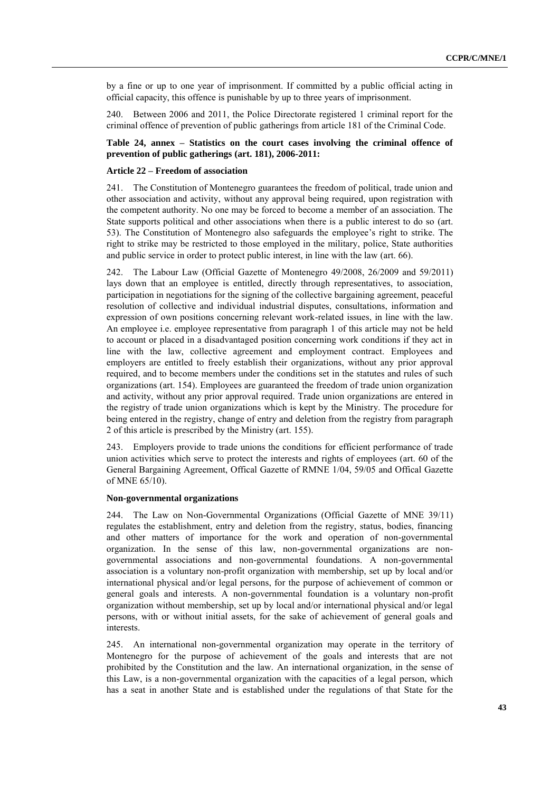by a fine or up to one year of imprisonment. If committed by a public official acting in official capacity, this offence is punishable by up to three years of imprisonment.

240. Between 2006 and 2011, the Police Directorate registered 1 criminal report for the criminal offence of prevention of public gatherings from article 181 of the Criminal Code.

# **Table 24, annex – Statistics on the court cases involving the criminal offence of prevention of public gatherings (art. 181), 2006-2011:**

#### **Article 22 – Freedom of association**

241. The Constitution of Montenegro guarantees the freedom of political, trade union and other association and activity, without any approval being required, upon registration with the competent authority. No one may be forced to become a member of an association. The State supports political and other associations when there is a public interest to do so (art. 53). The Constitution of Montenegro also safeguards the employee's right to strike. The right to strike may be restricted to those employed in the military, police, State authorities and public service in order to protect public interest, in line with the law (art. 66).

242. The Labour Law (Official Gazette of Montenegro 49/2008, 26/2009 and 59/2011) lays down that an employee is entitled, directly through representatives, to association, participation in negotiations for the signing of the collective bargaining agreement, peaceful resolution of collective and individual industrial disputes, consultations, information and expression of own positions concerning relevant work-related issues, in line with the law. An employee i.e. employee representative from paragraph 1 of this article may not be held to account or placed in a disadvantaged position concerning work conditions if they act in line with the law, collective agreement and employment contract. Employees and employers are entitled to freely establish their organizations, without any prior approval required, and to become members under the conditions set in the statutes and rules of such organizations (art. 154). Employees are guaranteed the freedom of trade union organization and activity, without any prior approval required. Trade union organizations are entered in the registry of trade union organizations which is kept by the Ministry. The procedure for being entered in the registry, change of entry and deletion from the registry from paragraph 2 of this article is prescribed by the Ministry (art. 155).

243. Employers provide to trade unions the conditions for efficient performance of trade union activities which serve to protect the interests and rights of employees (art. 60 of the General Bargaining Agreement, Offical Gazette of RMNE 1/04, 59/05 and Offical Gazette of MNE 65/10).

#### **Non-governmental organizations**

244. The Law on Non-Governmental Organizations (Official Gazette of MNE 39/11) regulates the establishment, entry and deletion from the registry, status, bodies, financing and other matters of importance for the work and operation of non-governmental organization. In the sense of this law, non-governmental organizations are nongovernmental associations and non-governmental foundations. A non-governmental association is a voluntary non-profit organization with membership, set up by local and/or international physical and/or legal persons, for the purpose of achievement of common or general goals and interests. A non-governmental foundation is a voluntary non-profit organization without membership, set up by local and/or international physical and/or legal persons, with or without initial assets, for the sake of achievement of general goals and interests.

245. An international non-governmental organization may operate in the territory of Montenegro for the purpose of achievement of the goals and interests that are not prohibited by the Constitution and the law. An international organization, in the sense of this Law, is a non-governmental organization with the capacities of a legal person, which has a seat in another State and is established under the regulations of that State for the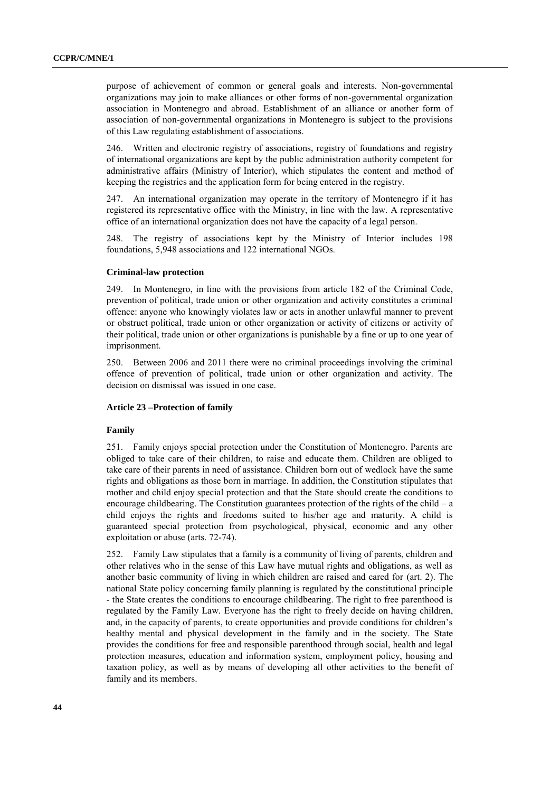purpose of achievement of common or general goals and interests. Non-governmental organizations may join to make alliances or other forms of non-governmental organization association in Montenegro and abroad. Establishment of an alliance or another form of association of non-governmental organizations in Montenegro is subject to the provisions of this Law regulating establishment of associations.

246. Written and electronic registry of associations, registry of foundations and registry of international organizations are kept by the public administration authority competent for administrative affairs (Ministry of Interior), which stipulates the content and method of keeping the registries and the application form for being entered in the registry.

247. An international organization may operate in the territory of Montenegro if it has registered its representative office with the Ministry, in line with the law. A representative office of an international organization does not have the capacity of a legal person.

248. The registry of associations kept by the Ministry of Interior includes 198 foundations, 5,948 associations and 122 international NGOs.

# **Criminal-law protection**

249. In Montenegro, in line with the provisions from article 182 of the Criminal Code, prevention of political, trade union or other organization and activity constitutes a criminal offence: anyone who knowingly violates law or acts in another unlawful manner to prevent or obstruct political, trade union or other organization or activity of citizens or activity of their political, trade union or other organizations is punishable by a fine or up to one year of imprisonment.

250. Between 2006 and 2011 there were no criminal proceedings involving the criminal offence of prevention of political, trade union or other organization and activity. The decision on dismissal was issued in one case.

# **Article 23 –Protection of family**

#### **Family**

251. Family enjoys special protection under the Constitution of Montenegro. Parents are obliged to take care of their children, to raise and educate them. Children are obliged to take care of their parents in need of assistance. Children born out of wedlock have the same rights and obligations as those born in marriage. In addition, the Constitution stipulates that mother and child enjoy special protection and that the State should create the conditions to encourage childbearing. The Constitution guarantees protection of the rights of the child – a child enjoys the rights and freedoms suited to his/her age and maturity. A child is guaranteed special protection from psychological, physical, economic and any other exploitation or abuse (arts. 72-74).

252. Family Law stipulates that a family is a community of living of parents, children and other relatives who in the sense of this Law have mutual rights and obligations, as well as another basic community of living in which children are raised and cared for (art. 2). The national State policy concerning family planning is regulated by the constitutional principle - the State creates the conditions to encourage childbearing. The right to free parenthood is regulated by the Family Law. Everyone has the right to freely decide on having children, and, in the capacity of parents, to create opportunities and provide conditions for children's healthy mental and physical development in the family and in the society. The State provides the conditions for free and responsible parenthood through social, health and legal protection measures, education and information system, employment policy, housing and taxation policy, as well as by means of developing all other activities to the benefit of family and its members.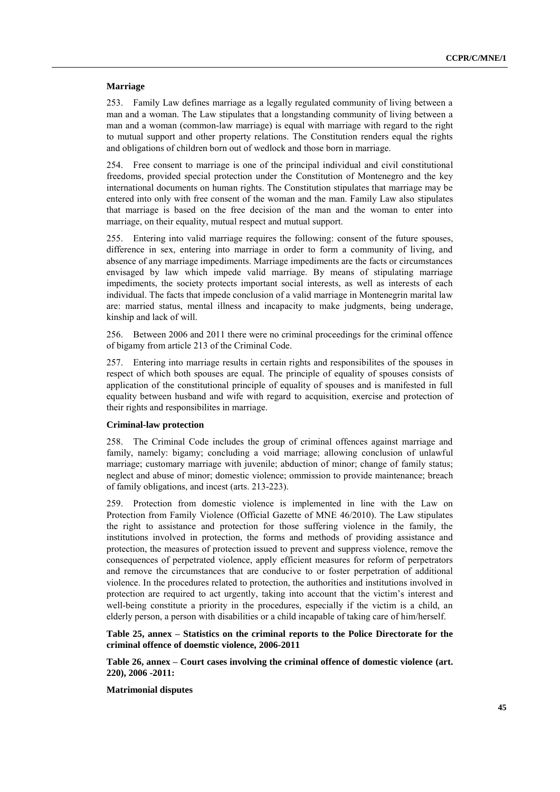# **Marriage**

253. Family Law defines marriage as a legally regulated community of living between a man and a woman. The Law stipulates that a longstanding community of living between a man and a woman (common-law marriage) is equal with marriage with regard to the right to mutual support and other property relations. The Constitution renders equal the rights and obligations of children born out of wedlock and those born in marriage.

254. Free consent to marriage is one of the principal individual and civil constitutional freedoms, provided special protection under the Constitution of Montenegro and the key international documents on human rights. The Constitution stipulates that marriage may be entered into only with free consent of the woman and the man. Family Law also stipulates that marriage is based on the free decision of the man and the woman to enter into marriage, on their equality, mutual respect and mutual support.

255. Entering into valid marriage requires the following: consent of the future spouses, difference in sex, entering into marriage in order to form a community of living, and absence of any marriage impediments. Marriage impediments are the facts or circumstances envisaged by law which impede valid marriage. By means of stipulating marriage impediments, the society protects important social interests, as well as interests of each individual. The facts that impede conclusion of a valid marriage in Montenegrin marital law are: married status, mental illness and incapacity to make judgments, being underage, kinship and lack of will.

256. Between 2006 and 2011 there were no criminal proceedings for the criminal offence of bigamy from article 213 of the Criminal Code.

257. Entering into marriage results in certain rights and responsibilites of the spouses in respect of which both spouses are equal. The principle of equality of spouses consists of application of the constitutional principle of equality of spouses and is manifested in full equality between husband and wife with regard to acquisition, exercise and protection of their rights and responsibilites in marriage.

# **Criminal-law protection**

258. The Criminal Code includes the group of criminal offences against marriage and family, namely: bigamy; concluding a void marriage; allowing conclusion of unlawful marriage; customary marriage with juvenile; abduction of minor; change of family status; neglect and abuse of minor; domestic violence; ommission to provide maintenance; breach of family obligations, and incest (arts. 213-223).

259. Protection from domestic violence is implemented in line with the Law on Protection from Family Violence (Official Gazette of MNE 46/2010). The Law stipulates the right to assistance and protection for those suffering violence in the family, the institutions involved in protection, the forms and methods of providing assistance and protection, the measures of protection issued to prevent and suppress violence, remove the consequences of perpetrated violence, apply efficient measures for reform of perpetrators and remove the circumstances that are conducive to or foster perpetration of additional violence. In the procedures related to protection, the authorities and institutions involved in protection are required to act urgently, taking into account that the victim's interest and well-being constitute a priority in the procedures, especially if the victim is a child, an elderly person, a person with disabilities or a child incapable of taking care of him/herself.

**Table 25, annex – Statistics on the criminal reports to the Police Directorate for the criminal offence of doemstic violence, 2006-2011**

**Table 26, annex – Court cases involving the criminal offence of domestic violence (art. 220), 2006 -2011:** 

**Matrimonial disputes**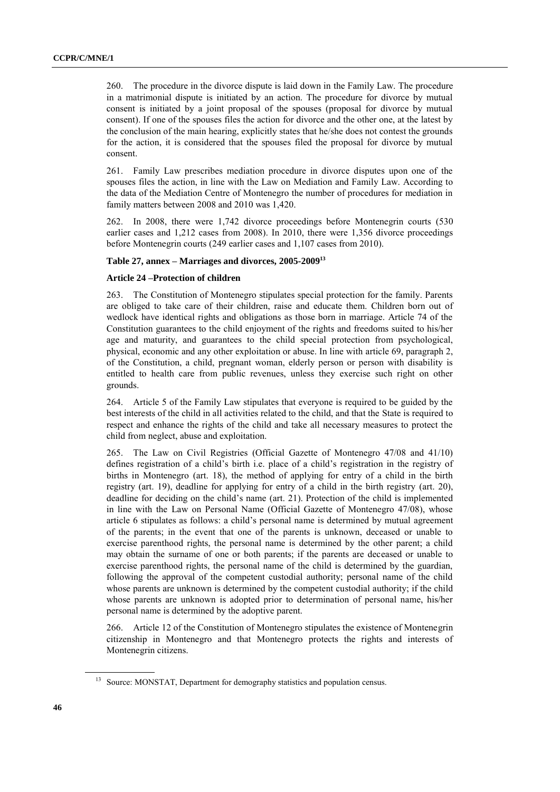260. The procedure in the divorce dispute is laid down in the Family Law. The procedure in a matrimonial dispute is initiated by an action. The procedure for divorce by mutual consent is initiated by a joint proposal of the spouses (proposal for divorce by mutual consent). If one of the spouses files the action for divorce and the other one, at the latest by the conclusion of the main hearing, explicitly states that he/she does not contest the grounds for the action, it is considered that the spouses filed the proposal for divorce by mutual consent.

261. Family Law prescribes mediation procedure in divorce disputes upon one of the spouses files the action, in line with the Law on Mediation and Family Law. According to the data of the Mediation Centre of Montenegro the number of procedures for mediation in family matters between 2008 and 2010 was 1,420.

262. In 2008, there were 1,742 divorce proceedings before Montenegrin courts (530 earlier cases and 1,212 cases from 2008). In 2010, there were 1,356 divorce proceedings before Montenegrin courts (249 earlier cases and 1,107 cases from 2010).

# **Table 27, annex – Marriages and divorces, 2005-2009<sup>13</sup>**

# **Article 24 –Protection of children**

263. The Constitution of Montenegro stipulates special protection for the family. Parents are obliged to take care of their children, raise and educate them. Children born out of wedlock have identical rights and obligations as those born in marriage. Article 74 of the Constitution guarantees to the child enjoyment of the rights and freedoms suited to his/her age and maturity, and guarantees to the child special protection from psychological, physical, economic and any other exploitation or abuse. In line with article 69, paragraph 2, of the Constitution, a child, pregnant woman, elderly person or person with disability is entitled to health care from public revenues, unless they exercise such right on other grounds.

264. Article 5 of the Family Law stipulates that everyone is required to be guided by the best interests of the child in all activities related to the child, and that the State is required to respect and enhance the rights of the child and take all necessary measures to protect the child from neglect, abuse and exploitation.

265. The Law on Civil Registries (Official Gazette of Montenegro 47/08 and 41/10) defines registration of a child's birth i.e. place of a child's registration in the registry of births in Montenegro (art. 18), the method of applying for entry of a child in the birth registry (art. 19), deadline for applying for entry of a child in the birth registry (art. 20), deadline for deciding on the child's name (art. 21). Protection of the child is implemented in line with the Law on Personal Name (Official Gazette of Montenegro 47/08), whose article 6 stipulates as follows: a child's personal name is determined by mutual agreement of the parents; in the event that one of the parents is unknown, deceased or unable to exercise parenthood rights, the personal name is determined by the other parent; a child may obtain the surname of one or both parents; if the parents are deceased or unable to exercise parenthood rights, the personal name of the child is determined by the guardian, following the approval of the competent custodial authority; personal name of the child whose parents are unknown is determined by the competent custodial authority; if the child whose parents are unknown is adopted prior to determination of personal name, his/her personal name is determined by the adoptive parent.

266. Article 12 of the Constitution of Montenegro stipulates the existence of Montenegrin citizenship in Montenegro and that Montenegro protects the rights and interests of Montenegrin citizens.

Source: MONSTAT, Department for demography statistics and population census.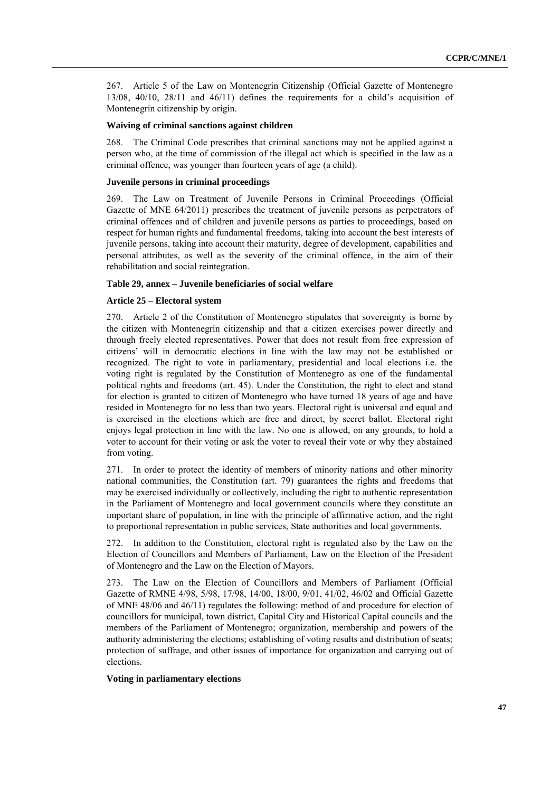267. Article 5 of the Law on Montenegrin Citizenship (Official Gazette of Montenegro 13/08, 40/10, 28/11 and 46/11) defines the requirements for a child's acquisition of Montenegrin citizenship by origin.

#### **Waiving of criminal sanctions against children**

268. The Criminal Code prescribes that criminal sanctions may not be applied against a person who, at the time of commission of the illegal act which is specified in the law as a criminal offence, was younger than fourteen years of age (a child).

# **Juvenile persons in criminal proceedings**

269. The Law on Treatment of Juvenile Persons in Criminal Proceedings (Official Gazette of MNE 64/2011) prescribes the treatment of juvenile persons as perpetrators of criminal offences and of children and juvenile persons as parties to proceedings, based on respect for human rights and fundamental freedoms, taking into account the best interests of juvenile persons, taking into account their maturity, degree of development, capabilities and personal attributes, as well as the severity of the criminal offence, in the aim of their rehabilitation and social reintegration.

# **Table 29, annex – Juvenile beneficiaries of social welfare**

#### **Article 25 – Electoral system**

270. Article 2 of the Constitution of Montenegro stipulates that sovereignty is borne by the citizen with Montenegrin citizenship and that a citizen exercises power directly and through freely elected representatives. Power that does not result from free expression of citizens' will in democratic elections in line with the law may not be established or recognized. The right to vote in parliamentary, presidential and local elections i.e. the voting right is regulated by the Constitution of Montenegro as one of the fundamental political rights and freedoms (art. 45). Under the Constitution, the right to elect and stand for election is granted to citizen of Montenegro who have turned 18 years of age and have resided in Montenegro for no less than two years. Electoral right is universal and equal and is exercised in the elections which are free and direct, by secret ballot. Electoral right enjoys legal protection in line with the law. No one is allowed, on any grounds, to hold a voter to account for their voting or ask the voter to reveal their vote or why they abstained from voting.

271. In order to protect the identity of members of minority nations and other minority national communities, the Constitution (art. 79) guarantees the rights and freedoms that may be exercised individually or collectively, including the right to authentic representation in the Parliament of Montenegro and local government councils where they constitute an important share of population, in line with the principle of affirmative action, and the right to proportional representation in public services, State authorities and local governments.

272. In addition to the Constitution, electoral right is regulated also by the Law on the Election of Councillors and Members of Parliament, Law on the Election of the President of Montenegro and the Law on the Election of Mayors.

273. The Law on the Election of Councillors and Members of Parliament (Official Gazette of RMNE 4/98, 5/98, 17/98, 14/00, 18/00, 9/01, 41/02, 46/02 and Official Gazette of MNE 48/06 and 46/11) regulates the following: method of and procedure for election of councillors for municipal, town district, Capital City and Historical Capital councils and the members of the Parliament of Montenegro; organization, membership and powers of the authority administering the elections; establishing of voting results and distribution of seats; protection of suffrage, and other issues of importance for organization and carrying out of elections.

#### **Voting in parliamentary elections**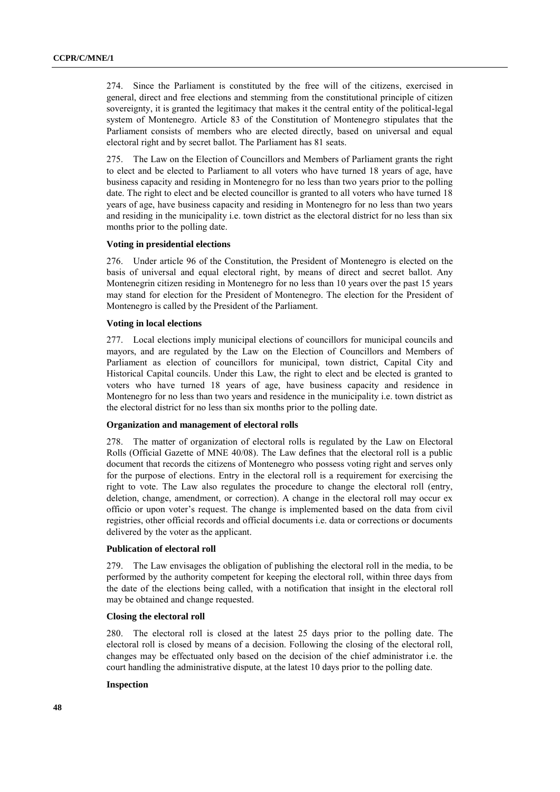274. Since the Parliament is constituted by the free will of the citizens, exercised in general, direct and free elections and stemming from the constitutional principle of citizen sovereignty, it is granted the legitimacy that makes it the central entity of the political-legal system of Montenegro. Article 83 of the Constitution of Montenegro stipulates that the Parliament consists of members who are elected directly, based on universal and equal electoral right and by secret ballot. The Parliament has 81 seats.

275. The Law on the Election of Councillors and Members of Parliament grants the right to elect and be elected to Parliament to all voters who have turned 18 years of age, have business capacity and residing in Montenegro for no less than two years prior to the polling date. The right to elect and be elected councillor is granted to all voters who have turned 18 years of age, have business capacity and residing in Montenegro for no less than two years and residing in the municipality i.e. town district as the electoral district for no less than six months prior to the polling date.

# **Voting in presidential elections**

276. Under article 96 of the Constitution, the President of Montenegro is elected on the basis of universal and equal electoral right, by means of direct and secret ballot. Any Montenegrin citizen residing in Montenegro for no less than 10 years over the past 15 years may stand for election for the President of Montenegro. The election for the President of Montenegro is called by the President of the Parliament.

# **Voting in local elections**

277. Local elections imply municipal elections of councillors for municipal councils and mayors, and are regulated by the Law on the Election of Councillors and Members of Parliament as election of councillors for municipal, town district, Capital City and Historical Capital councils. Under this Law, the right to elect and be elected is granted to voters who have turned 18 years of age, have business capacity and residence in Montenegro for no less than two years and residence in the municipality i.e. town district as the electoral district for no less than six months prior to the polling date.

#### **Organization and management of electoral rolls**

278. The matter of organization of electoral rolls is regulated by the Law on Electoral Rolls (Official Gazette of MNE 40/08). The Law defines that the electoral roll is a public document that records the citizens of Montenegro who possess voting right and serves only for the purpose of elections. Entry in the electoral roll is a requirement for exercising the right to vote. The Law also regulates the procedure to change the electoral roll (entry, deletion, change, amendment, or correction). A change in the electoral roll may occur ex officio or upon voter's request. The change is implemented based on the data from civil registries, other official records and official documents i.e. data or corrections or documents delivered by the voter as the applicant.

# **Publication of electoral roll**

279. The Law envisages the obligation of publishing the electoral roll in the media, to be performed by the authority competent for keeping the electoral roll, within three days from the date of the elections being called, with a notification that insight in the electoral roll may be obtained and change requested.

#### **Closing the electoral roll**

280. The electoral roll is closed at the latest 25 days prior to the polling date. The electoral roll is closed by means of a decision. Following the closing of the electoral roll, changes may be effectuated only based on the decision of the chief administrator i.e. the court handling the administrative dispute, at the latest 10 days prior to the polling date.

## **Inspection**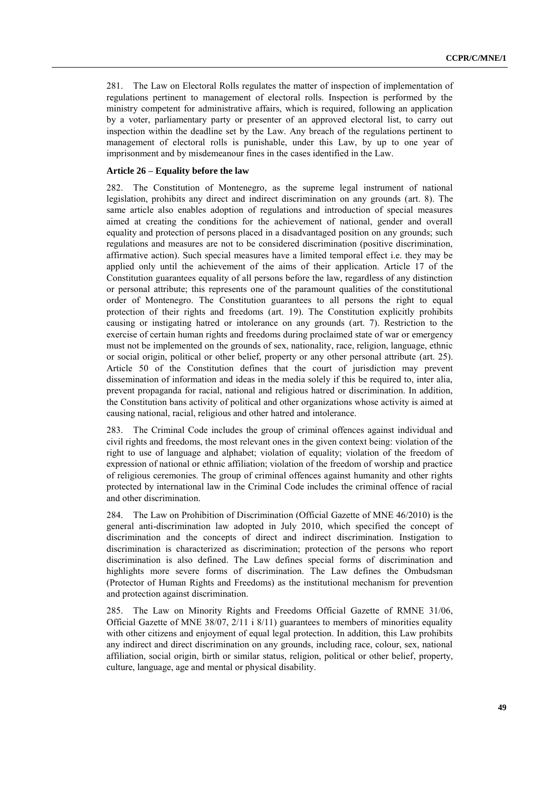281. The Law on Electoral Rolls regulates the matter of inspection of implementation of regulations pertinent to management of electoral rolls. Inspection is performed by the ministry competent for administrative affairs, which is required, following an application by a voter, parliamentary party or presenter of an approved electoral list, to carry out inspection within the deadline set by the Law. Any breach of the regulations pertinent to management of electoral rolls is punishable, under this Law, by up to one year of imprisonment and by misdemeanour fines in the cases identified in the Law.

# **Article 26 – Equality before the law**

282. The Constitution of Montenegro, as the supreme legal instrument of national legislation, prohibits any direct and indirect discrimination on any grounds (art. 8). The same article also enables adoption of regulations and introduction of special measures aimed at creating the conditions for the achievement of national, gender and overall equality and protection of persons placed in a disadvantaged position on any grounds; such regulations and measures are not to be considered discrimination (positive discrimination, affirmative action). Such special measures have a limited temporal effect i.e. they may be applied only until the achievement of the aims of their application. Article 17 of the Constitution guarantees equality of all persons before the law, regardless of any distinction or personal attribute; this represents one of the paramount qualities of the constitutional order of Montenegro. The Constitution guarantees to all persons the right to equal protection of their rights and freedoms (art. 19). The Constitution explicitly prohibits causing or instigating hatred or intolerance on any grounds (art. 7). Restriction to the exercise of certain human rights and freedoms during proclaimed state of war or emergency must not be implemented on the grounds of sex, nationality, race, religion, language, ethnic or social origin, political or other belief, property or any other personal attribute (art. 25). Article 50 of the Constitution defines that the court of jurisdiction may prevent dissemination of information and ideas in the media solely if this be required to, inter alia, prevent propaganda for racial, national and religious hatred or discrimination. In addition, the Constitution bans activity of political and other organizations whose activity is aimed at causing national, racial, religious and other hatred and intolerance.

283. The Criminal Code includes the group of criminal offences against individual and civil rights and freedoms, the most relevant ones in the given context being: violation of the right to use of language and alphabet; violation of equality; violation of the freedom of expression of national or ethnic affiliation; violation of the freedom of worship and practice of religious ceremonies. The group of criminal offences against humanity and other rights protected by international law in the Criminal Code includes the criminal offence of racial and other discrimination.

284. The Law on Prohibition of Discrimination (Official Gazette of MNE 46/2010) is the general anti-discrimination law adopted in July 2010, which specified the concept of discrimination and the concepts of direct and indirect discrimination. Instigation to discrimination is characterized as discrimination; protection of the persons who report discrimination is also defined. The Law defines special forms of discrimination and highlights more severe forms of discrimination. The Law defines the Ombudsman (Protector of Human Rights and Freedoms) as the institutional mechanism for prevention and protection against discrimination.

285. The Law on Minority Rights and Freedoms Official Gazette of RMNE 31/06, Official Gazette of MNE 38/07, 2/11 i 8/11) guarantees to members of minorities equality with other citizens and enjoyment of equal legal protection. In addition, this Law prohibits any indirect and direct discrimination on any grounds, including race, colour, sex, national affiliation, social origin, birth or similar status, religion, political or other belief, property, culture, language, age and mental or physical disability.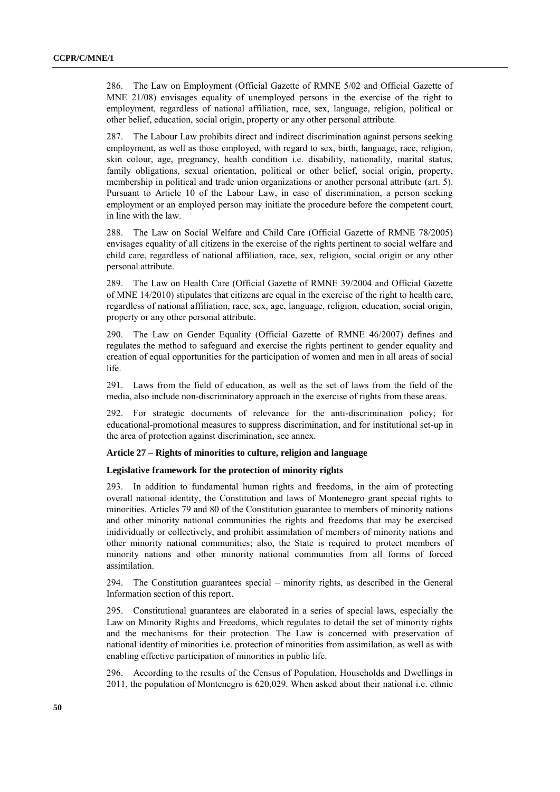286. The Law on Employment (Official Gazette of RMNE 5/02 and Official Gazette of MNE 21/08) envisages equality of unemployed persons in the exercise of the right to employment, regardless of national affiliation, race, sex, language, religion, political or other belief, education, social origin, property or any other personal attribute.

287. The Labour Law prohibits direct and indirect discrimination against persons seeking employment, as well as those employed, with regard to sex, birth, language, race, religion, skin colour, age, pregnancy, health condition i.e. disability, nationality, marital status, family obligations, sexual orientation, political or other belief, social origin, property, membership in political and trade union organizations or another personal attribute (art. 5). Pursuant to Article 10 of the Labour Law, in case of discrimination, a person seeking employment or an employed person may initiate the procedure before the competent court, in line with the law.

288. The Law on Social Welfare and Child Care (Official Gazette of RMNE 78/2005) envisages equality of all citizens in the exercise of the rights pertinent to social welfare and child care, regardless of national affiliation, race, sex, religion, social origin or any other personal attribute.

289. The Law on Health Care (Official Gazette of RMNE 39/2004 and Official Gazette of MNE 14/2010) stipulates that citizens are equal in the exercise of the right to health care, regardless of national affiliation, race, sex, age, language, religion, education, social origin, property or any other personal attribute.

290. The Law on Gender Equality (Official Gazette of RMNE 46/2007) defines and regulates the method to safeguard and exercise the rights pertinent to gender equality and creation of equal opportunities for the participation of women and men in all areas of social life.

291. Laws from the field of education, as well as the set of laws from the field of the media, also include non-discriminatory approach in the exercise of rights from these areas.

292. For strategic documents of relevance for the anti-discrimination policy; for educational-promotional measures to suppress discrimination, and for institutional set-up in the area of protection against discrimination, see annex.

# **Article 27 – Rights of minorities to culture, religion and language**

# **Legislative framework for the protection of minority rights**

293. In addition to fundamental human rights and freedoms, in the aim of protecting overall national identity, the Constitution and laws of Montenegro grant special rights to minorities. Articles 79 and 80 of the Constitution guarantee to members of minority nations and other minority national communities the rights and freedoms that may be exercised inidividually or collectively, and prohibit assimilation of members of minority nations and other minority national communities; also, the State is required to protect members of minority nations and other minority national communities from all forms of forced assimilation.

294. The Constitution guarantees special – minority rights, as described in the General Information section of this report.

295. Constitutional guarantees are elaborated in a series of special laws, especially the Law on Minority Rights and Freedoms, which regulates to detail the set of minority rights and the mechanisms for their protection. The Law is concerned with preservation of national identity of minorities i.e. protection of minorities from assimilation, as well as with enabling effective participation of minorities in public life.

296. According to the results of the Census of Population, Households and Dwellings in 2011, the population of Montenegro is 620,029. When asked about their national i.e. ethnic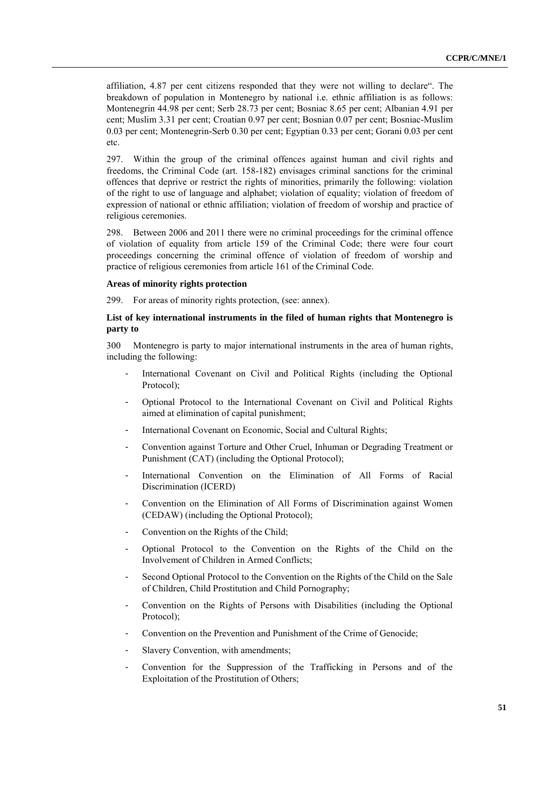affiliation, 4.87 per cent citizens responded that they were not willing to declare". The breakdown of population in Montenegro by national i.e. ethnic affiliation is as follows: Montenegrin 44.98 per cent; Serb 28.73 per cent; Bosniac 8.65 per cent; Albanian 4.91 per cent; Muslim 3.31 per cent; Croatian 0.97 per cent; Bosnian 0.07 per cent; Bosniac-Muslim 0.03 per cent; Montenegrin-Serb 0.30 per cent; Egyptian 0.33 per cent; Gorani 0.03 per cent etc.

297. Within the group of the criminal offences against human and civil rights and freedoms, the Criminal Code (art. 158-182) envisages criminal sanctions for the criminal offences that deprive or restrict the rights of minorities, primarily the following: violation of the right to use of language and alphabet; violation of equality; violation of freedom of expression of national or ethnic affiliation; violation of freedom of worship and practice of religious ceremonies.

298. Between 2006 and 2011 there were no criminal proceedings for the criminal offence of violation of equality from article 159 of the Criminal Code; there were four court proceedings concerning the criminal offence of violation of freedom of worship and practice of religious ceremonies from article 161 of the Criminal Code.

# **Areas of minority rights protection**

299. For areas of minority rights protection, (see: annex).

# **List of key international instruments in the filed of human rights that Montenegro is party to**

300 Montenegro is party to major international instruments in the area of human rights, including the following:

- International Covenant on Civil and Political Rights (including the Optional Protocol);
- Optional Protocol to the International Covenant on Civil and Political Rights aimed at elimination of capital punishment;
- International Covenant on Economic, Social and Cultural Rights;
- Convention against Torture and Other Cruel, Inhuman or Degrading Treatment or Punishment (CAT) (including the Optional Protocol);
- International Convention on the Elimination of All Forms of Racial Discrimination (ICERD)
- Convention on the Elimination of All Forms of Discrimination against Women (CEDAW) (including the Optional Protocol);
- Convention on the Rights of the Child;
- Optional Protocol to the Convention on the Rights of the Child on the Involvement of Children in Armed Conflicts;
- Second Optional Protocol to the Convention on the Rights of the Child on the Sale of Children, Child Prostitution and Child Pornography;
- Convention on the Rights of Persons with Disabilities (including the Optional Protocol);
- Convention on the Prevention and Punishment of the Crime of Genocide;
- Slavery Convention, with amendments;
- Convention for the Suppression of the Trafficking in Persons and of the Exploitation of the Prostitution of Others;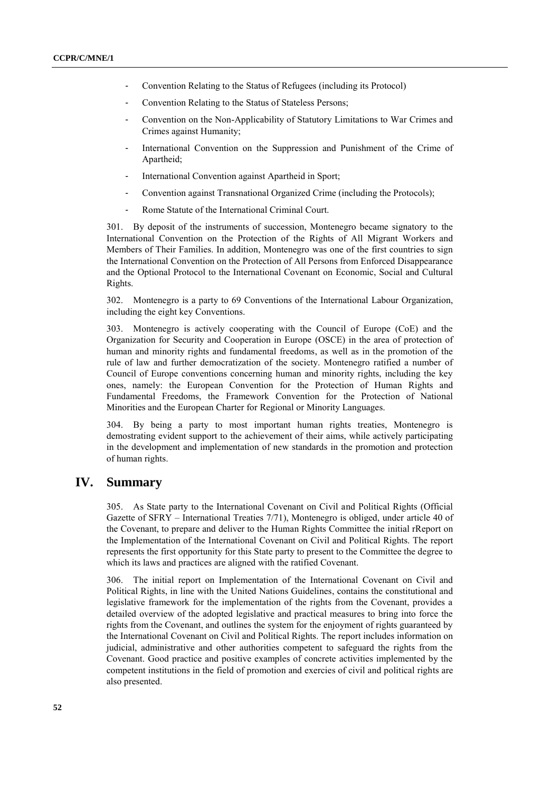- Convention Relating to the Status of Refugees (including its Protocol)
- Convention Relating to the Status of Stateless Persons;
- Convention on the Non-Applicability of Statutory Limitations to War Crimes and Crimes against Humanity;
- International Convention on the Suppression and Punishment of the Crime of Apartheid;
- International Convention against Apartheid in Sport;
- Convention against Transnational Organized Crime (including the Protocols);
- Rome Statute of the International Criminal Court.

301. By deposit of the instruments of succession, Montenegro became signatory to the International Convention on the Protection of the Rights of All Migrant Workers and Members of Their Families. In addition, Montenegro was one of the first countries to sign the International Convention on the Protection of All Persons from Enforced Disappearance and the Optional Protocol to the International Covenant on Economic, Social and Cultural Rights.

302. Montenegro is a party to 69 Conventions of the International Labour Organization, including the eight key Conventions.

303. Montenegro is actively cooperating with the Council of Europe (CoE) and the Organization for Security and Cooperation in Europe (OSCE) in the area of protection of human and minority rights and fundamental freedoms, as well as in the promotion of the rule of law and further democratization of the society. Montenegro ratified a number of Council of Europe conventions concerning human and minority rights, including the key ones, namely: the European Convention for the Protection of Human Rights and Fundamental Freedoms, the Framework Convention for the Protection of National Minorities and the European Charter for Regional or Minority Languages.

304. By being a party to most important human rights treaties, Montenegro is demostrating evident support to the achievement of their aims, while actively participating in the development and implementation of new standards in the promotion and protection of human rights.

# **IV. Summary**

305. As State party to the International Covenant on Civil and Political Rights (Official Gazette of SFRY – International Treaties 7/71), Montenegro is obliged, under article 40 of the Covenant, to prepare and deliver to the Human Rights Committee the initial rReport on the Implementation of the International Covenant on Civil and Political Rights. The report represents the first opportunity for this State party to present to the Committee the degree to which its laws and practices are aligned with the ratified Covenant.

306. The initial report on Implementation of the International Covenant on Civil and Political Rights, in line with the United Nations Guidelines, contains the constitutional and legislative framework for the implementation of the rights from the Covenant, provides a detailed overview of the adopted legislative and practical measures to bring into force the rights from the Covenant, and outlines the system for the enjoyment of rights guaranteed by the International Covenant on Civil and Political Rights. The report includes information on judicial, administrative and other authorities competent to safeguard the rights from the Covenant. Good practice and positive examples of concrete activities implemented by the competent institutions in the field of promotion and exercies of civil and political rights are also presented.